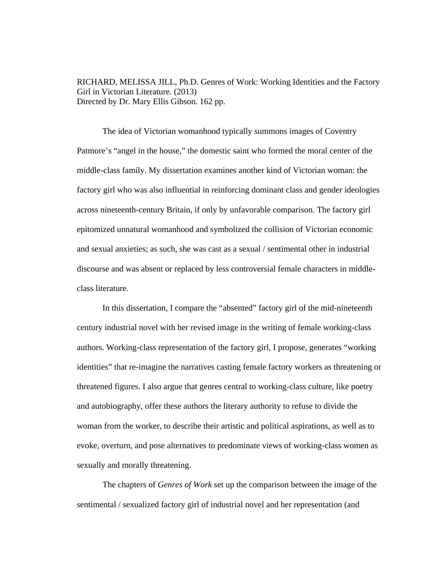RICHARD, MELISSA JILL, Ph.D. Genres of Work: Working Identities and the Factory Girl in Victorian Literature. (2013) Directed by Dr. Mary Ellis Gibson. 162 pp.

The idea of Victorian womanhood typically summons images of Coventry Patmore's "angel in the house," the domestic saint who formed the moral center of the middle-class family. My dissertation examines another kind of Victorian woman: the factory girl who was also influential in reinforcing dominant class and gender ideologies across nineteenth-century Britain, if only by unfavorable comparison. The factory girl epitomized unnatural womanhood and symbolized the collision of Victorian economic and sexual anxieties; as such, she was cast as a sexual / sentimental other in industrial discourse and was absent or replaced by less controversial female characters in middleclass literature.

In this dissertation, I compare the "absented" factory girl of the mid-nineteenth century industrial novel with her revised image in the writing of female working-class authors. Working-class representation of the factory girl, I propose, generates "working identities" that re-imagine the narratives casting female factory workers as threatening or threatened figures. I also argue that genres central to working-class culture, like poetry and autobiography, offer these authors the literary authority to refuse to divide the woman from the worker, to describe their artistic and political aspirations, as well as to evoke, overturn, and pose alternatives to predominate views of working-class women as sexually and morally threatening.

 The chapters of *Genres of Work* set up the comparison between the image of the sentimental / sexualized factory girl of industrial novel and her representation (and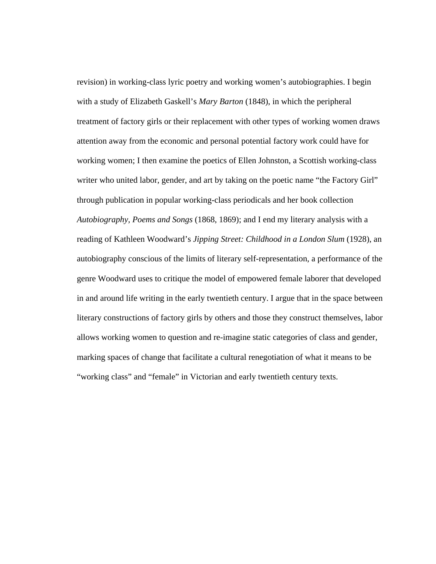revision) in working-class lyric poetry and working women's autobiographies. I begin with a study of Elizabeth Gaskell's *Mary Barton* (1848), in which the peripheral treatment of factory girls or their replacement with other types of working women draws attention away from the economic and personal potential factory work could have for working women; I then examine the poetics of Ellen Johnston, a Scottish working-class writer who united labor, gender, and art by taking on the poetic name "the Factory Girl" through publication in popular working-class periodicals and her book collection *Autobiography, Poems and Songs* (1868, 1869); and I end my literary analysis with a reading of Kathleen Woodward's *Jipping Street: Childhood in a London Slum* (1928), an autobiography conscious of the limits of literary self-representation, a performance of the genre Woodward uses to critique the model of empowered female laborer that developed in and around life writing in the early twentieth century. I argue that in the space between literary constructions of factory girls by others and those they construct themselves, labor allows working women to question and re-imagine static categories of class and gender, marking spaces of change that facilitate a cultural renegotiation of what it means to be "working class" and "female" in Victorian and early twentieth century texts.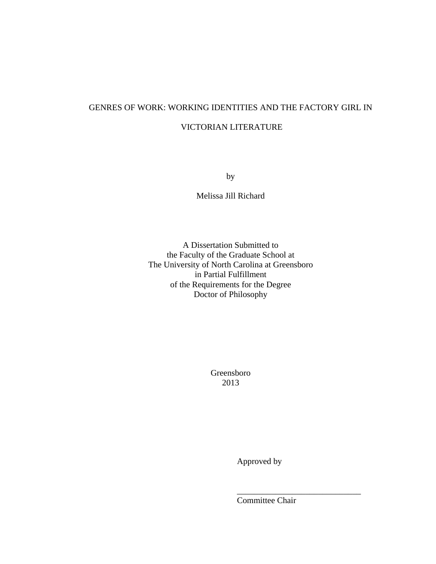# GENRES OF WORK: WORKING IDENTITIES AND THE FACTORY GIRL IN

# VICTORIAN LITERATURE

by

Melissa Jill Richard

A Dissertation Submitted to the Faculty of the Graduate School at The University of North Carolina at Greensboro in Partial Fulfillment of the Requirements for the Degree Doctor of Philosophy

> Greensboro 2013

> > Approved by

Committee Chair

 $\frac{1}{2}$  , and the set of the set of the set of the set of the set of the set of the set of the set of the set of the set of the set of the set of the set of the set of the set of the set of the set of the set of the set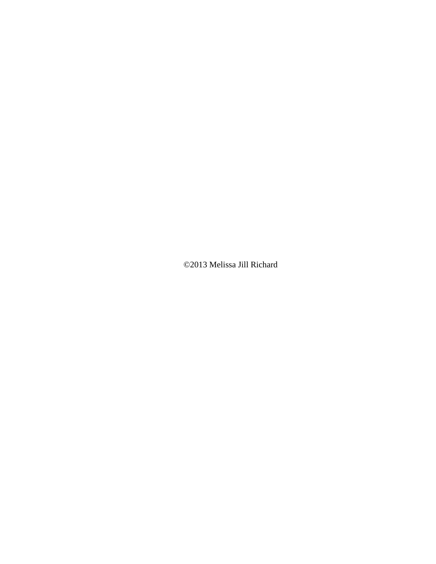©2013 Melissa Jill Richard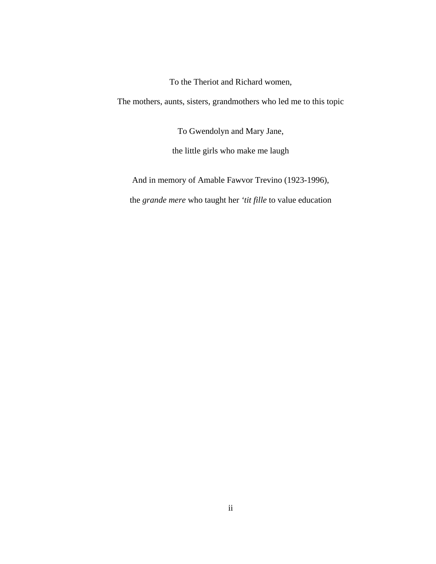To the Theriot and Richard women,

The mothers, aunts, sisters, grandmothers who led me to this topic

To Gwendolyn and Mary Jane,

the little girls who make me laugh

And in memory of Amable Fawvor Trevino (1923-1996),

the *grande mere* who taught her *'tit fille* to value education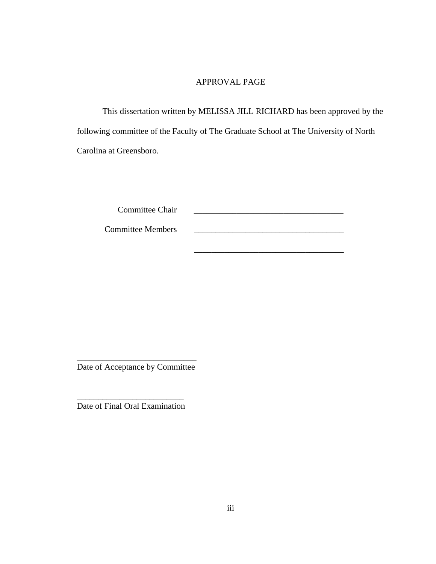# APPROVAL PAGE

This dissertation written by MELISSA JILL RICHARD has been approved by the following committee of the Faculty of The Graduate School at The University of North Carolina at Greensboro.

\_\_\_\_\_\_\_\_\_\_\_\_\_\_\_\_\_\_\_\_\_\_\_\_\_\_\_\_\_\_\_\_\_\_\_

Committee Chair

Committee Members

\_\_\_\_\_\_\_\_\_\_\_\_\_\_\_\_\_\_\_\_\_\_\_\_\_\_\_\_ Date of Acceptance by Committee

\_\_\_\_\_\_\_\_\_\_\_\_\_\_\_\_\_\_\_\_\_\_\_\_\_ Date of Final Oral Examination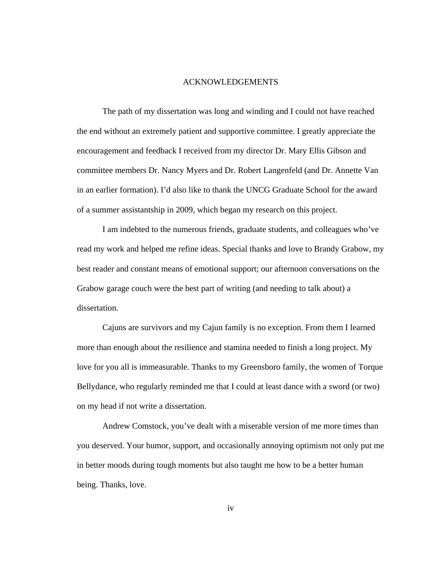#### ACKNOWLEDGEMENTS

The path of my dissertation was long and winding and I could not have reached the end without an extremely patient and supportive committee. I greatly appreciate the encouragement and feedback I received from my director Dr. Mary Ellis Gibson and committee members Dr. Nancy Myers and Dr. Robert Langenfeld (and Dr. Annette Van in an earlier formation). I'd also like to thank the UNCG Graduate School for the award of a summer assistantship in 2009, which began my research on this project.

I am indebted to the numerous friends, graduate students, and colleagues who've read my work and helped me refine ideas. Special thanks and love to Brandy Grabow, my best reader and constant means of emotional support; our afternoon conversations on the Grabow garage couch were the best part of writing (and needing to talk about) a dissertation.

Cajuns are survivors and my Cajun family is no exception. From them I learned more than enough about the resilience and stamina needed to finish a long project. My love for you all is immeasurable. Thanks to my Greensboro family, the women of Torque Bellydance, who regularly reminded me that I could at least dance with a sword (or two) on my head if not write a dissertation.

Andrew Comstock, you've dealt with a miserable version of me more times than you deserved. Your humor, support, and occasionally annoying optimism not only put me in better moods during tough moments but also taught me how to be a better human being. Thanks, love.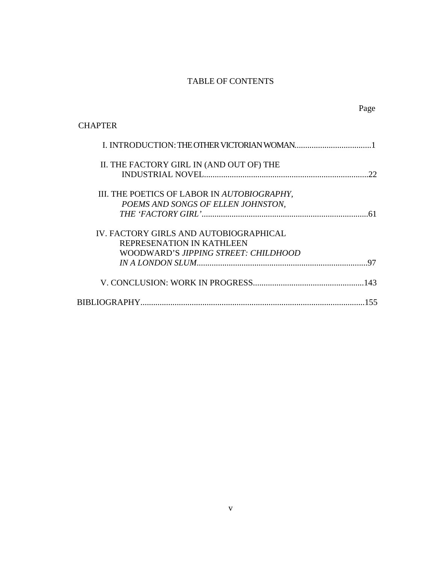# TABLE OF CONTENTS

Page

| <b>CHAPTER</b>                                                                                              |     |
|-------------------------------------------------------------------------------------------------------------|-----|
|                                                                                                             |     |
| II. THE FACTORY GIRL IN (AND OUT OF) THE                                                                    | 22  |
| III. THE POETICS OF LABOR IN AUTOBIOGRAPHY,<br>POEMS AND SONGS OF ELLEN JOHNSTON,                           |     |
| IV. FACTORY GIRLS AND AUTOBIOGRAPHICAL<br>REPRESENATION IN KATHLEEN<br>WOODWARD'S JIPPING STREET: CHILDHOOD |     |
|                                                                                                             | 97  |
|                                                                                                             | 143 |
|                                                                                                             | 155 |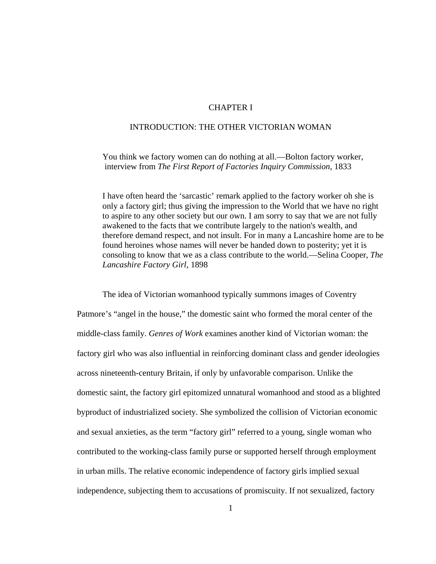## CHAPTER I

## INTRODUCTION: THE OTHER VICTORIAN WOMAN

 You think we factory women can do nothing at all.—Bolton factory worker, interview from *The First Report of Factories Inquiry Commission*, 1833

 I have often heard the 'sarcastic' remark applied to the factory worker oh she is only a factory girl; thus giving the impression to the World that we have no right to aspire to any other society but our own. I am sorry to say that we are not fully awakened to the facts that we contribute largely to the nation's wealth, and therefore demand respect, and not insult. For in many a Lancashire home are to be found heroines whose names will never be handed down to posterity; yet it is consoling to know that we as a class contribute to the world.—Selina Cooper, *The Lancashire Factory Girl*, 1898

The idea of Victorian womanhood typically summons images of Coventry Patmore's "angel in the house," the domestic saint who formed the moral center of the middle-class family. *Genres of Work* examines another kind of Victorian woman: the factory girl who was also influential in reinforcing dominant class and gender ideologies across nineteenth-century Britain, if only by unfavorable comparison. Unlike the domestic saint, the factory girl epitomized unnatural womanhood and stood as a blighted byproduct of industrialized society. She symbolized the collision of Victorian economic and sexual anxieties, as the term "factory girl" referred to a young, single woman who contributed to the working-class family purse or supported herself through employment in urban mills. The relative economic independence of factory girls implied sexual independence, subjecting them to accusations of promiscuity. If not sexualized, factory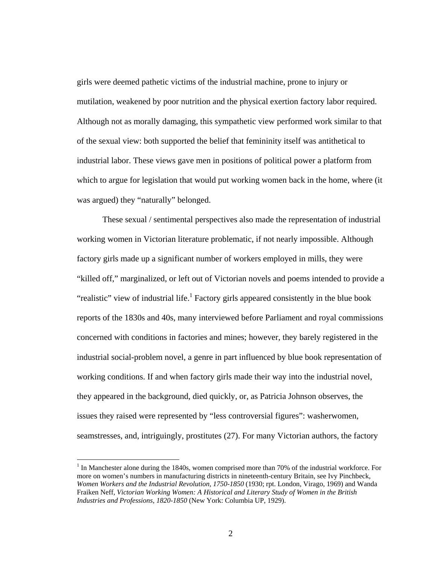girls were deemed pathetic victims of the industrial machine, prone to injury or mutilation, weakened by poor nutrition and the physical exertion factory labor required. Although not as morally damaging, this sympathetic view performed work similar to that of the sexual view: both supported the belief that femininity itself was antithetical to industrial labor. These views gave men in positions of political power a platform from which to argue for legislation that would put working women back in the home, where (it was argued) they "naturally" belonged.

 These sexual / sentimental perspectives also made the representation of industrial working women in Victorian literature problematic, if not nearly impossible. Although factory girls made up a significant number of workers employed in mills, they were "killed off," marginalized, or left out of Victorian novels and poems intended to provide a "realistic" view of industrial life.<sup>1</sup> Factory girls appeared consistently in the blue book reports of the 1830s and 40s, many interviewed before Parliament and royal commissions concerned with conditions in factories and mines; however, they barely registered in the industrial social-problem novel, a genre in part influenced by blue book representation of working conditions. If and when factory girls made their way into the industrial novel, they appeared in the background, died quickly, or, as Patricia Johnson observes, the issues they raised were represented by "less controversial figures": washerwomen, seamstresses, and, intriguingly, prostitutes (27). For many Victorian authors, the factory

 $\overline{a}$ 

<sup>&</sup>lt;sup>1</sup> In Manchester alone during the 1840s, women comprised more than 70% of the industrial workforce. For more on women's numbers in manufacturing districts in nineteenth-century Britain, see Ivy Pinchbeck, *Women Workers and the Industrial Revolution, 1750-1850* (1930; rpt. London, Virago, 1969) and Wanda Fraiken Neff, *Victorian Working Women: A Historical and Literary Study of Women in the British Industries and Professions*, *1820-1850* (New York: Columbia UP, 1929).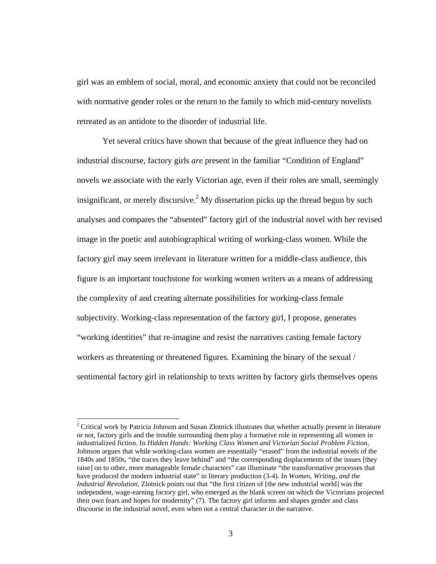girl was an emblem of social, moral, and economic anxiety that could not be reconciled with normative gender roles or the return to the family to which mid-century novelists retreated as an antidote to the disorder of industrial life.

 Yet several critics have shown that because of the great influence they had on industrial discourse, factory girls *are* present in the familiar "Condition of England" novels we associate with the early Victorian age, even if their roles are small, seemingly insignificant, or merely discursive.<sup>2</sup> My dissertation picks up the thread begun by such analyses and compares the "absented" factory girl of the industrial novel with her revised image in the poetic and autobiographical writing of working-class women. While the factory girl may seem irrelevant in literature written for a middle-class audience, this figure is an important touchstone for working women writers as a means of addressing the complexity of and creating alternate possibilities for working-class female subjectivity. Working-class representation of the factory girl, I propose, generates "working identities" that re-imagine and resist the narratives casting female factory workers as threatening or threatened figures. Examining the binary of the sexual / sentimental factory girl in relationship to texts written by factory girls themselves opens

 $\overline{a}$ 

 $2$  Critical work by Patricia Johnson and Susan Zlotnick illustrates that whether actually present in literature or not, factory girls and the trouble surrounding them play a formative role in representing all women in industrialized fiction. In *Hidden Hands: Working Class Women and Victorian Social Problem Fiction*, Johnson argues that while working-class women are essentially "erased" from the industrial novels of the 1840s and 1850s, "the traces they leave behind" and "the corresponding displacements of the issues [they raise] on to other, more manageable female characters" can illuminate "the transformative processes that have produced the modern industrial state" in literary production (3-4). In *Women, Writing, and the Industrial Revolution*, Zlotnick points out that "the first citizen of [the new industrial world] was the independent, wage-earning factory girl, who emerged as the blank screen on which the Victorians projected their own fears and hopes for modernity" (7). The factory girl informs and shapes gender and class discourse in the industrial novel, even when not a central character in the narrative.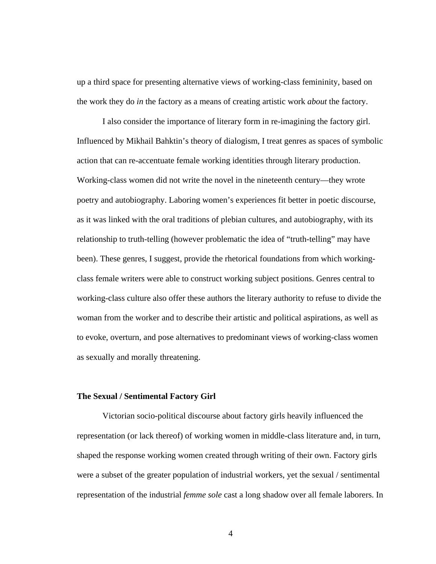up a third space for presenting alternative views of working-class femininity, based on the work they do *in* the factory as a means of creating artistic work *about* the factory.

I also consider the importance of literary form in re-imagining the factory girl. Influenced by Mikhail Bahktin's theory of dialogism, I treat genres as spaces of symbolic action that can re-accentuate female working identities through literary production. Working-class women did not write the novel in the nineteenth century—they wrote poetry and autobiography. Laboring women's experiences fit better in poetic discourse, as it was linked with the oral traditions of plebian cultures, and autobiography, with its relationship to truth-telling (however problematic the idea of "truth-telling" may have been). These genres, I suggest, provide the rhetorical foundations from which workingclass female writers were able to construct working subject positions. Genres central to working-class culture also offer these authors the literary authority to refuse to divide the woman from the worker and to describe their artistic and political aspirations, as well as to evoke, overturn, and pose alternatives to predominant views of working-class women as sexually and morally threatening.

#### **The Sexual / Sentimental Factory Girl**

Victorian socio-political discourse about factory girls heavily influenced the representation (or lack thereof) of working women in middle-class literature and, in turn, shaped the response working women created through writing of their own. Factory girls were a subset of the greater population of industrial workers, yet the sexual / sentimental representation of the industrial *femme sole* cast a long shadow over all female laborers. In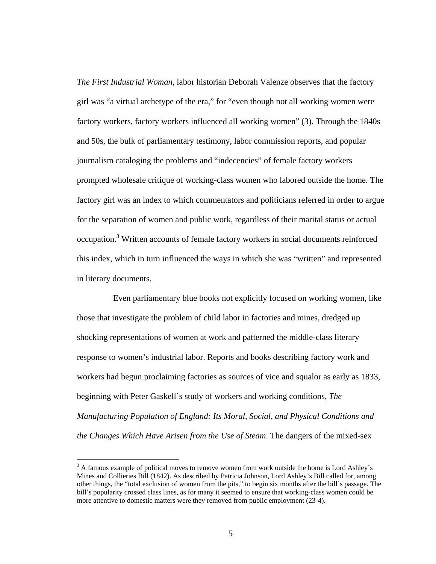*The First Industrial Woman*, labor historian Deborah Valenze observes that the factory girl was "a virtual archetype of the era," for "even though not all working women were factory workers, factory workers influenced all working women" (3). Through the 1840s and 50s, the bulk of parliamentary testimony, labor commission reports, and popular journalism cataloging the problems and "indecencies" of female factory workers prompted wholesale critique of working-class women who labored outside the home. The factory girl was an index to which commentators and politicians referred in order to argue for the separation of women and public work, regardless of their marital status or actual occupation.<sup>3</sup> Written accounts of female factory workers in social documents reinforced this index, which in turn influenced the ways in which she was "written" and represented in literary documents.

 Even parliamentary blue books not explicitly focused on working women, like those that investigate the problem of child labor in factories and mines, dredged up shocking representations of women at work and patterned the middle-class literary response to women's industrial labor. Reports and books describing factory work and workers had begun proclaiming factories as sources of vice and squalor as early as 1833, beginning with Peter Gaskell's study of workers and working conditions, *The Manufacturing Population of England: Its Moral, Social, and Physical Conditions and the Changes Which Have Arisen from the Use of Steam*. The dangers of the mixed-sex

 $\overline{a}$ 

 $3$  A famous example of political moves to remove women from work outside the home is Lord Ashley's Mines and Collieries Bill (1842). As described by Patricia Johnson, Lord Ashley's Bill called for, among other things, the "total exclusion of women from the pits," to begin six months after the bill's passage. The bill's popularity crossed class lines, as for many it seemed to ensure that working-class women could be more attentive to domestic matters were they removed from public employment (23-4).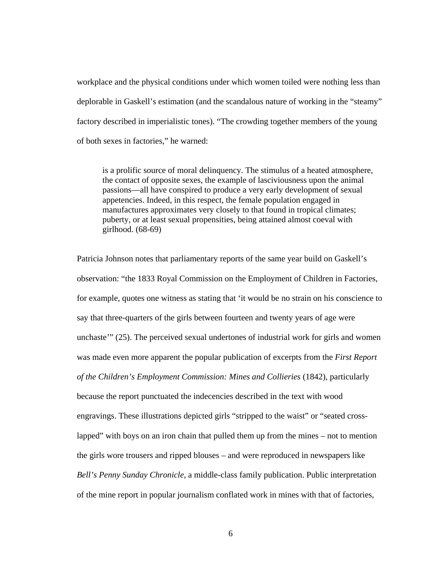workplace and the physical conditions under which women toiled were nothing less than deplorable in Gaskell's estimation (and the scandalous nature of working in the "steamy" factory described in imperialistic tones). "The crowding together members of the young of both sexes in factories," he warned:

is a prolific source of moral delinquency. The stimulus of a heated atmosphere, the contact of opposite sexes, the example of lasciviousness upon the animal passions—all have conspired to produce a very early development of sexual appetencies. Indeed, in this respect, the female population engaged in manufactures approximates very closely to that found in tropical climates; puberty, or at least sexual propensities, being attained almost coeval with girlhood. (68-69)

Patricia Johnson notes that parliamentary reports of the same year build on Gaskell's observation: "the 1833 Royal Commission on the Employment of Children in Factories, for example, quotes one witness as stating that 'it would be no strain on his conscience to say that three-quarters of the girls between fourteen and twenty years of age were unchaste'" (25). The perceived sexual undertones of industrial work for girls and women was made even more apparent the popular publication of excerpts from the *First Report of the Children's Employment Commission: Mines and Collieries* (1842), particularly because the report punctuated the indecencies described in the text with wood engravings. These illustrations depicted girls "stripped to the waist" or "seated crosslapped" with boys on an iron chain that pulled them up from the mines – not to mention the girls wore trousers and ripped blouses – and were reproduced in newspapers like *Bell's Penny Sunday Chronicle*, a middle-class family publication. Public interpretation of the mine report in popular journalism conflated work in mines with that of factories,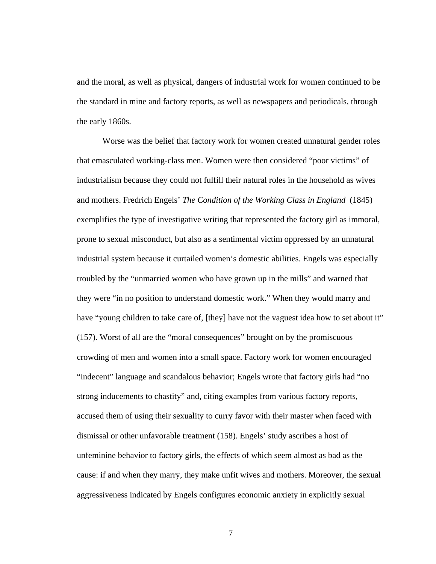and the moral, as well as physical, dangers of industrial work for women continued to be the standard in mine and factory reports, as well as newspapers and periodicals, through the early 1860s.

Worse was the belief that factory work for women created unnatural gender roles that emasculated working-class men. Women were then considered "poor victims" of industrialism because they could not fulfill their natural roles in the household as wives and mothers. Fredrich Engels' *The Condition of the Working Class in England* (1845) exemplifies the type of investigative writing that represented the factory girl as immoral, prone to sexual misconduct, but also as a sentimental victim oppressed by an unnatural industrial system because it curtailed women's domestic abilities. Engels was especially troubled by the "unmarried women who have grown up in the mills" and warned that they were "in no position to understand domestic work." When they would marry and have "young children to take care of, [they] have not the vaguest idea how to set about it" (157). Worst of all are the "moral consequences" brought on by the promiscuous crowding of men and women into a small space. Factory work for women encouraged "indecent" language and scandalous behavior; Engels wrote that factory girls had "no strong inducements to chastity" and, citing examples from various factory reports, accused them of using their sexuality to curry favor with their master when faced with dismissal or other unfavorable treatment (158). Engels' study ascribes a host of unfeminine behavior to factory girls, the effects of which seem almost as bad as the cause: if and when they marry, they make unfit wives and mothers. Moreover, the sexual aggressiveness indicated by Engels configures economic anxiety in explicitly sexual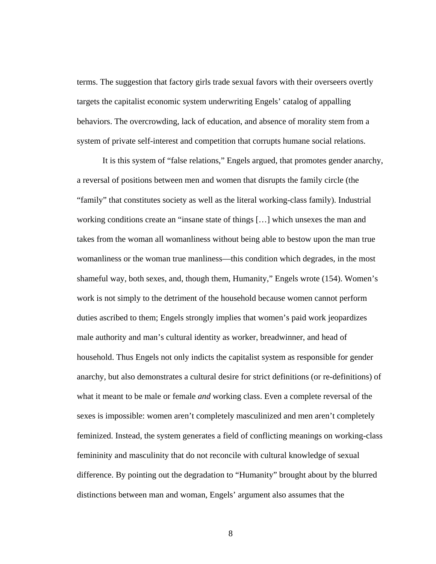terms. The suggestion that factory girls trade sexual favors with their overseers overtly targets the capitalist economic system underwriting Engels' catalog of appalling behaviors. The overcrowding, lack of education, and absence of morality stem from a system of private self-interest and competition that corrupts humane social relations.

It is this system of "false relations," Engels argued, that promotes gender anarchy, a reversal of positions between men and women that disrupts the family circle (the "family" that constitutes society as well as the literal working-class family). Industrial working conditions create an "insane state of things […] which unsexes the man and takes from the woman all womanliness without being able to bestow upon the man true womanliness or the woman true manliness—this condition which degrades, in the most shameful way, both sexes, and, though them, Humanity," Engels wrote (154). Women's work is not simply to the detriment of the household because women cannot perform duties ascribed to them; Engels strongly implies that women's paid work jeopardizes male authority and man's cultural identity as worker, breadwinner, and head of household. Thus Engels not only indicts the capitalist system as responsible for gender anarchy, but also demonstrates a cultural desire for strict definitions (or re-definitions) of what it meant to be male or female *and* working class. Even a complete reversal of the sexes is impossible: women aren't completely masculinized and men aren't completely feminized. Instead, the system generates a field of conflicting meanings on working-class femininity and masculinity that do not reconcile with cultural knowledge of sexual difference. By pointing out the degradation to "Humanity" brought about by the blurred distinctions between man and woman, Engels' argument also assumes that the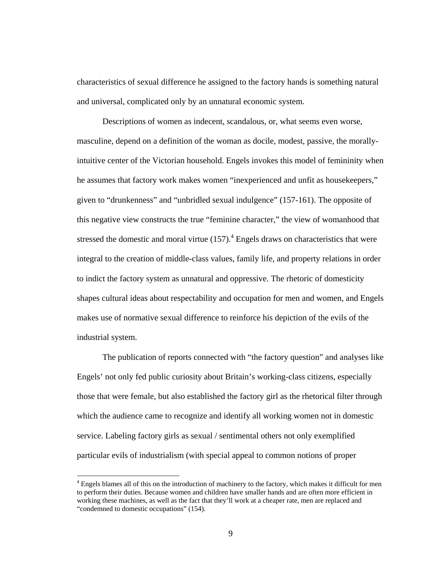characteristics of sexual difference he assigned to the factory hands is something natural and universal, complicated only by an unnatural economic system.

 Descriptions of women as indecent, scandalous, or, what seems even worse, masculine, depend on a definition of the woman as docile, modest, passive, the morallyintuitive center of the Victorian household. Engels invokes this model of femininity when he assumes that factory work makes women "inexperienced and unfit as housekeepers," given to "drunkenness" and "unbridled sexual indulgence" (157-161). The opposite of this negative view constructs the true "feminine character," the view of womanhood that stressed the domestic and moral virtue  $(157)$ .<sup>4</sup> Engels draws on characteristics that were integral to the creation of middle-class values, family life, and property relations in order to indict the factory system as unnatural and oppressive. The rhetoric of domesticity shapes cultural ideas about respectability and occupation for men and women, and Engels makes use of normative sexual difference to reinforce his depiction of the evils of the industrial system.

 The publication of reports connected with "the factory question" and analyses like Engels' not only fed public curiosity about Britain's working-class citizens, especially those that were female, but also established the factory girl as the rhetorical filter through which the audience came to recognize and identify all working women not in domestic service. Labeling factory girls as sexual / sentimental others not only exemplified particular evils of industrialism (with special appeal to common notions of proper

 $\overline{a}$ 

<sup>&</sup>lt;sup>4</sup> Engels blames all of this on the introduction of machinery to the factory, which makes it difficult for men to perform their duties. Because women and children have smaller hands and are often more efficient in working these machines, as well as the fact that they'll work at a cheaper rate, men are replaced and "condemned to domestic occupations" (154).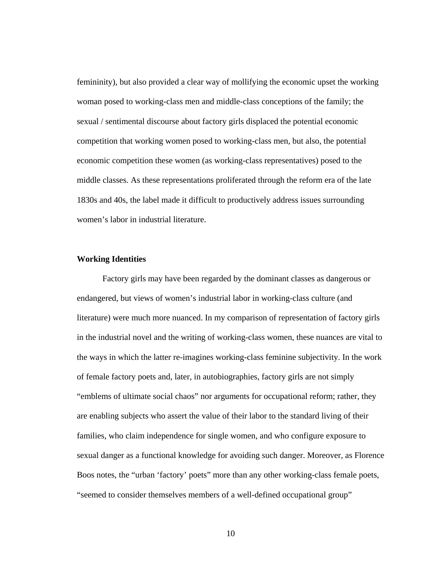femininity), but also provided a clear way of mollifying the economic upset the working woman posed to working-class men and middle-class conceptions of the family; the sexual / sentimental discourse about factory girls displaced the potential economic competition that working women posed to working-class men, but also, the potential economic competition these women (as working-class representatives) posed to the middle classes. As these representations proliferated through the reform era of the late 1830s and 40s, the label made it difficult to productively address issues surrounding women's labor in industrial literature.

#### **Working Identities**

 Factory girls may have been regarded by the dominant classes as dangerous or endangered, but views of women's industrial labor in working-class culture (and literature) were much more nuanced. In my comparison of representation of factory girls in the industrial novel and the writing of working-class women, these nuances are vital to the ways in which the latter re-imagines working-class feminine subjectivity. In the work of female factory poets and, later, in autobiographies, factory girls are not simply "emblems of ultimate social chaos" nor arguments for occupational reform; rather, they are enabling subjects who assert the value of their labor to the standard living of their families, who claim independence for single women, and who configure exposure to sexual danger as a functional knowledge for avoiding such danger. Moreover, as Florence Boos notes, the "urban 'factory' poets" more than any other working-class female poets, "seemed to consider themselves members of a well-defined occupational group"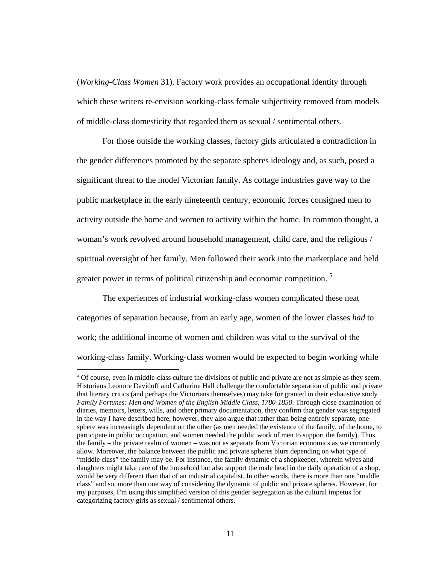(*Working-Class Women* 31). Factory work provides an occupational identity through which these writers re-envision working-class female subjectivity removed from models of middle-class domesticity that regarded them as sexual / sentimental others.

For those outside the working classes, factory girls articulated a contradiction in the gender differences promoted by the separate spheres ideology and, as such, posed a significant threat to the model Victorian family. As cottage industries gave way to the public marketplace in the early nineteenth century, economic forces consigned men to activity outside the home and women to activity within the home. In common thought, a woman's work revolved around household management, child care, and the religious / spiritual oversight of her family. Men followed their work into the marketplace and held greater power in terms of political citizenship and economic competition.<sup>5</sup>

The experiences of industrial working-class women complicated these neat categories of separation because, from an early age, women of the lower classes *had* to work; the additional income of women and children was vital to the survival of the working-class family. Working-class women would be expected to begin working while

<sup>&</sup>lt;sup>5</sup> Of course, even in middle-class culture the divisions of public and private are not as simple as they seem. Historians Leonore Davidoff and Catherine Hall challenge the comfortable separation of public and private that literary critics (and perhaps the Victorians themselves) may take for granted in their exhaustive study *Family Fortunes: Men and Women of the English Middle Class, 1780-1850*. Through close examination of diaries, memoirs, letters, wills, and other primary documentation, they confirm that gender was segregated in the way I have described here; however, they also argue that rather than being entirely separate, one sphere was increasingly dependent on the other (as men needed the existence of the family, of the home, to participate in public occupation, and women needed the public work of men to support the family). Thus, the family – the private realm of women – was not as separate from Victorian economics as we commonly allow. Moreover, the balance between the public and private spheres blurs depending on what type of "middle class" the family may be. For instance, the family dynamic of a shopkeeper, wherein wives and daughters might take care of the household but also support the male head in the daily operation of a shop, would be very different than that of an industrial capitalist. In other words, there is more than one "middle class" and so, more than one way of considering the dynamic of public and private spheres. However, for my purposes, I'm using this simplified version of this gender segregation as the cultural impetus for categorizing factory girls as sexual / sentimental others.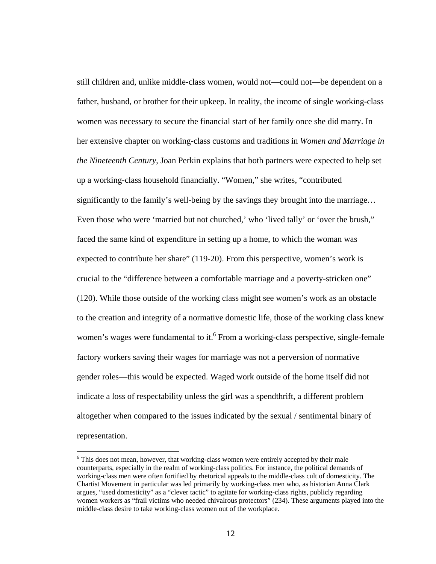still children and, unlike middle-class women, would not—could not—be dependent on a father, husband, or brother for their upkeep. In reality, the income of single working-class women was necessary to secure the financial start of her family once she did marry. In her extensive chapter on working-class customs and traditions in *Women and Marriage in the Nineteenth Century*, Joan Perkin explains that both partners were expected to help set up a working-class household financially. "Women," she writes, "contributed significantly to the family's well-being by the savings they brought into the marriage... Even those who were 'married but not churched,' who 'lived tally' or 'over the brush," faced the same kind of expenditure in setting up a home, to which the woman was expected to contribute her share" (119-20). From this perspective, women's work is crucial to the "difference between a comfortable marriage and a poverty-stricken one" (120). While those outside of the working class might see women's work as an obstacle to the creation and integrity of a normative domestic life, those of the working class knew women's wages were fundamental to it.<sup>6</sup> From a working-class perspective, single-female factory workers saving their wages for marriage was not a perversion of normative gender roles—this would be expected. Waged work outside of the home itself did not indicate a loss of respectability unless the girl was a spendthrift, a different problem altogether when compared to the issues indicated by the sexual / sentimental binary of representation.

 $\overline{a}$ 

 $6$  This does not mean, however, that working-class women were entirely accepted by their male counterparts, especially in the realm of working-class politics. For instance, the political demands of working-class men were often fortified by rhetorical appeals to the middle-class cult of domesticity. The Chartist Movement in particular was led primarily by working-class men who, as historian Anna Clark argues, "used domesticity" as a "clever tactic" to agitate for working-class rights, publicly regarding women workers as "frail victims who needed chivalrous protectors" (234). These arguments played into the middle-class desire to take working-class women out of the workplace.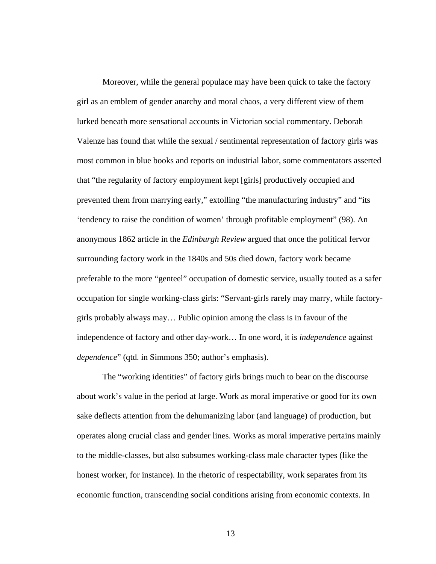Moreover, while the general populace may have been quick to take the factory girl as an emblem of gender anarchy and moral chaos, a very different view of them lurked beneath more sensational accounts in Victorian social commentary. Deborah Valenze has found that while the sexual / sentimental representation of factory girls was most common in blue books and reports on industrial labor, some commentators asserted that "the regularity of factory employment kept [girls] productively occupied and prevented them from marrying early," extolling "the manufacturing industry" and "its 'tendency to raise the condition of women' through profitable employment" (98). An anonymous 1862 article in the *Edinburgh Review* argued that once the political fervor surrounding factory work in the 1840s and 50s died down, factory work became preferable to the more "genteel" occupation of domestic service, usually touted as a safer occupation for single working-class girls: "Servant-girls rarely may marry, while factorygirls probably always may… Public opinion among the class is in favour of the independence of factory and other day-work… In one word, it is *independence* against *dependence*" (qtd. in Simmons 350; author's emphasis).

 The "working identities" of factory girls brings much to bear on the discourse about work's value in the period at large. Work as moral imperative or good for its own sake deflects attention from the dehumanizing labor (and language) of production, but operates along crucial class and gender lines. Works as moral imperative pertains mainly to the middle-classes, but also subsumes working-class male character types (like the honest worker, for instance). In the rhetoric of respectability, work separates from its economic function, transcending social conditions arising from economic contexts. In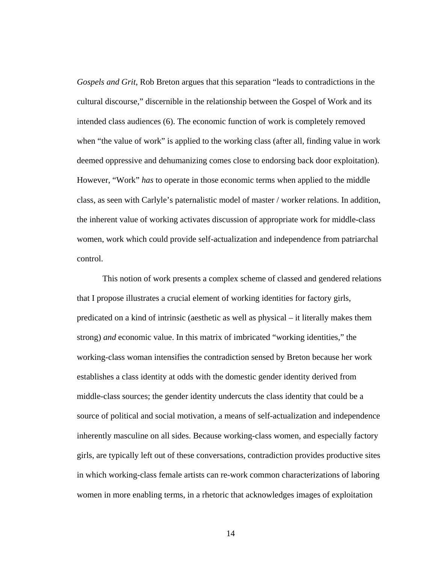*Gospels and Grit*, Rob Breton argues that this separation "leads to contradictions in the cultural discourse," discernible in the relationship between the Gospel of Work and its intended class audiences (6). The economic function of work is completely removed when "the value of work" is applied to the working class (after all, finding value in work deemed oppressive and dehumanizing comes close to endorsing back door exploitation). However, "Work" *has* to operate in those economic terms when applied to the middle class, as seen with Carlyle's paternalistic model of master / worker relations. In addition, the inherent value of working activates discussion of appropriate work for middle-class women, work which could provide self-actualization and independence from patriarchal control.

 This notion of work presents a complex scheme of classed and gendered relations that I propose illustrates a crucial element of working identities for factory girls, predicated on a kind of intrinsic (aesthetic as well as physical – it literally makes them strong) *and* economic value. In this matrix of imbricated "working identities," the working-class woman intensifies the contradiction sensed by Breton because her work establishes a class identity at odds with the domestic gender identity derived from middle-class sources; the gender identity undercuts the class identity that could be a source of political and social motivation, a means of self-actualization and independence inherently masculine on all sides. Because working-class women, and especially factory girls, are typically left out of these conversations, contradiction provides productive sites in which working-class female artists can re-work common characterizations of laboring women in more enabling terms, in a rhetoric that acknowledges images of exploitation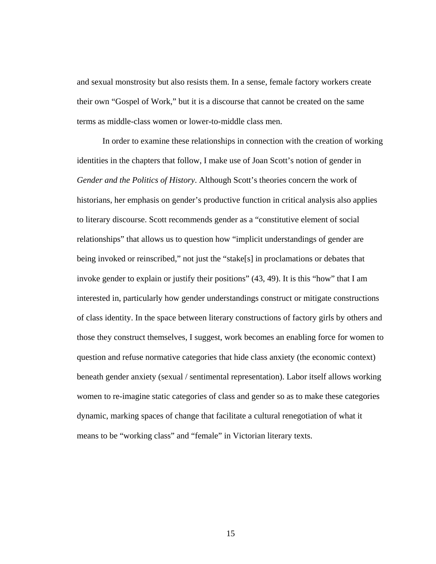and sexual monstrosity but also resists them. In a sense, female factory workers create their own "Gospel of Work," but it is a discourse that cannot be created on the same terms as middle-class women or lower-to-middle class men.

 In order to examine these relationships in connection with the creation of working identities in the chapters that follow, I make use of Joan Scott's notion of gender in *Gender and the Politics of History*. Although Scott's theories concern the work of historians, her emphasis on gender's productive function in critical analysis also applies to literary discourse. Scott recommends gender as a "constitutive element of social relationships" that allows us to question how "implicit understandings of gender are being invoked or reinscribed," not just the "stake[s] in proclamations or debates that invoke gender to explain or justify their positions" (43, 49). It is this "how" that I am interested in, particularly how gender understandings construct or mitigate constructions of class identity. In the space between literary constructions of factory girls by others and those they construct themselves, I suggest, work becomes an enabling force for women to question and refuse normative categories that hide class anxiety (the economic context) beneath gender anxiety (sexual / sentimental representation). Labor itself allows working women to re-imagine static categories of class and gender so as to make these categories dynamic, marking spaces of change that facilitate a cultural renegotiation of what it means to be "working class" and "female" in Victorian literary texts.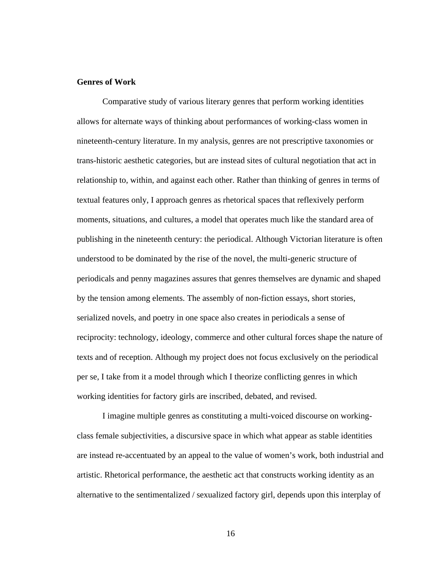# **Genres of Work**

Comparative study of various literary genres that perform working identities allows for alternate ways of thinking about performances of working-class women in nineteenth-century literature. In my analysis, genres are not prescriptive taxonomies or trans-historic aesthetic categories, but are instead sites of cultural negotiation that act in relationship to, within, and against each other. Rather than thinking of genres in terms of textual features only, I approach genres as rhetorical spaces that reflexively perform moments, situations, and cultures, a model that operates much like the standard area of publishing in the nineteenth century: the periodical. Although Victorian literature is often understood to be dominated by the rise of the novel, the multi-generic structure of periodicals and penny magazines assures that genres themselves are dynamic and shaped by the tension among elements. The assembly of non-fiction essays, short stories, serialized novels, and poetry in one space also creates in periodicals a sense of reciprocity: technology, ideology, commerce and other cultural forces shape the nature of texts and of reception. Although my project does not focus exclusively on the periodical per se, I take from it a model through which I theorize conflicting genres in which working identities for factory girls are inscribed, debated, and revised.

I imagine multiple genres as constituting a multi-voiced discourse on workingclass female subjectivities, a discursive space in which what appear as stable identities are instead re-accentuated by an appeal to the value of women's work, both industrial and artistic. Rhetorical performance, the aesthetic act that constructs working identity as an alternative to the sentimentalized / sexualized factory girl, depends upon this interplay of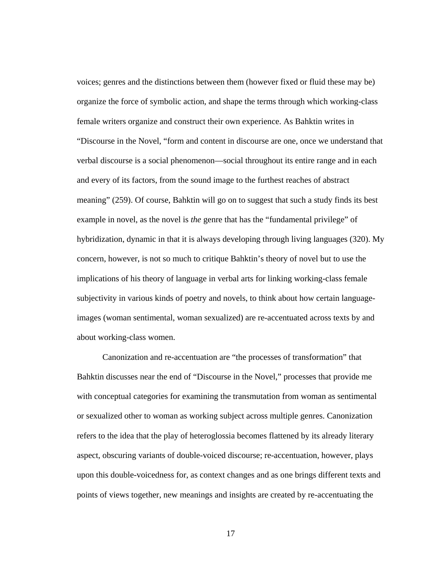voices; genres and the distinctions between them (however fixed or fluid these may be) organize the force of symbolic action, and shape the terms through which working-class female writers organize and construct their own experience. As Bahktin writes in "Discourse in the Novel, "form and content in discourse are one, once we understand that verbal discourse is a social phenomenon—social throughout its entire range and in each and every of its factors, from the sound image to the furthest reaches of abstract meaning" (259). Of course, Bahktin will go on to suggest that such a study finds its best example in novel, as the novel is *the* genre that has the "fundamental privilege" of hybridization, dynamic in that it is always developing through living languages (320). My concern, however, is not so much to critique Bahktin's theory of novel but to use the implications of his theory of language in verbal arts for linking working-class female subjectivity in various kinds of poetry and novels, to think about how certain languageimages (woman sentimental, woman sexualized) are re-accentuated across texts by and about working-class women.

Canonization and re-accentuation are "the processes of transformation" that Bahktin discusses near the end of "Discourse in the Novel," processes that provide me with conceptual categories for examining the transmutation from woman as sentimental or sexualized other to woman as working subject across multiple genres. Canonization refers to the idea that the play of heteroglossia becomes flattened by its already literary aspect, obscuring variants of double-voiced discourse; re-accentuation, however, plays upon this double-voicedness for, as context changes and as one brings different texts and points of views together, new meanings and insights are created by re-accentuating the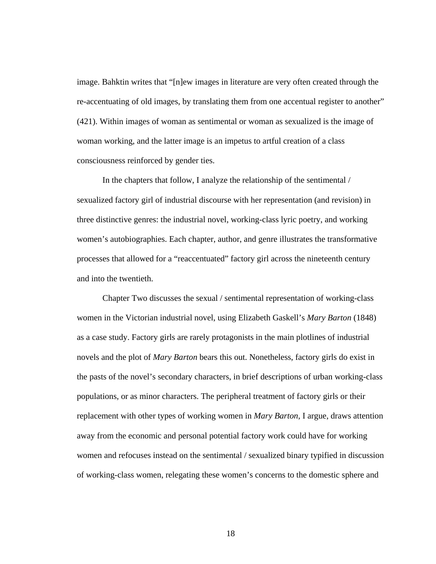image. Bahktin writes that "[n]ew images in literature are very often created through the re-accentuating of old images, by translating them from one accentual register to another" (421). Within images of woman as sentimental or woman as sexualized is the image of woman working, and the latter image is an impetus to artful creation of a class consciousness reinforced by gender ties.

In the chapters that follow, I analyze the relationship of the sentimental / sexualized factory girl of industrial discourse with her representation (and revision) in three distinctive genres: the industrial novel, working-class lyric poetry, and working women's autobiographies. Each chapter, author, and genre illustrates the transformative processes that allowed for a "reaccentuated" factory girl across the nineteenth century and into the twentieth.

 Chapter Two discusses the sexual / sentimental representation of working-class women in the Victorian industrial novel, using Elizabeth Gaskell's *Mary Barton* (1848) as a case study. Factory girls are rarely protagonists in the main plotlines of industrial novels and the plot of *Mary Barton* bears this out. Nonetheless, factory girls do exist in the pasts of the novel's secondary characters, in brief descriptions of urban working-class populations, or as minor characters. The peripheral treatment of factory girls or their replacement with other types of working women in *Mary Barton*, I argue, draws attention away from the economic and personal potential factory work could have for working women and refocuses instead on the sentimental / sexualized binary typified in discussion of working-class women, relegating these women's concerns to the domestic sphere and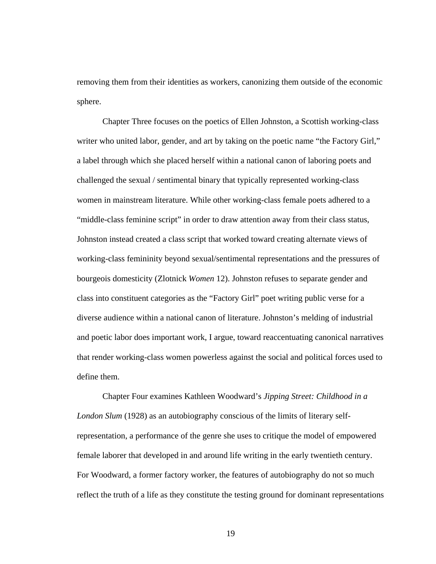removing them from their identities as workers, canonizing them outside of the economic sphere.

 Chapter Three focuses on the poetics of Ellen Johnston, a Scottish working-class writer who united labor, gender, and art by taking on the poetic name "the Factory Girl," a label through which she placed herself within a national canon of laboring poets and challenged the sexual / sentimental binary that typically represented working-class women in mainstream literature. While other working-class female poets adhered to a "middle-class feminine script" in order to draw attention away from their class status, Johnston instead created a class script that worked toward creating alternate views of working-class femininity beyond sexual/sentimental representations and the pressures of bourgeois domesticity (Zlotnick *Women* 12). Johnston refuses to separate gender and class into constituent categories as the "Factory Girl" poet writing public verse for a diverse audience within a national canon of literature. Johnston's melding of industrial and poetic labor does important work, I argue, toward reaccentuating canonical narratives that render working-class women powerless against the social and political forces used to define them.

Chapter Four examines Kathleen Woodward's *Jipping Street: Childhood in a London Slum* (1928) as an autobiography conscious of the limits of literary selfrepresentation, a performance of the genre she uses to critique the model of empowered female laborer that developed in and around life writing in the early twentieth century. For Woodward, a former factory worker, the features of autobiography do not so much reflect the truth of a life as they constitute the testing ground for dominant representations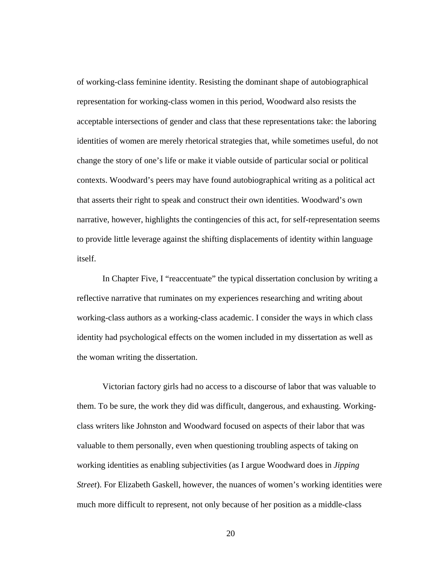of working-class feminine identity. Resisting the dominant shape of autobiographical representation for working-class women in this period, Woodward also resists the acceptable intersections of gender and class that these representations take: the laboring identities of women are merely rhetorical strategies that, while sometimes useful, do not change the story of one's life or make it viable outside of particular social or political contexts. Woodward's peers may have found autobiographical writing as a political act that asserts their right to speak and construct their own identities. Woodward's own narrative, however, highlights the contingencies of this act, for self-representation seems to provide little leverage against the shifting displacements of identity within language itself.

In Chapter Five, I "reaccentuate" the typical dissertation conclusion by writing a reflective narrative that ruminates on my experiences researching and writing about working-class authors as a working-class academic. I consider the ways in which class identity had psychological effects on the women included in my dissertation as well as the woman writing the dissertation.

 Victorian factory girls had no access to a discourse of labor that was valuable to them. To be sure, the work they did was difficult, dangerous, and exhausting. Workingclass writers like Johnston and Woodward focused on aspects of their labor that was valuable to them personally, even when questioning troubling aspects of taking on working identities as enabling subjectivities (as I argue Woodward does in *Jipping Street*). For Elizabeth Gaskell, however, the nuances of women's working identities were much more difficult to represent, not only because of her position as a middle-class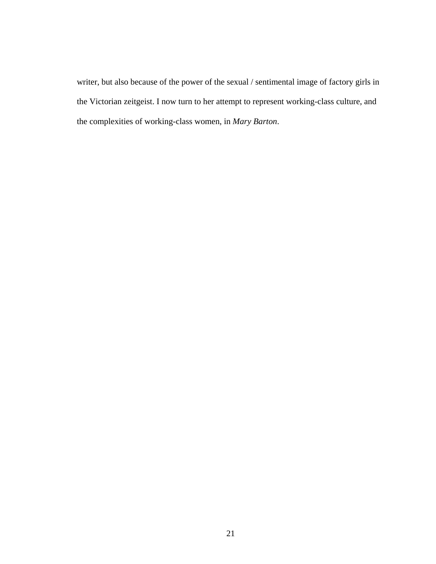writer, but also because of the power of the sexual / sentimental image of factory girls in the Victorian zeitgeist. I now turn to her attempt to represent working-class culture, and the complexities of working-class women, in *Mary Barton*.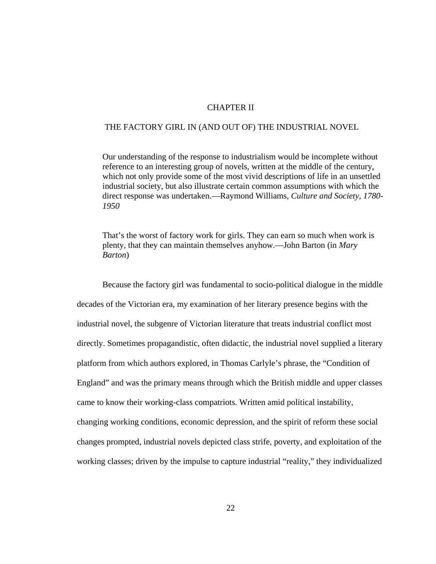#### CHAPTER II

#### THE FACTORY GIRL IN (AND OUT OF) THE INDUSTRIAL NOVEL

 Our understanding of the response to industrialism would be incomplete without reference to an interesting group of novels, written at the middle of the century, which not only provide some of the most vivid descriptions of life in an unsettled industrial society, but also illustrate certain common assumptions with which the direct response was undertaken.—Raymond Williams, *Culture and Society, 1780- 1950* 

 That's the worst of factory work for girls. They can earn so much when work is plenty, that they can maintain themselves anyhow.—John Barton (in *Mary Barton*)

Because the factory girl was fundamental to socio-political dialogue in the middle decades of the Victorian era, my examination of her literary presence begins with the industrial novel, the subgenre of Victorian literature that treats industrial conflict most directly. Sometimes propagandistic, often didactic, the industrial novel supplied a literary platform from which authors explored, in Thomas Carlyle's phrase, the "Condition of England" and was the primary means through which the British middle and upper classes came to know their working-class compatriots. Written amid political instability, changing working conditions, economic depression, and the spirit of reform these social changes prompted, industrial novels depicted class strife, poverty, and exploitation of the working classes; driven by the impulse to capture industrial "reality," they individualized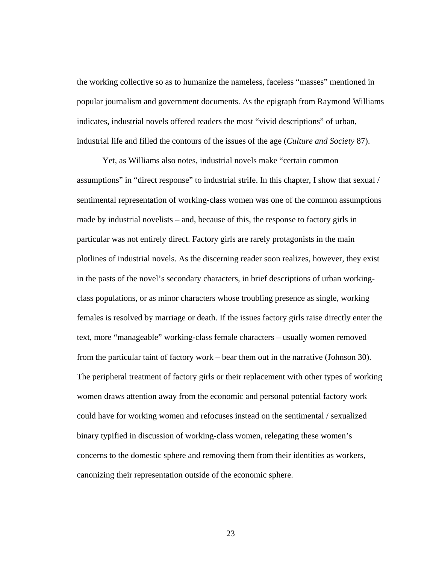the working collective so as to humanize the nameless, faceless "masses" mentioned in popular journalism and government documents. As the epigraph from Raymond Williams indicates, industrial novels offered readers the most "vivid descriptions" of urban, industrial life and filled the contours of the issues of the age (*Culture and Society* 87).

Yet, as Williams also notes, industrial novels make "certain common assumptions" in "direct response" to industrial strife. In this chapter, I show that sexual / sentimental representation of working-class women was one of the common assumptions made by industrial novelists – and, because of this, the response to factory girls in particular was not entirely direct. Factory girls are rarely protagonists in the main plotlines of industrial novels. As the discerning reader soon realizes, however, they exist in the pasts of the novel's secondary characters, in brief descriptions of urban workingclass populations, or as minor characters whose troubling presence as single, working females is resolved by marriage or death. If the issues factory girls raise directly enter the text, more "manageable" working-class female characters – usually women removed from the particular taint of factory work – bear them out in the narrative (Johnson 30). The peripheral treatment of factory girls or their replacement with other types of working women draws attention away from the economic and personal potential factory work could have for working women and refocuses instead on the sentimental / sexualized binary typified in discussion of working-class women, relegating these women's concerns to the domestic sphere and removing them from their identities as workers, canonizing their representation outside of the economic sphere.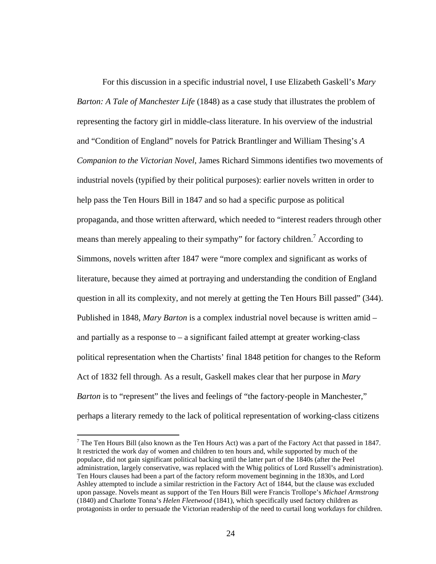For this discussion in a specific industrial novel, I use Elizabeth Gaskell's *Mary Barton: A Tale of Manchester Life* (1848) as a case study that illustrates the problem of representing the factory girl in middle-class literature. In his overview of the industrial and "Condition of England" novels for Patrick Brantlinger and William Thesing's *A Companion to the Victorian Novel*, James Richard Simmons identifies two movements of industrial novels (typified by their political purposes): earlier novels written in order to help pass the Ten Hours Bill in 1847 and so had a specific purpose as political propaganda, and those written afterward, which needed to "interest readers through other means than merely appealing to their sympathy" for factory children.<sup>7</sup> According to Simmons, novels written after 1847 were "more complex and significant as works of literature, because they aimed at portraying and understanding the condition of England question in all its complexity, and not merely at getting the Ten Hours Bill passed" (344). Published in 1848, *Mary Barton* is a complex industrial novel because is written amid – and partially as a response to – a significant failed attempt at greater working-class political representation when the Chartists' final 1848 petition for changes to the Reform Act of 1832 fell through. As a result, Gaskell makes clear that her purpose in *Mary Barton* is to "represent" the lives and feelings of "the factory-people in Manchester," perhaps a literary remedy to the lack of political representation of working-class citizens

 $\overline{a}$ 

<sup>&</sup>lt;sup>7</sup> The Ten Hours Bill (also known as the Ten Hours Act) was a part of the Factory Act that passed in 1847. It restricted the work day of women and children to ten hours and, while supported by much of the populace, did not gain significant political backing until the latter part of the 1840s (after the Peel administration, largely conservative, was replaced with the Whig politics of Lord Russell's administration). Ten Hours clauses had been a part of the factory reform movement beginning in the 1830s, and Lord Ashley attempted to include a similar restriction in the Factory Act of 1844, but the clause was excluded upon passage. Novels meant as support of the Ten Hours Bill were Francis Trollope's *Michael Armstrong* (1840) and Charlotte Tonna's *Helen Fleetwood* (1841), which specifically used factory children as protagonists in order to persuade the Victorian readership of the need to curtail long workdays for children.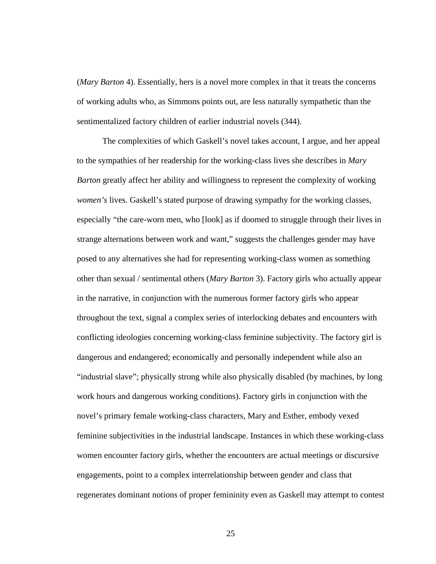(*Mary Barton* 4). Essentially, hers is a novel more complex in that it treats the concerns of working adults who, as Simmons points out, are less naturally sympathetic than the sentimentalized factory children of earlier industrial novels (344).

The complexities of which Gaskell's novel takes account, I argue, and her appeal to the sympathies of her readership for the working-class lives she describes in *Mary Barton* greatly affect her ability and willingness to represent the complexity of working *women's* lives. Gaskell's stated purpose of drawing sympathy for the working classes, especially "the care-worn men, who [look] as if doomed to struggle through their lives in strange alternations between work and want," suggests the challenges gender may have posed to any alternatives she had for representing working-class women as something other than sexual / sentimental others (*Mary Barton* 3). Factory girls who actually appear in the narrative, in conjunction with the numerous former factory girls who appear throughout the text, signal a complex series of interlocking debates and encounters with conflicting ideologies concerning working-class feminine subjectivity. The factory girl is dangerous and endangered; economically and personally independent while also an "industrial slave"; physically strong while also physically disabled (by machines, by long work hours and dangerous working conditions). Factory girls in conjunction with the novel's primary female working-class characters, Mary and Esther, embody vexed feminine subjectivities in the industrial landscape. Instances in which these working-class women encounter factory girls, whether the encounters are actual meetings or discursive engagements, point to a complex interrelationship between gender and class that regenerates dominant notions of proper femininity even as Gaskell may attempt to contest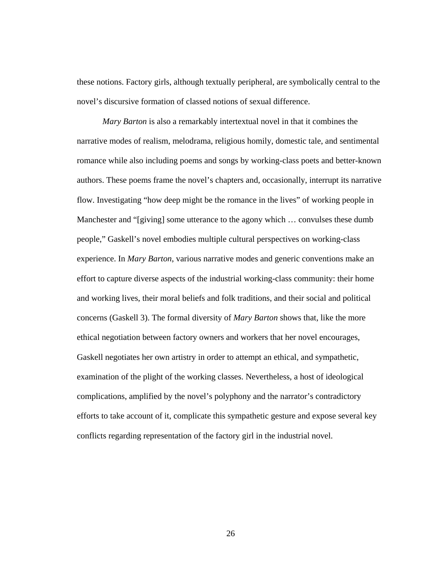these notions. Factory girls, although textually peripheral, are symbolically central to the novel's discursive formation of classed notions of sexual difference.

*Mary Barton* is also a remarkably intertextual novel in that it combines the narrative modes of realism, melodrama, religious homily, domestic tale, and sentimental romance while also including poems and songs by working-class poets and better-known authors. These poems frame the novel's chapters and, occasionally, interrupt its narrative flow. Investigating "how deep might be the romance in the lives" of working people in Manchester and "[giving] some utterance to the agony which … convulses these dumb people," Gaskell's novel embodies multiple cultural perspectives on working-class experience. In *Mary Barton*, various narrative modes and generic conventions make an effort to capture diverse aspects of the industrial working-class community: their home and working lives, their moral beliefs and folk traditions, and their social and political concerns (Gaskell 3). The formal diversity of *Mary Barton* shows that, like the more ethical negotiation between factory owners and workers that her novel encourages, Gaskell negotiates her own artistry in order to attempt an ethical, and sympathetic, examination of the plight of the working classes. Nevertheless, a host of ideological complications, amplified by the novel's polyphony and the narrator's contradictory efforts to take account of it, complicate this sympathetic gesture and expose several key conflicts regarding representation of the factory girl in the industrial novel.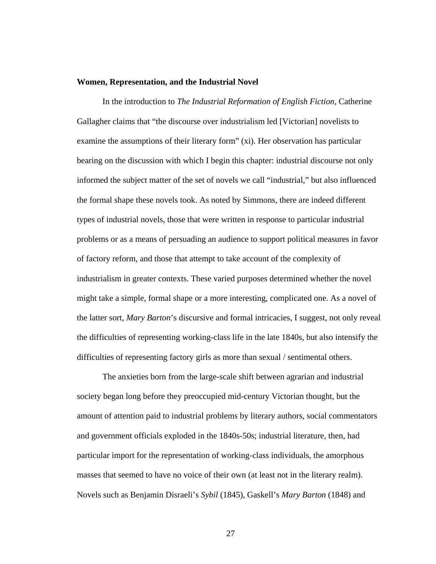#### **Women, Representation, and the Industrial Novel**

In the introduction to *The Industrial Reformation of English Fiction*, Catherine Gallagher claims that "the discourse over industrialism led [Victorian] novelists to examine the assumptions of their literary form" (xi). Her observation has particular bearing on the discussion with which I begin this chapter: industrial discourse not only informed the subject matter of the set of novels we call "industrial," but also influenced the formal shape these novels took. As noted by Simmons, there are indeed different types of industrial novels, those that were written in response to particular industrial problems or as a means of persuading an audience to support political measures in favor of factory reform, and those that attempt to take account of the complexity of industrialism in greater contexts. These varied purposes determined whether the novel might take a simple, formal shape or a more interesting, complicated one. As a novel of the latter sort, *Mary Barton*'s discursive and formal intricacies, I suggest, not only reveal the difficulties of representing working-class life in the late 1840s, but also intensify the difficulties of representing factory girls as more than sexual / sentimental others.

The anxieties born from the large-scale shift between agrarian and industrial society began long before they preoccupied mid-century Victorian thought, but the amount of attention paid to industrial problems by literary authors, social commentators and government officials exploded in the 1840s-50s; industrial literature, then, had particular import for the representation of working-class individuals, the amorphous masses that seemed to have no voice of their own (at least not in the literary realm). Novels such as Benjamin Disraeli's *Sybil* (1845), Gaskell's *Mary Barton* (1848) and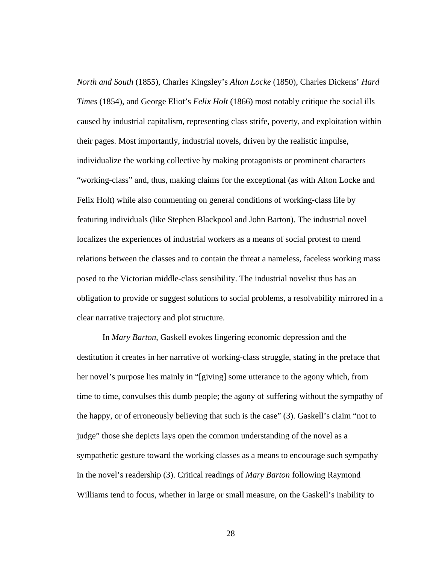*North and South* (1855), Charles Kingsley's *Alton Locke* (1850), Charles Dickens' *Hard Times* (1854), and George Eliot's *Felix Holt* (1866) most notably critique the social ills caused by industrial capitalism, representing class strife, poverty, and exploitation within their pages. Most importantly, industrial novels, driven by the realistic impulse, individualize the working collective by making protagonists or prominent characters "working-class" and, thus, making claims for the exceptional (as with Alton Locke and Felix Holt) while also commenting on general conditions of working-class life by featuring individuals (like Stephen Blackpool and John Barton). The industrial novel localizes the experiences of industrial workers as a means of social protest to mend relations between the classes and to contain the threat a nameless, faceless working mass posed to the Victorian middle-class sensibility. The industrial novelist thus has an obligation to provide or suggest solutions to social problems, a resolvability mirrored in a clear narrative trajectory and plot structure.

In *Mary Barton*, Gaskell evokes lingering economic depression and the destitution it creates in her narrative of working-class struggle, stating in the preface that her novel's purpose lies mainly in "[giving] some utterance to the agony which, from time to time, convulses this dumb people; the agony of suffering without the sympathy of the happy, or of erroneously believing that such is the case" (3). Gaskell's claim "not to judge" those she depicts lays open the common understanding of the novel as a sympathetic gesture toward the working classes as a means to encourage such sympathy in the novel's readership (3). Critical readings of *Mary Barton* following Raymond Williams tend to focus, whether in large or small measure, on the Gaskell's inability to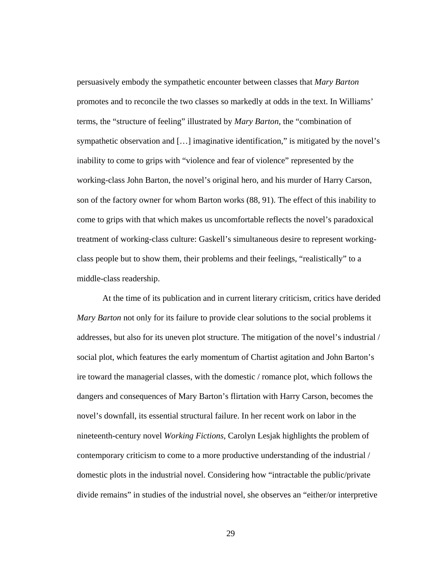persuasively embody the sympathetic encounter between classes that *Mary Barton* promotes and to reconcile the two classes so markedly at odds in the text. In Williams' terms, the "structure of feeling" illustrated by *Mary Barton*, the "combination of sympathetic observation and [...] imaginative identification," is mitigated by the novel's inability to come to grips with "violence and fear of violence" represented by the working-class John Barton, the novel's original hero, and his murder of Harry Carson, son of the factory owner for whom Barton works (88, 91). The effect of this inability to come to grips with that which makes us uncomfortable reflects the novel's paradoxical treatment of working-class culture: Gaskell's simultaneous desire to represent workingclass people but to show them, their problems and their feelings, "realistically" to a middle-class readership.

At the time of its publication and in current literary criticism, critics have derided *Mary Barton* not only for its failure to provide clear solutions to the social problems it addresses, but also for its uneven plot structure. The mitigation of the novel's industrial / social plot, which features the early momentum of Chartist agitation and John Barton's ire toward the managerial classes, with the domestic / romance plot, which follows the dangers and consequences of Mary Barton's flirtation with Harry Carson, becomes the novel's downfall, its essential structural failure. In her recent work on labor in the nineteenth-century novel *Working Fictions*, Carolyn Lesjak highlights the problem of contemporary criticism to come to a more productive understanding of the industrial / domestic plots in the industrial novel. Considering how "intractable the public/private divide remains" in studies of the industrial novel, she observes an "either/or interpretive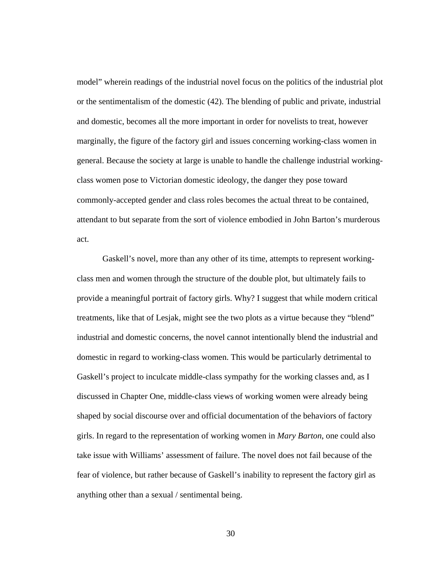model" wherein readings of the industrial novel focus on the politics of the industrial plot or the sentimentalism of the domestic (42). The blending of public and private, industrial and domestic, becomes all the more important in order for novelists to treat, however marginally, the figure of the factory girl and issues concerning working-class women in general. Because the society at large is unable to handle the challenge industrial workingclass women pose to Victorian domestic ideology, the danger they pose toward commonly-accepted gender and class roles becomes the actual threat to be contained, attendant to but separate from the sort of violence embodied in John Barton's murderous act.

Gaskell's novel, more than any other of its time, attempts to represent workingclass men and women through the structure of the double plot, but ultimately fails to provide a meaningful portrait of factory girls. Why? I suggest that while modern critical treatments, like that of Lesjak, might see the two plots as a virtue because they "blend" industrial and domestic concerns, the novel cannot intentionally blend the industrial and domestic in regard to working-class women. This would be particularly detrimental to Gaskell's project to inculcate middle-class sympathy for the working classes and, as I discussed in Chapter One, middle-class views of working women were already being shaped by social discourse over and official documentation of the behaviors of factory girls. In regard to the representation of working women in *Mary Barton*, one could also take issue with Williams' assessment of failure. The novel does not fail because of the fear of violence, but rather because of Gaskell's inability to represent the factory girl as anything other than a sexual / sentimental being.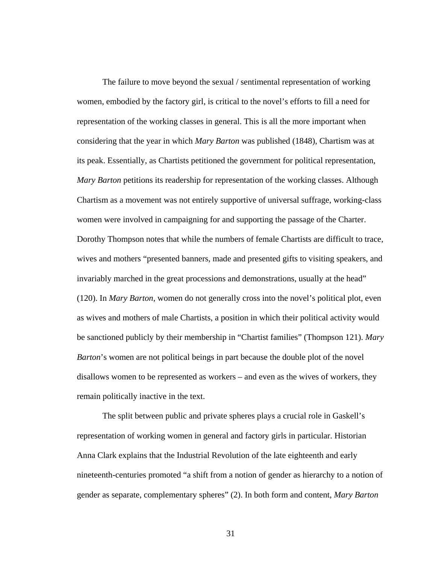The failure to move beyond the sexual / sentimental representation of working women, embodied by the factory girl, is critical to the novel's efforts to fill a need for representation of the working classes in general. This is all the more important when considering that the year in which *Mary Barton* was published (1848), Chartism was at its peak. Essentially, as Chartists petitioned the government for political representation, *Mary Barton* petitions its readership for representation of the working classes. Although Chartism as a movement was not entirely supportive of universal suffrage, working-class women were involved in campaigning for and supporting the passage of the Charter. Dorothy Thompson notes that while the numbers of female Chartists are difficult to trace, wives and mothers "presented banners, made and presented gifts to visiting speakers, and invariably marched in the great processions and demonstrations, usually at the head" (120). In *Mary Barton*, women do not generally cross into the novel's political plot, even as wives and mothers of male Chartists, a position in which their political activity would be sanctioned publicly by their membership in "Chartist families" (Thompson 121). *Mary Barton*'s women are not political beings in part because the double plot of the novel disallows women to be represented as workers – and even as the wives of workers, they remain politically inactive in the text.

 The split between public and private spheres plays a crucial role in Gaskell's representation of working women in general and factory girls in particular. Historian Anna Clark explains that the Industrial Revolution of the late eighteenth and early nineteenth-centuries promoted "a shift from a notion of gender as hierarchy to a notion of gender as separate, complementary spheres" (2). In both form and content, *Mary Barton*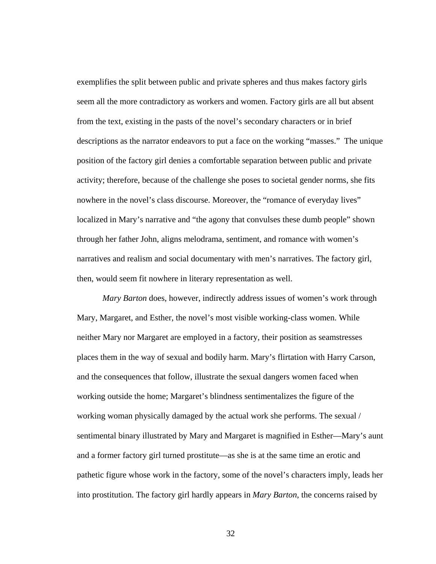exemplifies the split between public and private spheres and thus makes factory girls seem all the more contradictory as workers and women. Factory girls are all but absent from the text, existing in the pasts of the novel's secondary characters or in brief descriptions as the narrator endeavors to put a face on the working "masses." The unique position of the factory girl denies a comfortable separation between public and private activity; therefore, because of the challenge she poses to societal gender norms, she fits nowhere in the novel's class discourse. Moreover, the "romance of everyday lives" localized in Mary's narrative and "the agony that convulses these dumb people" shown through her father John, aligns melodrama, sentiment, and romance with women's narratives and realism and social documentary with men's narratives. The factory girl, then, would seem fit nowhere in literary representation as well.

*Mary Barton* does, however, indirectly address issues of women's work through Mary, Margaret, and Esther, the novel's most visible working-class women. While neither Mary nor Margaret are employed in a factory, their position as seamstresses places them in the way of sexual and bodily harm. Mary's flirtation with Harry Carson, and the consequences that follow, illustrate the sexual dangers women faced when working outside the home; Margaret's blindness sentimentalizes the figure of the working woman physically damaged by the actual work she performs. The sexual / sentimental binary illustrated by Mary and Margaret is magnified in Esther—Mary's aunt and a former factory girl turned prostitute—as she is at the same time an erotic and pathetic figure whose work in the factory, some of the novel's characters imply, leads her into prostitution. The factory girl hardly appears in *Mary Barton*, the concerns raised by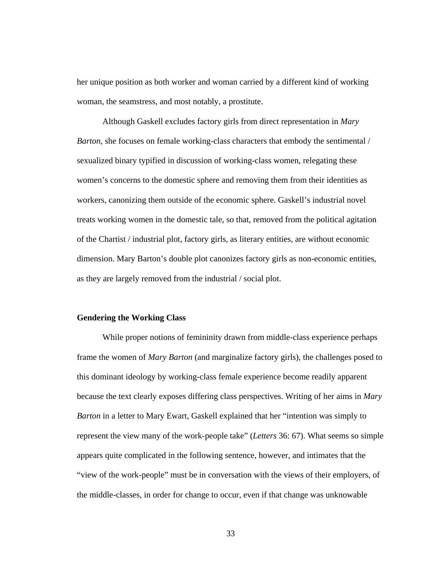her unique position as both worker and woman carried by a different kind of working woman, the seamstress, and most notably, a prostitute.

Although Gaskell excludes factory girls from direct representation in *Mary Barton*, she focuses on female working-class characters that embody the sentimental / sexualized binary typified in discussion of working-class women, relegating these women's concerns to the domestic sphere and removing them from their identities as workers, canonizing them outside of the economic sphere. Gaskell's industrial novel treats working women in the domestic tale, so that, removed from the political agitation of the Chartist / industrial plot, factory girls, as literary entities, are without economic dimension. Mary Barton's double plot canonizes factory girls as non-economic entities, as they are largely removed from the industrial / social plot.

## **Gendering the Working Class**

While proper notions of femininity drawn from middle-class experience perhaps frame the women of *Mary Barton* (and marginalize factory girls), the challenges posed to this dominant ideology by working-class female experience become readily apparent because the text clearly exposes differing class perspectives. Writing of her aims in *Mary Barton* in a letter to Mary Ewart, Gaskell explained that her "intention was simply to represent the view many of the work-people take" (*Letters* 36: 67). What seems so simple appears quite complicated in the following sentence, however, and intimates that the "view of the work-people" must be in conversation with the views of their employers, of the middle-classes, in order for change to occur, even if that change was unknowable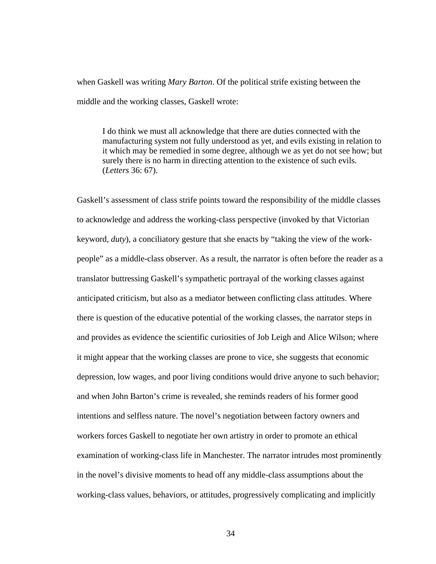when Gaskell was writing *Mary Barton*. Of the political strife existing between the middle and the working classes, Gaskell wrote:

I do think we must all acknowledge that there are duties connected with the manufacturing system not fully understood as yet, and evils existing in relation to it which may be remedied in some degree, although we as yet do not see how; but surely there is no harm in directing attention to the existence of such evils. (*Letters* 36: 67).

Gaskell's assessment of class strife points toward the responsibility of the middle classes to acknowledge and address the working-class perspective (invoked by that Victorian keyword, *duty*), a conciliatory gesture that she enacts by "taking the view of the workpeople" as a middle-class observer. As a result, the narrator is often before the reader as a translator buttressing Gaskell's sympathetic portrayal of the working classes against anticipated criticism, but also as a mediator between conflicting class attitudes. Where there is question of the educative potential of the working classes, the narrator steps in and provides as evidence the scientific curiosities of Job Leigh and Alice Wilson; where it might appear that the working classes are prone to vice, she suggests that economic depression, low wages, and poor living conditions would drive anyone to such behavior; and when John Barton's crime is revealed, she reminds readers of his former good intentions and selfless nature. The novel's negotiation between factory owners and workers forces Gaskell to negotiate her own artistry in order to promote an ethical examination of working-class life in Manchester. The narrator intrudes most prominently in the novel's divisive moments to head off any middle-class assumptions about the working-class values, behaviors, or attitudes, progressively complicating and implicitly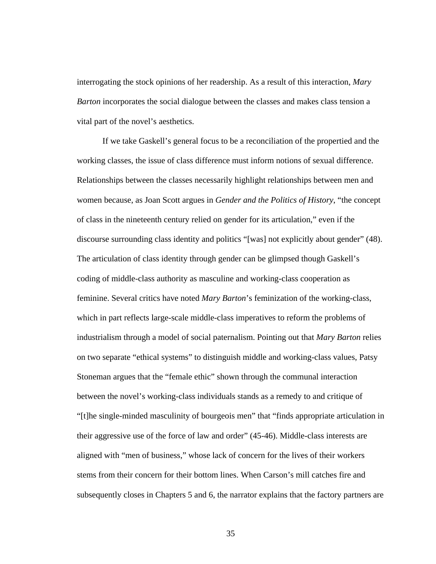interrogating the stock opinions of her readership. As a result of this interaction, *Mary Barton* incorporates the social dialogue between the classes and makes class tension a vital part of the novel's aesthetics.

If we take Gaskell's general focus to be a reconciliation of the propertied and the working classes, the issue of class difference must inform notions of sexual difference. Relationships between the classes necessarily highlight relationships between men and women because, as Joan Scott argues in *Gender and the Politics of History*, "the concept of class in the nineteenth century relied on gender for its articulation," even if the discourse surrounding class identity and politics "[was] not explicitly about gender" (48). The articulation of class identity through gender can be glimpsed though Gaskell's coding of middle-class authority as masculine and working-class cooperation as feminine. Several critics have noted *Mary Barton*'s feminization of the working-class, which in part reflects large-scale middle-class imperatives to reform the problems of industrialism through a model of social paternalism. Pointing out that *Mary Barton* relies on two separate "ethical systems" to distinguish middle and working-class values, Patsy Stoneman argues that the "female ethic" shown through the communal interaction between the novel's working-class individuals stands as a remedy to and critique of "[t]he single-minded masculinity of bourgeois men" that "finds appropriate articulation in their aggressive use of the force of law and order" (45-46). Middle-class interests are aligned with "men of business," whose lack of concern for the lives of their workers stems from their concern for their bottom lines. When Carson's mill catches fire and subsequently closes in Chapters 5 and 6, the narrator explains that the factory partners are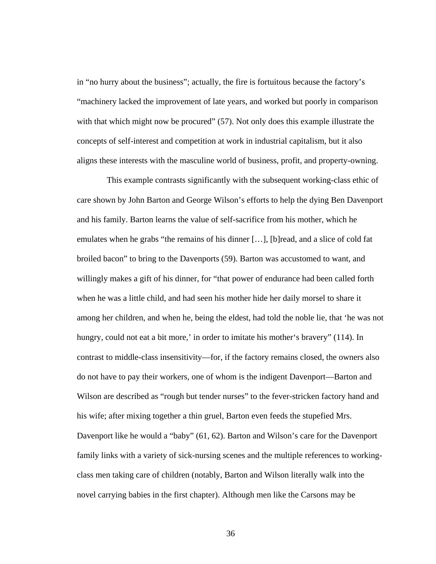in "no hurry about the business"; actually, the fire is fortuitous because the factory's "machinery lacked the improvement of late years, and worked but poorly in comparison with that which might now be procured" (57). Not only does this example illustrate the concepts of self-interest and competition at work in industrial capitalism, but it also aligns these interests with the masculine world of business, profit, and property-owning.

 This example contrasts significantly with the subsequent working-class ethic of care shown by John Barton and George Wilson's efforts to help the dying Ben Davenport and his family. Barton learns the value of self-sacrifice from his mother, which he emulates when he grabs "the remains of his dinner […], [b]read, and a slice of cold fat broiled bacon" to bring to the Davenports (59). Barton was accustomed to want, and willingly makes a gift of his dinner, for "that power of endurance had been called forth when he was a little child, and had seen his mother hide her daily morsel to share it among her children, and when he, being the eldest, had told the noble lie, that 'he was not hungry, could not eat a bit more,' in order to imitate his mother's bravery" (114). In contrast to middle-class insensitivity—for, if the factory remains closed, the owners also do not have to pay their workers, one of whom is the indigent Davenport—Barton and Wilson are described as "rough but tender nurses" to the fever-stricken factory hand and his wife; after mixing together a thin gruel, Barton even feeds the stupefied Mrs. Davenport like he would a "baby" (61, 62). Barton and Wilson's care for the Davenport family links with a variety of sick-nursing scenes and the multiple references to workingclass men taking care of children (notably, Barton and Wilson literally walk into the novel carrying babies in the first chapter). Although men like the Carsons may be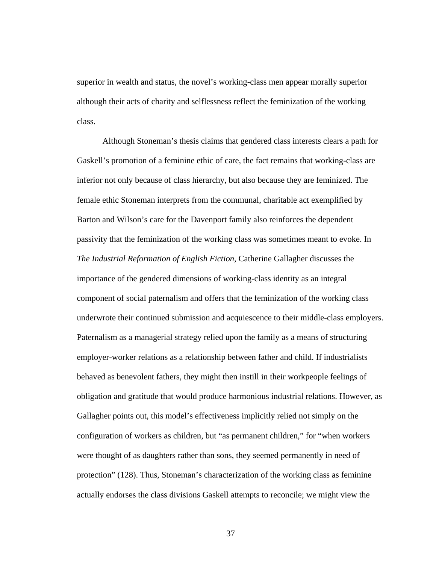superior in wealth and status, the novel's working-class men appear morally superior although their acts of charity and selflessness reflect the feminization of the working class.

Although Stoneman's thesis claims that gendered class interests clears a path for Gaskell's promotion of a feminine ethic of care, the fact remains that working-class are inferior not only because of class hierarchy, but also because they are feminized. The female ethic Stoneman interprets from the communal, charitable act exemplified by Barton and Wilson's care for the Davenport family also reinforces the dependent passivity that the feminization of the working class was sometimes meant to evoke. In *The Industrial Reformation of English Fiction*, Catherine Gallagher discusses the importance of the gendered dimensions of working-class identity as an integral component of social paternalism and offers that the feminization of the working class underwrote their continued submission and acquiescence to their middle-class employers. Paternalism as a managerial strategy relied upon the family as a means of structuring employer-worker relations as a relationship between father and child. If industrialists behaved as benevolent fathers, they might then instill in their workpeople feelings of obligation and gratitude that would produce harmonious industrial relations. However, as Gallagher points out, this model's effectiveness implicitly relied not simply on the configuration of workers as children, but "as permanent children," for "when workers were thought of as daughters rather than sons, they seemed permanently in need of protection" (128). Thus, Stoneman's characterization of the working class as feminine actually endorses the class divisions Gaskell attempts to reconcile; we might view the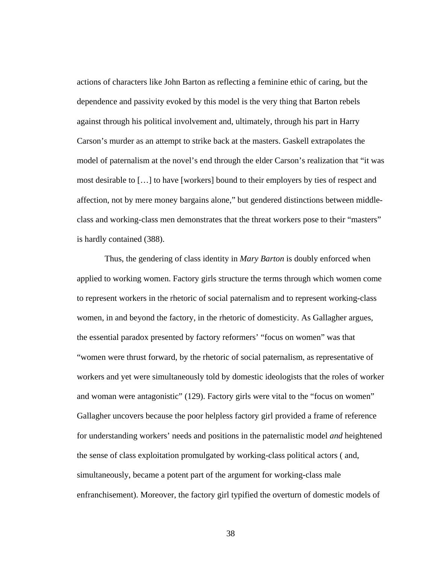actions of characters like John Barton as reflecting a feminine ethic of caring, but the dependence and passivity evoked by this model is the very thing that Barton rebels against through his political involvement and, ultimately, through his part in Harry Carson's murder as an attempt to strike back at the masters. Gaskell extrapolates the model of paternalism at the novel's end through the elder Carson's realization that "it was most desirable to […] to have [workers] bound to their employers by ties of respect and affection, not by mere money bargains alone," but gendered distinctions between middleclass and working-class men demonstrates that the threat workers pose to their "masters" is hardly contained (388).

 Thus, the gendering of class identity in *Mary Barton* is doubly enforced when applied to working women. Factory girls structure the terms through which women come to represent workers in the rhetoric of social paternalism and to represent working-class women, in and beyond the factory, in the rhetoric of domesticity. As Gallagher argues, the essential paradox presented by factory reformers' "focus on women" was that "women were thrust forward, by the rhetoric of social paternalism, as representative of workers and yet were simultaneously told by domestic ideologists that the roles of worker and woman were antagonistic" (129). Factory girls were vital to the "focus on women" Gallagher uncovers because the poor helpless factory girl provided a frame of reference for understanding workers' needs and positions in the paternalistic model *and* heightened the sense of class exploitation promulgated by working-class political actors ( and, simultaneously, became a potent part of the argument for working-class male enfranchisement). Moreover, the factory girl typified the overturn of domestic models of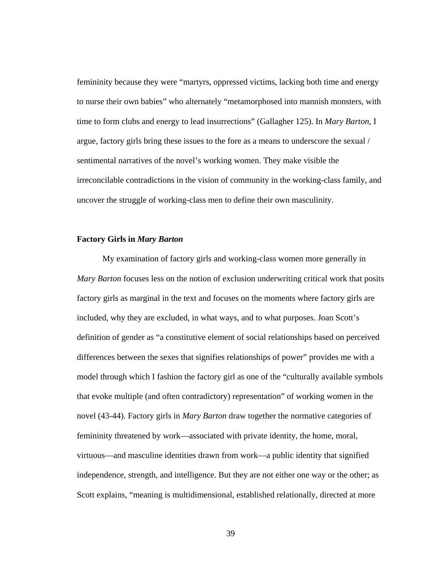femininity because they were "martyrs, oppressed victims, lacking both time and energy to nurse their own babies" who alternately "metamorphosed into mannish monsters, with time to form clubs and energy to lead insurrections" (Gallagher 125). In *Mary Barton*, I argue, factory girls bring these issues to the fore as a means to underscore the sexual / sentimental narratives of the novel's working women. They make visible the irreconcilable contradictions in the vision of community in the working-class family, and uncover the struggle of working-class men to define their own masculinity.

#### **Factory Girls in** *Mary Barton*

My examination of factory girls and working-class women more generally in *Mary Barton* focuses less on the notion of exclusion underwriting critical work that posits factory girls as marginal in the text and focuses on the moments where factory girls are included, why they are excluded, in what ways, and to what purposes. Joan Scott's definition of gender as "a constitutive element of social relationships based on perceived differences between the sexes that signifies relationships of power" provides me with a model through which I fashion the factory girl as one of the "culturally available symbols that evoke multiple (and often contradictory) representation" of working women in the novel (43-44). Factory girls in *Mary Barton* draw together the normative categories of femininity threatened by work—associated with private identity, the home, moral, virtuous—and masculine identities drawn from work—a public identity that signified independence, strength, and intelligence. But they are not either one way or the other; as Scott explains, "meaning is multidimensional, established relationally, directed at more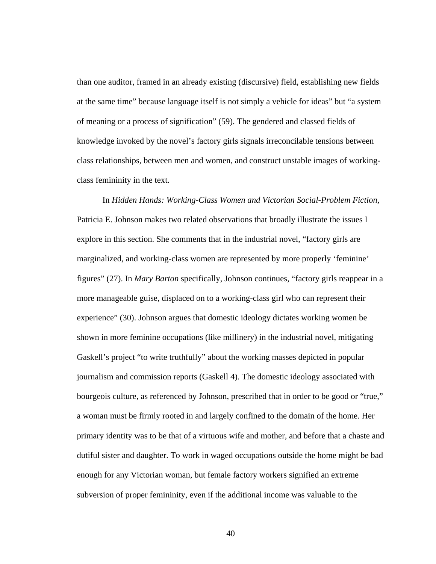than one auditor, framed in an already existing (discursive) field, establishing new fields at the same time" because language itself is not simply a vehicle for ideas" but "a system of meaning or a process of signification" (59). The gendered and classed fields of knowledge invoked by the novel's factory girls signals irreconcilable tensions between class relationships, between men and women, and construct unstable images of workingclass femininity in the text.

In *Hidden Hands: Working-Class Women and Victorian Social-Problem Fiction*, Patricia E. Johnson makes two related observations that broadly illustrate the issues I explore in this section. She comments that in the industrial novel, "factory girls are marginalized, and working-class women are represented by more properly 'feminine' figures" (27). In *Mary Barton* specifically, Johnson continues, "factory girls reappear in a more manageable guise, displaced on to a working-class girl who can represent their experience" (30). Johnson argues that domestic ideology dictates working women be shown in more feminine occupations (like millinery) in the industrial novel, mitigating Gaskell's project "to write truthfully" about the working masses depicted in popular journalism and commission reports (Gaskell 4). The domestic ideology associated with bourgeois culture, as referenced by Johnson, prescribed that in order to be good or "true," a woman must be firmly rooted in and largely confined to the domain of the home. Her primary identity was to be that of a virtuous wife and mother, and before that a chaste and dutiful sister and daughter. To work in waged occupations outside the home might be bad enough for any Victorian woman, but female factory workers signified an extreme subversion of proper femininity, even if the additional income was valuable to the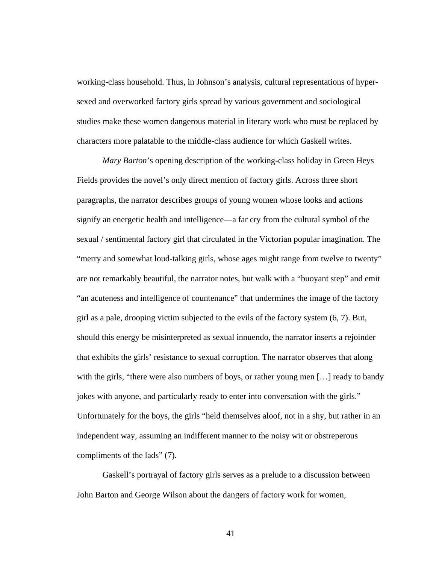working-class household. Thus, in Johnson's analysis, cultural representations of hypersexed and overworked factory girls spread by various government and sociological studies make these women dangerous material in literary work who must be replaced by characters more palatable to the middle-class audience for which Gaskell writes.

*Mary Barton*'s opening description of the working-class holiday in Green Heys Fields provides the novel's only direct mention of factory girls. Across three short paragraphs, the narrator describes groups of young women whose looks and actions signify an energetic health and intelligence—a far cry from the cultural symbol of the sexual / sentimental factory girl that circulated in the Victorian popular imagination. The "merry and somewhat loud-talking girls, whose ages might range from twelve to twenty" are not remarkably beautiful, the narrator notes, but walk with a "buoyant step" and emit "an acuteness and intelligence of countenance" that undermines the image of the factory girl as a pale, drooping victim subjected to the evils of the factory system (6, 7). But, should this energy be misinterpreted as sexual innuendo, the narrator inserts a rejoinder that exhibits the girls' resistance to sexual corruption. The narrator observes that along with the girls, "there were also numbers of boys, or rather young men [...] ready to bandy jokes with anyone, and particularly ready to enter into conversation with the girls." Unfortunately for the boys, the girls "held themselves aloof, not in a shy, but rather in an independent way, assuming an indifferent manner to the noisy wit or obstreperous compliments of the lads" (7).

Gaskell's portrayal of factory girls serves as a prelude to a discussion between John Barton and George Wilson about the dangers of factory work for women,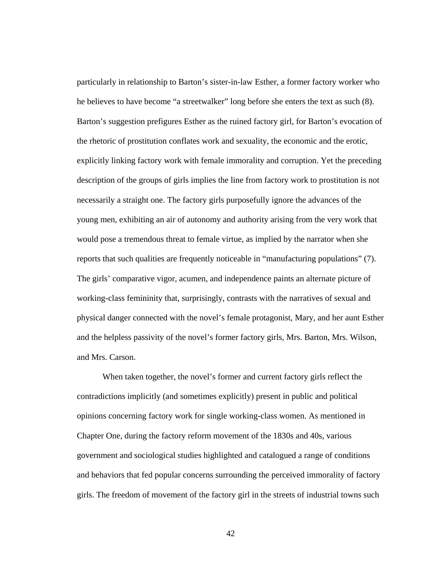particularly in relationship to Barton's sister-in-law Esther, a former factory worker who he believes to have become "a streetwalker" long before she enters the text as such (8). Barton's suggestion prefigures Esther as the ruined factory girl, for Barton's evocation of the rhetoric of prostitution conflates work and sexuality, the economic and the erotic, explicitly linking factory work with female immorality and corruption. Yet the preceding description of the groups of girls implies the line from factory work to prostitution is not necessarily a straight one. The factory girls purposefully ignore the advances of the young men, exhibiting an air of autonomy and authority arising from the very work that would pose a tremendous threat to female virtue, as implied by the narrator when she reports that such qualities are frequently noticeable in "manufacturing populations" (7). The girls' comparative vigor, acumen, and independence paints an alternate picture of working-class femininity that, surprisingly, contrasts with the narratives of sexual and physical danger connected with the novel's female protagonist, Mary, and her aunt Esther and the helpless passivity of the novel's former factory girls, Mrs. Barton, Mrs. Wilson, and Mrs. Carson.

When taken together, the novel's former and current factory girls reflect the contradictions implicitly (and sometimes explicitly) present in public and political opinions concerning factory work for single working-class women. As mentioned in Chapter One, during the factory reform movement of the 1830s and 40s, various government and sociological studies highlighted and catalogued a range of conditions and behaviors that fed popular concerns surrounding the perceived immorality of factory girls. The freedom of movement of the factory girl in the streets of industrial towns such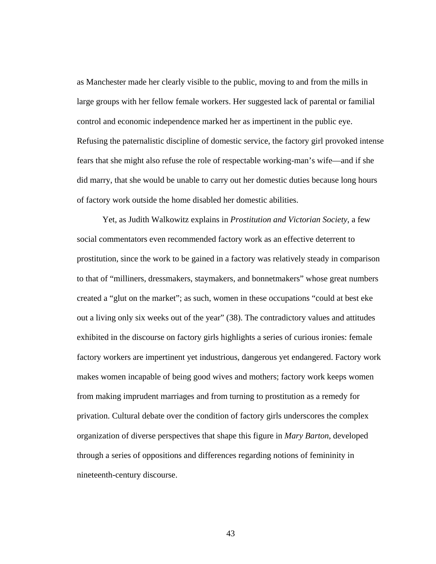as Manchester made her clearly visible to the public, moving to and from the mills in large groups with her fellow female workers. Her suggested lack of parental or familial control and economic independence marked her as impertinent in the public eye. Refusing the paternalistic discipline of domestic service, the factory girl provoked intense fears that she might also refuse the role of respectable working-man's wife—and if she did marry, that she would be unable to carry out her domestic duties because long hours of factory work outside the home disabled her domestic abilities.

Yet, as Judith Walkowitz explains in *Prostitution and Victorian Society*, a few social commentators even recommended factory work as an effective deterrent to prostitution, since the work to be gained in a factory was relatively steady in comparison to that of "milliners, dressmakers, staymakers, and bonnetmakers" whose great numbers created a "glut on the market"; as such, women in these occupations "could at best eke out a living only six weeks out of the year" (38). The contradictory values and attitudes exhibited in the discourse on factory girls highlights a series of curious ironies: female factory workers are impertinent yet industrious, dangerous yet endangered. Factory work makes women incapable of being good wives and mothers; factory work keeps women from making imprudent marriages and from turning to prostitution as a remedy for privation. Cultural debate over the condition of factory girls underscores the complex organization of diverse perspectives that shape this figure in *Mary Barton*, developed through a series of oppositions and differences regarding notions of femininity in nineteenth-century discourse.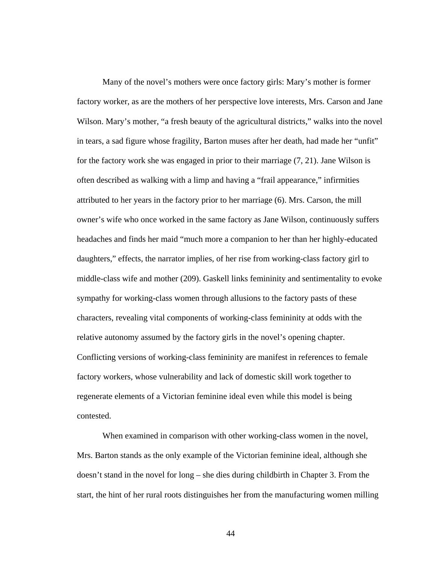Many of the novel's mothers were once factory girls: Mary's mother is former factory worker, as are the mothers of her perspective love interests, Mrs. Carson and Jane Wilson. Mary's mother, "a fresh beauty of the agricultural districts," walks into the novel in tears, a sad figure whose fragility, Barton muses after her death, had made her "unfit" for the factory work she was engaged in prior to their marriage (7, 21). Jane Wilson is often described as walking with a limp and having a "frail appearance," infirmities attributed to her years in the factory prior to her marriage (6). Mrs. Carson, the mill owner's wife who once worked in the same factory as Jane Wilson, continuously suffers headaches and finds her maid "much more a companion to her than her highly-educated daughters," effects, the narrator implies, of her rise from working-class factory girl to middle-class wife and mother (209). Gaskell links femininity and sentimentality to evoke sympathy for working-class women through allusions to the factory pasts of these characters, revealing vital components of working-class femininity at odds with the relative autonomy assumed by the factory girls in the novel's opening chapter. Conflicting versions of working-class femininity are manifest in references to female factory workers, whose vulnerability and lack of domestic skill work together to regenerate elements of a Victorian feminine ideal even while this model is being contested.

When examined in comparison with other working-class women in the novel, Mrs. Barton stands as the only example of the Victorian feminine ideal, although she doesn't stand in the novel for long – she dies during childbirth in Chapter 3. From the start, the hint of her rural roots distinguishes her from the manufacturing women milling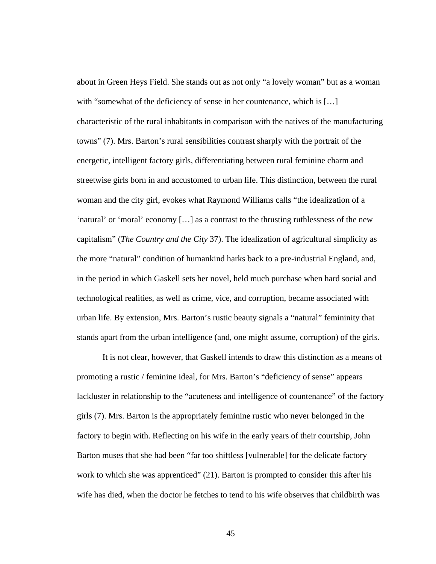about in Green Heys Field. She stands out as not only "a lovely woman" but as a woman with "somewhat of the deficiency of sense in her countenance, which is [...] characteristic of the rural inhabitants in comparison with the natives of the manufacturing towns" (7). Mrs. Barton's rural sensibilities contrast sharply with the portrait of the energetic, intelligent factory girls, differentiating between rural feminine charm and streetwise girls born in and accustomed to urban life. This distinction, between the rural woman and the city girl, evokes what Raymond Williams calls "the idealization of a 'natural' or 'moral' economy […] as a contrast to the thrusting ruthlessness of the new capitalism" (*The Country and the City* 37). The idealization of agricultural simplicity as the more "natural" condition of humankind harks back to a pre-industrial England, and, in the period in which Gaskell sets her novel, held much purchase when hard social and technological realities, as well as crime, vice, and corruption, became associated with urban life. By extension, Mrs. Barton's rustic beauty signals a "natural" femininity that stands apart from the urban intelligence (and, one might assume, corruption) of the girls.

It is not clear, however, that Gaskell intends to draw this distinction as a means of promoting a rustic / feminine ideal, for Mrs. Barton's "deficiency of sense" appears lackluster in relationship to the "acuteness and intelligence of countenance" of the factory girls (7). Mrs. Barton is the appropriately feminine rustic who never belonged in the factory to begin with. Reflecting on his wife in the early years of their courtship, John Barton muses that she had been "far too shiftless [vulnerable] for the delicate factory work to which she was apprenticed" (21). Barton is prompted to consider this after his wife has died, when the doctor he fetches to tend to his wife observes that childbirth was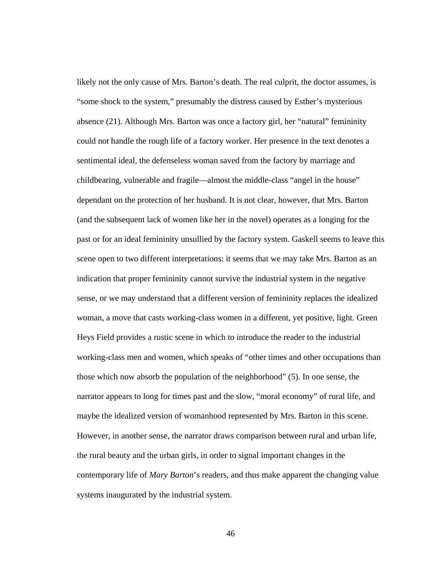likely not the only cause of Mrs. Barton's death. The real culprit, the doctor assumes, is "some shock to the system," presumably the distress caused by Esther's mysterious absence (21). Although Mrs. Barton was once a factory girl, her "natural" femininity could not handle the rough life of a factory worker. Her presence in the text denotes a sentimental ideal, the defenseless woman saved from the factory by marriage and childbearing, vulnerable and fragile—almost the middle-class "angel in the house" dependant on the protection of her husband. It is not clear, however, that Mrs. Barton (and the subsequent lack of women like her in the novel) operates as a longing for the past or for an ideal femininity unsullied by the factory system. Gaskell seems to leave this scene open to two different interpretations: it seems that we may take Mrs. Barton as an indication that proper femininity cannot survive the industrial system in the negative sense, or we may understand that a different version of femininity replaces the idealized woman, a move that casts working-class women in a different, yet positive, light. Green Heys Field provides a rustic scene in which to introduce the reader to the industrial working-class men and women, which speaks of "other times and other occupations than those which now absorb the population of the neighborhood" (5). In one sense, the narrator appears to long for times past and the slow, "moral economy" of rural life, and maybe the idealized version of womanhood represented by Mrs. Barton in this scene. However, in another sense, the narrator draws comparison between rural and urban life, the rural beauty and the urban girls, in order to signal important changes in the contemporary life of *Mary Barton*'s readers, and thus make apparent the changing value systems inaugurated by the industrial system.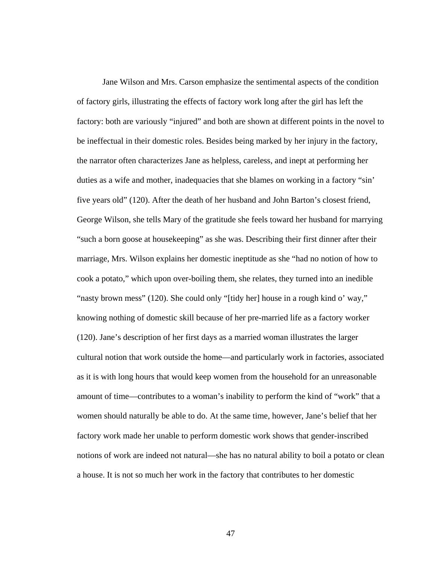Jane Wilson and Mrs. Carson emphasize the sentimental aspects of the condition of factory girls, illustrating the effects of factory work long after the girl has left the factory: both are variously "injured" and both are shown at different points in the novel to be ineffectual in their domestic roles. Besides being marked by her injury in the factory, the narrator often characterizes Jane as helpless, careless, and inept at performing her duties as a wife and mother, inadequacies that she blames on working in a factory "sin' five years old" (120). After the death of her husband and John Barton's closest friend, George Wilson, she tells Mary of the gratitude she feels toward her husband for marrying "such a born goose at housekeeping" as she was. Describing their first dinner after their marriage, Mrs. Wilson explains her domestic ineptitude as she "had no notion of how to cook a potato," which upon over-boiling them, she relates, they turned into an inedible "nasty brown mess" (120). She could only "[tidy her] house in a rough kind o' way," knowing nothing of domestic skill because of her pre-married life as a factory worker (120). Jane's description of her first days as a married woman illustrates the larger cultural notion that work outside the home—and particularly work in factories, associated as it is with long hours that would keep women from the household for an unreasonable amount of time—contributes to a woman's inability to perform the kind of "work" that a women should naturally be able to do. At the same time, however, Jane's belief that her factory work made her unable to perform domestic work shows that gender-inscribed notions of work are indeed not natural—she has no natural ability to boil a potato or clean a house. It is not so much her work in the factory that contributes to her domestic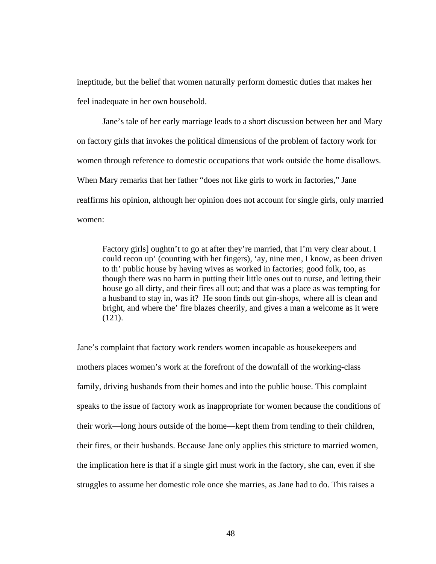ineptitude, but the belief that women naturally perform domestic duties that makes her feel inadequate in her own household.

Jane's tale of her early marriage leads to a short discussion between her and Mary on factory girls that invokes the political dimensions of the problem of factory work for women through reference to domestic occupations that work outside the home disallows. When Mary remarks that her father "does not like girls to work in factories," Jane reaffirms his opinion, although her opinion does not account for single girls, only married women:

Factory girls] oughtn't to go at after they're married, that I'm very clear about. I could recon up' (counting with her fingers), 'ay, nine men, I know, as been driven to th' public house by having wives as worked in factories; good folk, too, as though there was no harm in putting their little ones out to nurse, and letting their house go all dirty, and their fires all out; and that was a place as was tempting for a husband to stay in, was it? He soon finds out gin-shops, where all is clean and bright, and where the' fire blazes cheerily, and gives a man a welcome as it were (121).

Jane's complaint that factory work renders women incapable as housekeepers and mothers places women's work at the forefront of the downfall of the working-class family, driving husbands from their homes and into the public house. This complaint speaks to the issue of factory work as inappropriate for women because the conditions of their work—long hours outside of the home—kept them from tending to their children, their fires, or their husbands. Because Jane only applies this stricture to married women, the implication here is that if a single girl must work in the factory, she can, even if she struggles to assume her domestic role once she marries, as Jane had to do. This raises a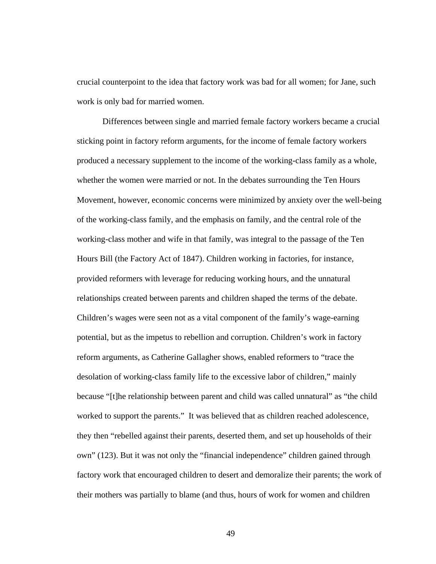crucial counterpoint to the idea that factory work was bad for all women; for Jane, such work is only bad for married women.

 Differences between single and married female factory workers became a crucial sticking point in factory reform arguments, for the income of female factory workers produced a necessary supplement to the income of the working-class family as a whole, whether the women were married or not. In the debates surrounding the Ten Hours Movement, however, economic concerns were minimized by anxiety over the well-being of the working-class family, and the emphasis on family, and the central role of the working-class mother and wife in that family, was integral to the passage of the Ten Hours Bill (the Factory Act of 1847). Children working in factories, for instance, provided reformers with leverage for reducing working hours, and the unnatural relationships created between parents and children shaped the terms of the debate. Children's wages were seen not as a vital component of the family's wage-earning potential, but as the impetus to rebellion and corruption. Children's work in factory reform arguments, as Catherine Gallagher shows, enabled reformers to "trace the desolation of working-class family life to the excessive labor of children," mainly because "[t]he relationship between parent and child was called unnatural" as "the child worked to support the parents." It was believed that as children reached adolescence, they then "rebelled against their parents, deserted them, and set up households of their own" (123). But it was not only the "financial independence" children gained through factory work that encouraged children to desert and demoralize their parents; the work of their mothers was partially to blame (and thus, hours of work for women and children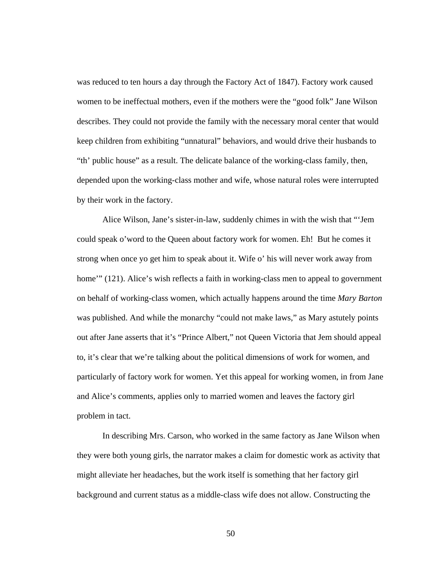was reduced to ten hours a day through the Factory Act of 1847). Factory work caused women to be ineffectual mothers, even if the mothers were the "good folk" Jane Wilson describes. They could not provide the family with the necessary moral center that would keep children from exhibiting "unnatural" behaviors, and would drive their husbands to "th' public house" as a result. The delicate balance of the working-class family, then, depended upon the working-class mother and wife, whose natural roles were interrupted by their work in the factory.

 Alice Wilson, Jane's sister-in-law, suddenly chimes in with the wish that "'Jem could speak o'word to the Queen about factory work for women. Eh! But he comes it strong when once yo get him to speak about it. Wife o' his will never work away from home'" (121). Alice's wish reflects a faith in working-class men to appeal to government on behalf of working-class women, which actually happens around the time *Mary Barton* was published. And while the monarchy "could not make laws," as Mary astutely points out after Jane asserts that it's "Prince Albert," not Queen Victoria that Jem should appeal to, it's clear that we're talking about the political dimensions of work for women, and particularly of factory work for women. Yet this appeal for working women, in from Jane and Alice's comments, applies only to married women and leaves the factory girl problem in tact.

In describing Mrs. Carson, who worked in the same factory as Jane Wilson when they were both young girls, the narrator makes a claim for domestic work as activity that might alleviate her headaches, but the work itself is something that her factory girl background and current status as a middle-class wife does not allow. Constructing the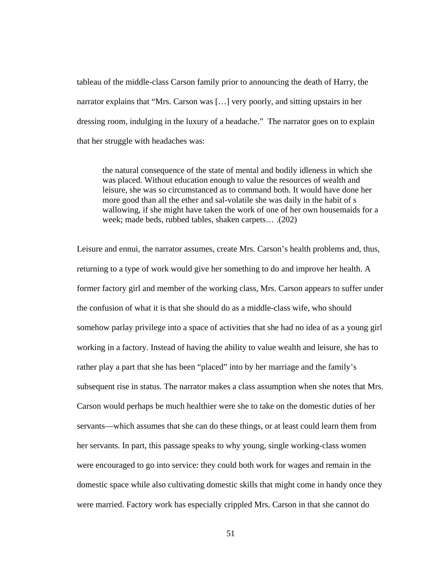tableau of the middle-class Carson family prior to announcing the death of Harry, the narrator explains that "Mrs. Carson was […] very poorly, and sitting upstairs in her dressing room, indulging in the luxury of a headache." The narrator goes on to explain that her struggle with headaches was:

the natural consequence of the state of mental and bodily idleness in which she was placed. Without education enough to value the resources of wealth and leisure, she was so circumstanced as to command both. It would have done her more good than all the ether and sal-volatile she was daily in the habit of s wallowing, if she might have taken the work of one of her own housemaids for a week; made beds, rubbed tables, shaken carpets… .(202)

Leisure and ennui, the narrator assumes, create Mrs. Carson's health problems and, thus, returning to a type of work would give her something to do and improve her health. A former factory girl and member of the working class, Mrs. Carson appears to suffer under the confusion of what it is that she should do as a middle-class wife, who should somehow parlay privilege into a space of activities that she had no idea of as a young girl working in a factory. Instead of having the ability to value wealth and leisure, she has to rather play a part that she has been "placed" into by her marriage and the family's subsequent rise in status. The narrator makes a class assumption when she notes that Mrs. Carson would perhaps be much healthier were she to take on the domestic duties of her servants—which assumes that she can do these things, or at least could learn them from her servants. In part, this passage speaks to why young, single working-class women were encouraged to go into service: they could both work for wages and remain in the domestic space while also cultivating domestic skills that might come in handy once they were married. Factory work has especially crippled Mrs. Carson in that she cannot do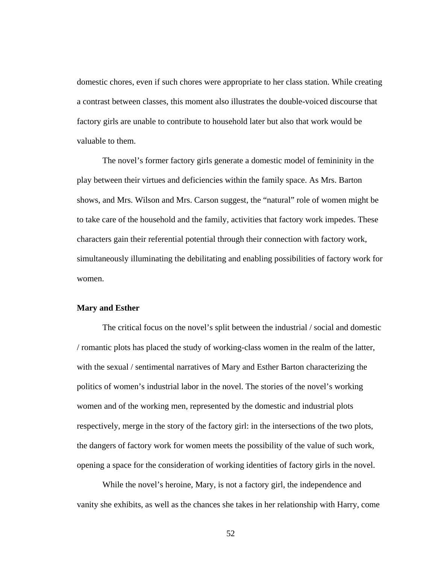domestic chores, even if such chores were appropriate to her class station. While creating a contrast between classes, this moment also illustrates the double-voiced discourse that factory girls are unable to contribute to household later but also that work would be valuable to them.

The novel's former factory girls generate a domestic model of femininity in the play between their virtues and deficiencies within the family space. As Mrs. Barton shows, and Mrs. Wilson and Mrs. Carson suggest, the "natural" role of women might be to take care of the household and the family, activities that factory work impedes. These characters gain their referential potential through their connection with factory work, simultaneously illuminating the debilitating and enabling possibilities of factory work for women.

#### **Mary and Esther**

 The critical focus on the novel's split between the industrial / social and domestic / romantic plots has placed the study of working-class women in the realm of the latter, with the sexual / sentimental narratives of Mary and Esther Barton characterizing the politics of women's industrial labor in the novel. The stories of the novel's working women and of the working men, represented by the domestic and industrial plots respectively, merge in the story of the factory girl: in the intersections of the two plots, the dangers of factory work for women meets the possibility of the value of such work, opening a space for the consideration of working identities of factory girls in the novel.

While the novel's heroine, Mary, is not a factory girl, the independence and vanity she exhibits, as well as the chances she takes in her relationship with Harry, come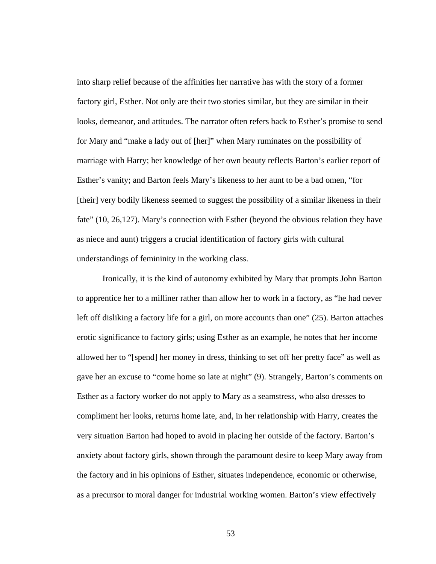into sharp relief because of the affinities her narrative has with the story of a former factory girl, Esther. Not only are their two stories similar, but they are similar in their looks, demeanor, and attitudes. The narrator often refers back to Esther's promise to send for Mary and "make a lady out of [her]" when Mary ruminates on the possibility of marriage with Harry; her knowledge of her own beauty reflects Barton's earlier report of Esther's vanity; and Barton feels Mary's likeness to her aunt to be a bad omen, "for [their] very bodily likeness seemed to suggest the possibility of a similar likeness in their fate" (10, 26,127). Mary's connection with Esther (beyond the obvious relation they have as niece and aunt) triggers a crucial identification of factory girls with cultural understandings of femininity in the working class.

Ironically, it is the kind of autonomy exhibited by Mary that prompts John Barton to apprentice her to a milliner rather than allow her to work in a factory, as "he had never left off disliking a factory life for a girl, on more accounts than one" (25). Barton attaches erotic significance to factory girls; using Esther as an example, he notes that her income allowed her to "[spend] her money in dress, thinking to set off her pretty face" as well as gave her an excuse to "come home so late at night" (9). Strangely, Barton's comments on Esther as a factory worker do not apply to Mary as a seamstress, who also dresses to compliment her looks, returns home late, and, in her relationship with Harry, creates the very situation Barton had hoped to avoid in placing her outside of the factory. Barton's anxiety about factory girls, shown through the paramount desire to keep Mary away from the factory and in his opinions of Esther, situates independence, economic or otherwise, as a precursor to moral danger for industrial working women. Barton's view effectively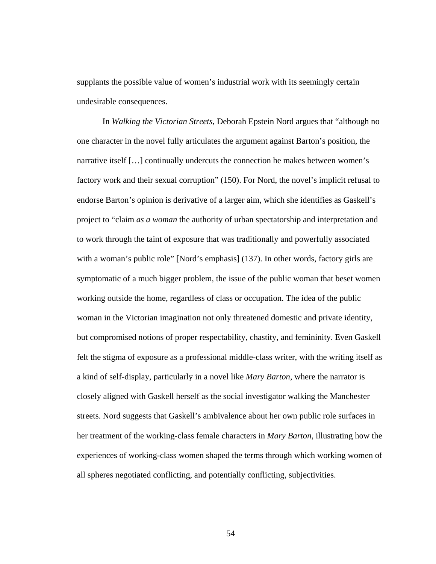supplants the possible value of women's industrial work with its seemingly certain undesirable consequences.

In *Walking the Victorian Streets*, Deborah Epstein Nord argues that "although no one character in the novel fully articulates the argument against Barton's position, the narrative itself […] continually undercuts the connection he makes between women's factory work and their sexual corruption" (150). For Nord, the novel's implicit refusal to endorse Barton's opinion is derivative of a larger aim, which she identifies as Gaskell's project to "claim *as a woman* the authority of urban spectatorship and interpretation and to work through the taint of exposure that was traditionally and powerfully associated with a woman's public role" [Nord's emphasis] (137). In other words, factory girls are symptomatic of a much bigger problem, the issue of the public woman that beset women working outside the home, regardless of class or occupation. The idea of the public woman in the Victorian imagination not only threatened domestic and private identity, but compromised notions of proper respectability, chastity, and femininity. Even Gaskell felt the stigma of exposure as a professional middle-class writer, with the writing itself as a kind of self-display, particularly in a novel like *Mary Barton*, where the narrator is closely aligned with Gaskell herself as the social investigator walking the Manchester streets. Nord suggests that Gaskell's ambivalence about her own public role surfaces in her treatment of the working-class female characters in *Mary Barton*, illustrating how the experiences of working-class women shaped the terms through which working women of all spheres negotiated conflicting, and potentially conflicting, subjectivities.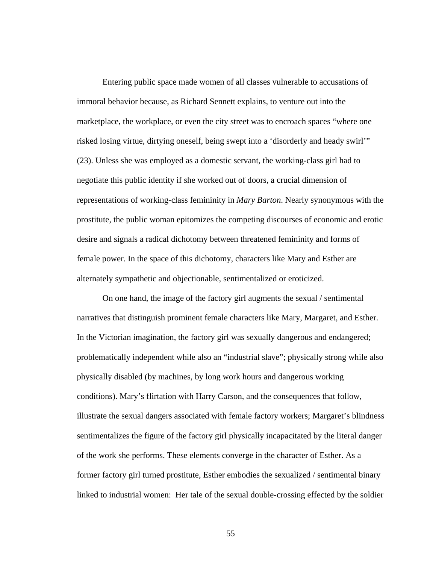Entering public space made women of all classes vulnerable to accusations of immoral behavior because, as Richard Sennett explains, to venture out into the marketplace, the workplace, or even the city street was to encroach spaces "where one risked losing virtue, dirtying oneself, being swept into a 'disorderly and heady swirl'" (23). Unless she was employed as a domestic servant, the working-class girl had to negotiate this public identity if she worked out of doors, a crucial dimension of representations of working-class femininity in *Mary Barton*. Nearly synonymous with the prostitute, the public woman epitomizes the competing discourses of economic and erotic desire and signals a radical dichotomy between threatened femininity and forms of female power. In the space of this dichotomy, characters like Mary and Esther are alternately sympathetic and objectionable, sentimentalized or eroticized.

On one hand, the image of the factory girl augments the sexual / sentimental narratives that distinguish prominent female characters like Mary, Margaret, and Esther. In the Victorian imagination, the factory girl was sexually dangerous and endangered; problematically independent while also an "industrial slave"; physically strong while also physically disabled (by machines, by long work hours and dangerous working conditions). Mary's flirtation with Harry Carson, and the consequences that follow, illustrate the sexual dangers associated with female factory workers; Margaret's blindness sentimentalizes the figure of the factory girl physically incapacitated by the literal danger of the work she performs. These elements converge in the character of Esther. As a former factory girl turned prostitute, Esther embodies the sexualized / sentimental binary linked to industrial women: Her tale of the sexual double-crossing effected by the soldier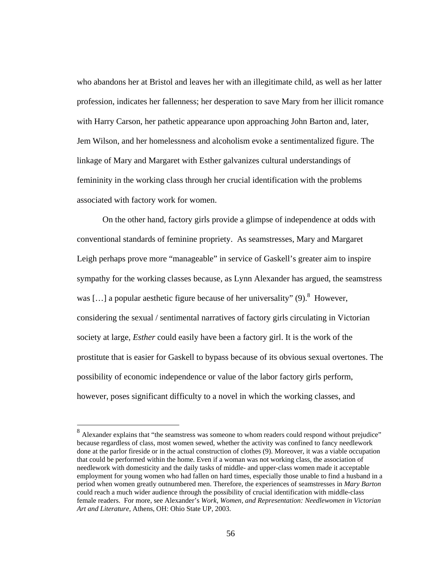who abandons her at Bristol and leaves her with an illegitimate child, as well as her latter profession, indicates her fallenness; her desperation to save Mary from her illicit romance with Harry Carson, her pathetic appearance upon approaching John Barton and, later, Jem Wilson, and her homelessness and alcoholism evoke a sentimentalized figure. The linkage of Mary and Margaret with Esther galvanizes cultural understandings of femininity in the working class through her crucial identification with the problems associated with factory work for women.

On the other hand, factory girls provide a glimpse of independence at odds with conventional standards of feminine propriety. As seamstresses, Mary and Margaret Leigh perhaps prove more "manageable" in service of Gaskell's greater aim to inspire sympathy for the working classes because, as Lynn Alexander has argued, the seamstress was [...] a popular aesthetic figure because of her universality" (9). <sup>8</sup> However, considering the sexual / sentimental narratives of factory girls circulating in Victorian society at large, *Esther* could easily have been a factory girl. It is the work of the prostitute that is easier for Gaskell to bypass because of its obvious sexual overtones. The possibility of economic independence or value of the labor factory girls perform, however, poses significant difficulty to a novel in which the working classes, and

 $\overline{a}$ 

<sup>&</sup>lt;sup>8</sup> Alexander explains that "the seamstress was someone to whom readers could respond without prejudice" because regardless of class, most women sewed, whether the activity was confined to fancy needlework done at the parlor fireside or in the actual construction of clothes (9). Moreover, it was a viable occupation that could be performed within the home. Even if a woman was not working class, the association of needlework with domesticity and the daily tasks of middle- and upper-class women made it acceptable employment for young women who had fallen on hard times, especially those unable to find a husband in a period when women greatly outnumbered men. Therefore, the experiences of seamstresses in *Mary Barton* could reach a much wider audience through the possibility of crucial identification with middle-class female readers. For more, see Alexander's *Work, Women, and Representation: Needlewomen in Victorian Art and Literature*, Athens, OH: Ohio State UP, 2003.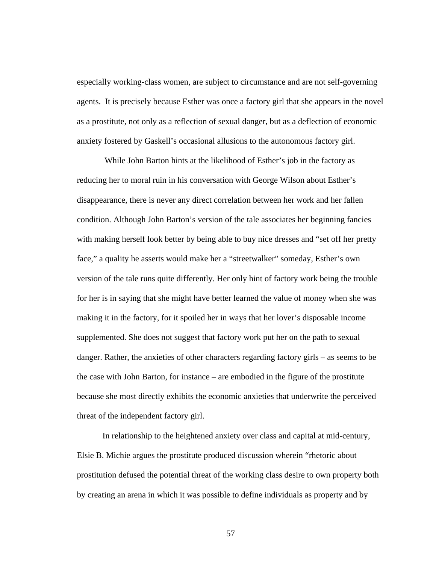especially working-class women, are subject to circumstance and are not self-governing agents. It is precisely because Esther was once a factory girl that she appears in the novel as a prostitute, not only as a reflection of sexual danger, but as a deflection of economic anxiety fostered by Gaskell's occasional allusions to the autonomous factory girl.

 While John Barton hints at the likelihood of Esther's job in the factory as reducing her to moral ruin in his conversation with George Wilson about Esther's disappearance, there is never any direct correlation between her work and her fallen condition. Although John Barton's version of the tale associates her beginning fancies with making herself look better by being able to buy nice dresses and "set off her pretty face," a quality he asserts would make her a "streetwalker" someday, Esther's own version of the tale runs quite differently. Her only hint of factory work being the trouble for her is in saying that she might have better learned the value of money when she was making it in the factory, for it spoiled her in ways that her lover's disposable income supplemented. She does not suggest that factory work put her on the path to sexual danger. Rather, the anxieties of other characters regarding factory girls – as seems to be the case with John Barton, for instance – are embodied in the figure of the prostitute because she most directly exhibits the economic anxieties that underwrite the perceived threat of the independent factory girl.

In relationship to the heightened anxiety over class and capital at mid-century, Elsie B. Michie argues the prostitute produced discussion wherein "rhetoric about prostitution defused the potential threat of the working class desire to own property both by creating an arena in which it was possible to define individuals as property and by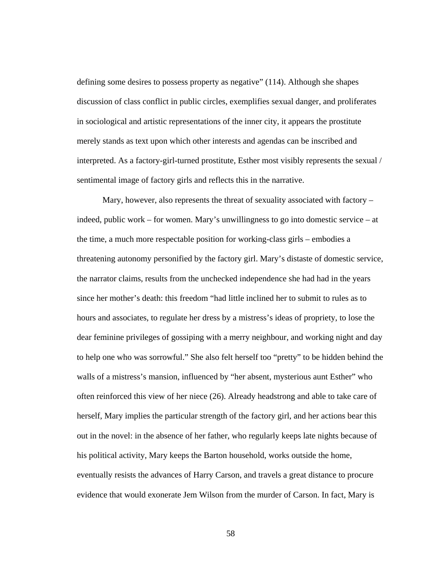defining some desires to possess property as negative" (114). Although she shapes discussion of class conflict in public circles, exemplifies sexual danger, and proliferates in sociological and artistic representations of the inner city, it appears the prostitute merely stands as text upon which other interests and agendas can be inscribed and interpreted. As a factory-girl-turned prostitute, Esther most visibly represents the sexual / sentimental image of factory girls and reflects this in the narrative.

Mary, however, also represents the threat of sexuality associated with factory – indeed, public work – for women. Mary's unwillingness to go into domestic service – at the time, a much more respectable position for working-class girls – embodies a threatening autonomy personified by the factory girl. Mary's distaste of domestic service, the narrator claims, results from the unchecked independence she had had in the years since her mother's death: this freedom "had little inclined her to submit to rules as to hours and associates, to regulate her dress by a mistress's ideas of propriety, to lose the dear feminine privileges of gossiping with a merry neighbour, and working night and day to help one who was sorrowful." She also felt herself too "pretty" to be hidden behind the walls of a mistress's mansion, influenced by "her absent, mysterious aunt Esther" who often reinforced this view of her niece (26). Already headstrong and able to take care of herself, Mary implies the particular strength of the factory girl, and her actions bear this out in the novel: in the absence of her father, who regularly keeps late nights because of his political activity, Mary keeps the Barton household, works outside the home, eventually resists the advances of Harry Carson, and travels a great distance to procure evidence that would exonerate Jem Wilson from the murder of Carson. In fact, Mary is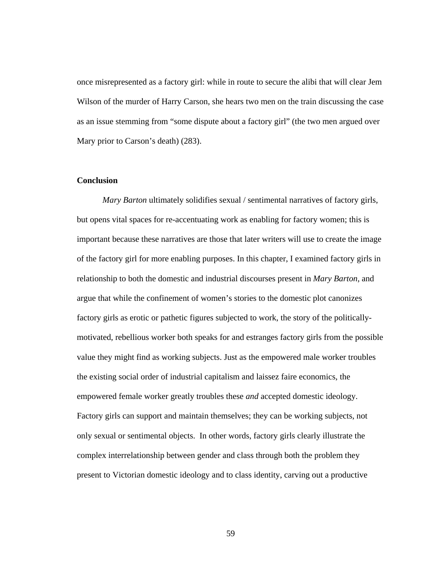once misrepresented as a factory girl: while in route to secure the alibi that will clear Jem Wilson of the murder of Harry Carson, she hears two men on the train discussing the case as an issue stemming from "some dispute about a factory girl" (the two men argued over Mary prior to Carson's death) (283).

## **Conclusion**

*Mary Barton* ultimately solidifies sexual / sentimental narratives of factory girls, but opens vital spaces for re-accentuating work as enabling for factory women; this is important because these narratives are those that later writers will use to create the image of the factory girl for more enabling purposes. In this chapter, I examined factory girls in relationship to both the domestic and industrial discourses present in *Mary Barton*, and argue that while the confinement of women's stories to the domestic plot canonizes factory girls as erotic or pathetic figures subjected to work, the story of the politicallymotivated, rebellious worker both speaks for and estranges factory girls from the possible value they might find as working subjects. Just as the empowered male worker troubles the existing social order of industrial capitalism and laissez faire economics, the empowered female worker greatly troubles these *and* accepted domestic ideology. Factory girls can support and maintain themselves; they can be working subjects, not only sexual or sentimental objects. In other words, factory girls clearly illustrate the complex interrelationship between gender and class through both the problem they present to Victorian domestic ideology and to class identity, carving out a productive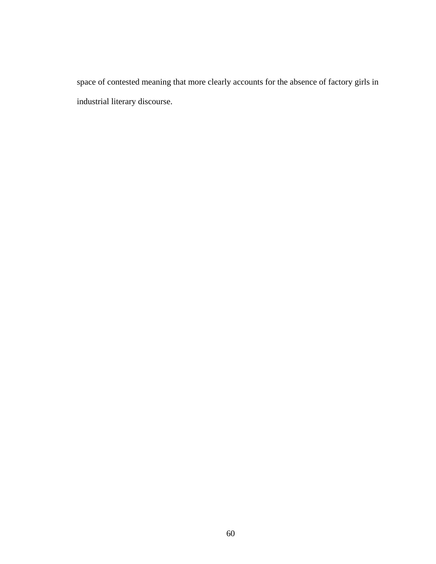space of contested meaning that more clearly accounts for the absence of factory girls in industrial literary discourse.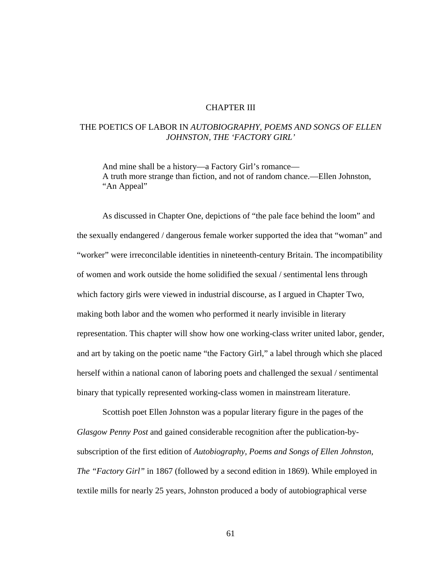### CHAPTER III

# THE POETICS OF LABOR IN *AUTOBIOGRAPHY, POEMS AND SONGS OF ELLEN JOHNSTON, THE 'FACTORY GIRL'*

 And mine shall be a history—a Factory Girl's romance— A truth more strange than fiction, and not of random chance.—Ellen Johnston, "An Appeal"

As discussed in Chapter One, depictions of "the pale face behind the loom" and the sexually endangered / dangerous female worker supported the idea that "woman" and "worker" were irreconcilable identities in nineteenth-century Britain. The incompatibility of women and work outside the home solidified the sexual / sentimental lens through which factory girls were viewed in industrial discourse, as I argued in Chapter Two, making both labor and the women who performed it nearly invisible in literary representation. This chapter will show how one working-class writer united labor, gender, and art by taking on the poetic name "the Factory Girl," a label through which she placed herself within a national canon of laboring poets and challenged the sexual / sentimental binary that typically represented working-class women in mainstream literature.

Scottish poet Ellen Johnston was a popular literary figure in the pages of the *Glasgow Penny Post* and gained considerable recognition after the publication-bysubscription of the first edition of *Autobiography, Poems and Songs of Ellen Johnston, The "Factory Girl"* in 1867 (followed by a second edition in 1869). While employed in textile mills for nearly 25 years, Johnston produced a body of autobiographical verse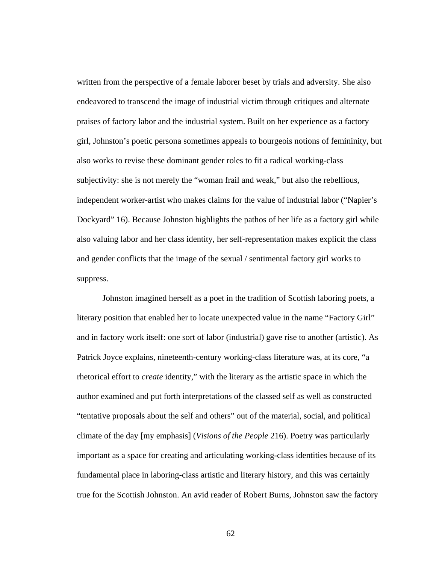written from the perspective of a female laborer beset by trials and adversity. She also endeavored to transcend the image of industrial victim through critiques and alternate praises of factory labor and the industrial system. Built on her experience as a factory girl, Johnston's poetic persona sometimes appeals to bourgeois notions of femininity, but also works to revise these dominant gender roles to fit a radical working-class subjectivity: she is not merely the "woman frail and weak," but also the rebellious, independent worker-artist who makes claims for the value of industrial labor ("Napier's Dockyard" 16). Because Johnston highlights the pathos of her life as a factory girl while also valuing labor and her class identity, her self-representation makes explicit the class and gender conflicts that the image of the sexual / sentimental factory girl works to suppress.

Johnston imagined herself as a poet in the tradition of Scottish laboring poets, a literary position that enabled her to locate unexpected value in the name "Factory Girl" and in factory work itself: one sort of labor (industrial) gave rise to another (artistic). As Patrick Joyce explains, nineteenth-century working-class literature was, at its core, "a rhetorical effort to *create* identity," with the literary as the artistic space in which the author examined and put forth interpretations of the classed self as well as constructed "tentative proposals about the self and others" out of the material, social, and political climate of the day [my emphasis] (*Visions of the People* 216). Poetry was particularly important as a space for creating and articulating working-class identities because of its fundamental place in laboring-class artistic and literary history, and this was certainly true for the Scottish Johnston. An avid reader of Robert Burns, Johnston saw the factory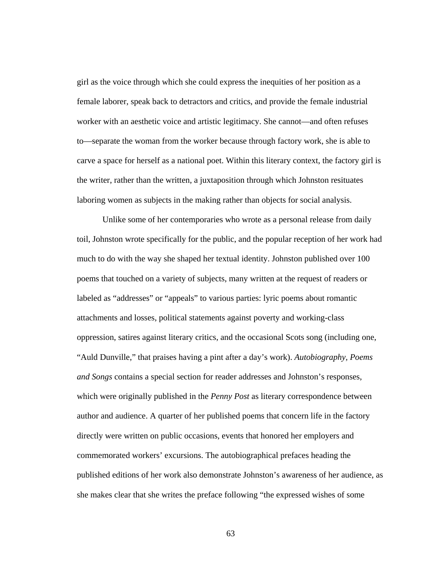girl as the voice through which she could express the inequities of her position as a female laborer, speak back to detractors and critics, and provide the female industrial worker with an aesthetic voice and artistic legitimacy. She cannot—and often refuses to—separate the woman from the worker because through factory work, she is able to carve a space for herself as a national poet. Within this literary context, the factory girl is the writer, rather than the written, a juxtaposition through which Johnston resituates laboring women as subjects in the making rather than objects for social analysis.

Unlike some of her contemporaries who wrote as a personal release from daily toil, Johnston wrote specifically for the public, and the popular reception of her work had much to do with the way she shaped her textual identity. Johnston published over 100 poems that touched on a variety of subjects, many written at the request of readers or labeled as "addresses" or "appeals" to various parties: lyric poems about romantic attachments and losses, political statements against poverty and working-class oppression, satires against literary critics, and the occasional Scots song (including one, "Auld Dunville," that praises having a pint after a day's work). *Autobiography, Poems and Songs* contains a special section for reader addresses and Johnston's responses, which were originally published in the *Penny Post* as literary correspondence between author and audience. A quarter of her published poems that concern life in the factory directly were written on public occasions, events that honored her employers and commemorated workers' excursions. The autobiographical prefaces heading the published editions of her work also demonstrate Johnston's awareness of her audience, as she makes clear that she writes the preface following "the expressed wishes of some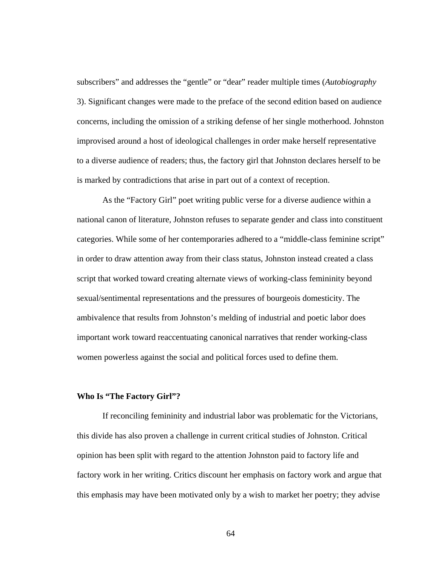subscribers" and addresses the "gentle" or "dear" reader multiple times (*Autobiography* 3). Significant changes were made to the preface of the second edition based on audience concerns, including the omission of a striking defense of her single motherhood. Johnston improvised around a host of ideological challenges in order make herself representative to a diverse audience of readers; thus, the factory girl that Johnston declares herself to be is marked by contradictions that arise in part out of a context of reception.

As the "Factory Girl" poet writing public verse for a diverse audience within a national canon of literature, Johnston refuses to separate gender and class into constituent categories. While some of her contemporaries adhered to a "middle-class feminine script" in order to draw attention away from their class status, Johnston instead created a class script that worked toward creating alternate views of working-class femininity beyond sexual/sentimental representations and the pressures of bourgeois domesticity. The ambivalence that results from Johnston's melding of industrial and poetic labor does important work toward reaccentuating canonical narratives that render working-class women powerless against the social and political forces used to define them.

### **Who Is "The Factory Girl"?**

If reconciling femininity and industrial labor was problematic for the Victorians, this divide has also proven a challenge in current critical studies of Johnston. Critical opinion has been split with regard to the attention Johnston paid to factory life and factory work in her writing. Critics discount her emphasis on factory work and argue that this emphasis may have been motivated only by a wish to market her poetry; they advise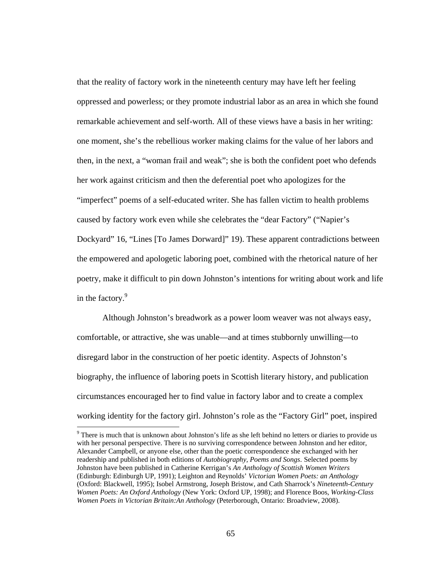that the reality of factory work in the nineteenth century may have left her feeling oppressed and powerless; or they promote industrial labor as an area in which she found remarkable achievement and self-worth. All of these views have a basis in her writing: one moment, she's the rebellious worker making claims for the value of her labors and then, in the next, a "woman frail and weak"; she is both the confident poet who defends her work against criticism and then the deferential poet who apologizes for the "imperfect" poems of a self-educated writer. She has fallen victim to health problems caused by factory work even while she celebrates the "dear Factory" ("Napier's Dockyard" 16, "Lines [To James Dorward]" 19). These apparent contradictions between the empowered and apologetic laboring poet, combined with the rhetorical nature of her poetry, make it difficult to pin down Johnston's intentions for writing about work and life in the factory.<sup>9</sup>

Although Johnston's breadwork as a power loom weaver was not always easy, comfortable, or attractive, she was unable—and at times stubbornly unwilling—to disregard labor in the construction of her poetic identity. Aspects of Johnston's biography, the influence of laboring poets in Scottish literary history, and publication circumstances encouraged her to find value in factory labor and to create a complex working identity for the factory girl. Johnston's role as the "Factory Girl" poet, inspired

<sup>&</sup>lt;sup>9</sup> There is much that is unknown about Johnston's life as she left behind no letters or diaries to provide us with her personal perspective. There is no surviving correspondence between Johnston and her editor, Alexander Campbell, or anyone else, other than the poetic correspondence she exchanged with her readership and published in both editions of *Autobiography, Poems and Songs*. Selected poems by Johnston have been published in Catherine Kerrigan's *An Anthology of Scottish Women Writers* (Edinburgh: Edinburgh UP, 1991); Leighton and Reynolds' *Victorian Women Poets: an Anthology*  (Oxford: Blackwell, 1995); Isobel Armstrong, Joseph Bristow, and Cath Sharrock's *Nineteenth-Century Women Poets: An Oxford Anthology* (New York: Oxford UP, 1998); and Florence Boos, *Working-Class Women Poets in Victorian Britain:An Anthology* (Peterborough, Ontario: Broadview, 2008).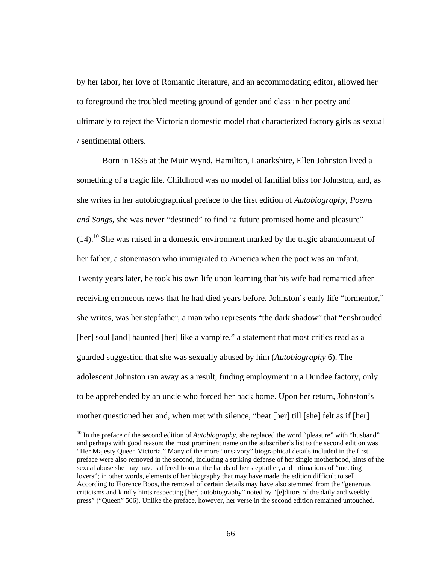by her labor, her love of Romantic literature, and an accommodating editor, allowed her to foreground the troubled meeting ground of gender and class in her poetry and ultimately to reject the Victorian domestic model that characterized factory girls as sexual / sentimental others.

Born in 1835 at the Muir Wynd, Hamilton, Lanarkshire, Ellen Johnston lived a something of a tragic life. Childhood was no model of familial bliss for Johnston, and, as she writes in her autobiographical preface to the first edition of *Autobiography, Poems and Songs*, she was never "destined" to find "a future promised home and pleasure"  $(14)$ .<sup>10</sup> She was raised in a domestic environment marked by the tragic abandonment of her father, a stonemason who immigrated to America when the poet was an infant. Twenty years later, he took his own life upon learning that his wife had remarried after receiving erroneous news that he had died years before. Johnston's early life "tormentor," she writes, was her stepfather, a man who represents "the dark shadow" that "enshrouded [her] soul [and] haunted [her] like a vampire," a statement that most critics read as a guarded suggestion that she was sexually abused by him (*Autobiography* 6). The adolescent Johnston ran away as a result, finding employment in a Dundee factory, only to be apprehended by an uncle who forced her back home. Upon her return, Johnston's mother questioned her and, when met with silence, "beat [her] till [she] felt as if [her]

<sup>&</sup>lt;sup>10</sup> In the preface of the second edition of *Autobiography*, she replaced the word "pleasure" with "husband" and perhaps with good reason: the most prominent name on the subscriber's list to the second edition was "Her Majesty Queen Victoria." Many of the more "unsavory" biographical details included in the first preface were also removed in the second, including a striking defense of her single motherhood, hints of the sexual abuse she may have suffered from at the hands of her stepfather, and intimations of "meeting lovers"; in other words, elements of her biography that may have made the edition difficult to sell. According to Florence Boos, the removal of certain details may have also stemmed from the "generous criticisms and kindly hints respecting [her] autobiography" noted by "[e]ditors of the daily and weekly press" ("Queen" 506). Unlike the preface, however, her verse in the second edition remained untouched.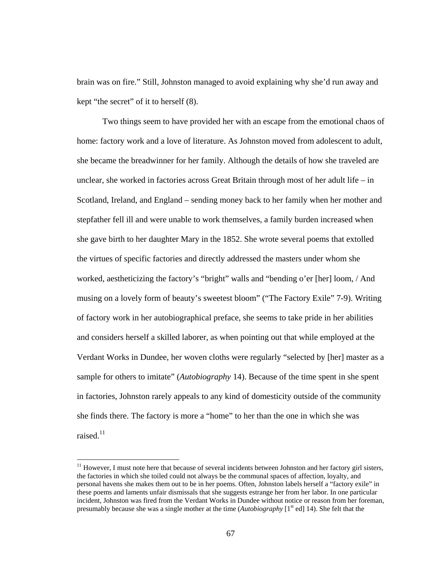brain was on fire." Still, Johnston managed to avoid explaining why she'd run away and kept "the secret" of it to herself (8).

Two things seem to have provided her with an escape from the emotional chaos of home: factory work and a love of literature. As Johnston moved from adolescent to adult, she became the breadwinner for her family. Although the details of how she traveled are unclear, she worked in factories across Great Britain through most of her adult life – in Scotland, Ireland, and England – sending money back to her family when her mother and stepfather fell ill and were unable to work themselves, a family burden increased when she gave birth to her daughter Mary in the 1852. She wrote several poems that extolled the virtues of specific factories and directly addressed the masters under whom she worked, aestheticizing the factory's "bright" walls and "bending o'er [her] loom, / And musing on a lovely form of beauty's sweetest bloom" ("The Factory Exile" 7-9). Writing of factory work in her autobiographical preface, she seems to take pride in her abilities and considers herself a skilled laborer, as when pointing out that while employed at the Verdant Works in Dundee, her woven cloths were regularly "selected by [her] master as a sample for others to imitate" (*Autobiography* 14). Because of the time spent in she spent in factories, Johnston rarely appeals to any kind of domesticity outside of the community she finds there. The factory is more a "home" to her than the one in which she was raised. $11$ 

 $11$  However, I must note here that because of several incidents between Johnston and her factory girl sisters, the factories in which she toiled could not always be the communal spaces of affection, loyalty, and personal havens she makes them out to be in her poems. Often, Johnston labels herself a "factory exile" in these poems and laments unfair dismissals that she suggests estrange her from her labor. In one particular incident, Johnston was fired from the Verdant Works in Dundee without notice or reason from her foreman, presumably because she was a single mother at the time (*Autobiography* [1<sup>st</sup> ed] 14). She felt that the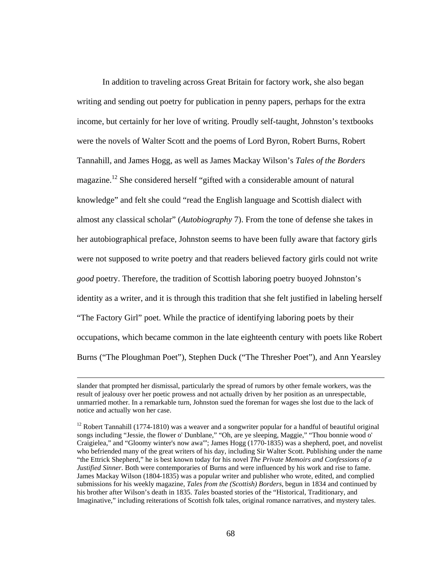In addition to traveling across Great Britain for factory work, she also began writing and sending out poetry for publication in penny papers, perhaps for the extra income, but certainly for her love of writing. Proudly self-taught, Johnston's textbooks were the novels of Walter Scott and the poems of Lord Byron, Robert Burns, Robert Tannahill, and James Hogg, as well as James Mackay Wilson's *Tales of the Borders* magazine.<sup>12</sup> She considered herself "gifted with a considerable amount of natural knowledge" and felt she could "read the English language and Scottish dialect with almost any classical scholar" (*Autobiography* 7). From the tone of defense she takes in her autobiographical preface, Johnston seems to have been fully aware that factory girls were not supposed to write poetry and that readers believed factory girls could not write *good* poetry. Therefore, the tradition of Scottish laboring poetry buoyed Johnston's identity as a writer, and it is through this tradition that she felt justified in labeling herself "The Factory Girl" poet. While the practice of identifying laboring poets by their occupations, which became common in the late eighteenth century with poets like Robert Burns ("The Ploughman Poet"), Stephen Duck ("The Thresher Poet"), and Ann Yearsley

slander that prompted her dismissal, particularly the spread of rumors by other female workers, was the result of jealousy over her poetic prowess and not actually driven by her position as an unrespectable, unmarried mother. In a remarkable turn, Johnston sued the foreman for wages she lost due to the lack of notice and actually won her case.

 $12$  Robert Tannahill (1774-1810) was a weaver and a songwriter popular for a handful of beautiful original songs including "Jessie, the flower o' Dunblane," "Oh, are ye sleeping, Maggie," "Thou bonnie wood o' Craigielea," and "Gloomy winter's now awa'"; James Hogg (1770-1835) was a shepherd, poet, and novelist who befriended many of the great writers of his day, including Sir Walter Scott. Publishing under the name "the Ettrick Shepherd," he is best known today for his novel *The Private Memoirs and Confessions of a Justified Sinner*. Both were contemporaries of Burns and were influenced by his work and rise to fame. James Mackay Wilson (1804-1835) was a popular writer and publisher who wrote, edited, and complied submissions for his weekly magazine, *Tales from the (Scottish) Borders*, begun in 1834 and continued by his brother after Wilson's death in 1835. *Tales* boasted stories of the "Historical, Traditionary, and Imaginative," including reiterations of Scottish folk tales, original romance narratives, and mystery tales.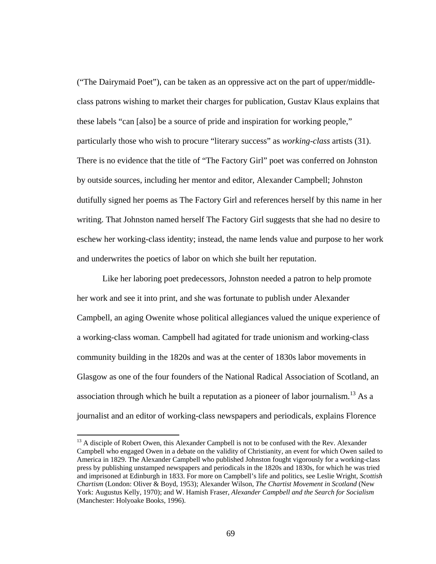("The Dairymaid Poet"), can be taken as an oppressive act on the part of upper/middleclass patrons wishing to market their charges for publication, Gustav Klaus explains that these labels "can [also] be a source of pride and inspiration for working people," particularly those who wish to procure "literary success" as *working-class* artists (31). There is no evidence that the title of "The Factory Girl" poet was conferred on Johnston by outside sources, including her mentor and editor, Alexander Campbell; Johnston dutifully signed her poems as The Factory Girl and references herself by this name in her writing. That Johnston named herself The Factory Girl suggests that she had no desire to eschew her working-class identity; instead, the name lends value and purpose to her work and underwrites the poetics of labor on which she built her reputation.

Like her laboring poet predecessors, Johnston needed a patron to help promote her work and see it into print, and she was fortunate to publish under Alexander Campbell, an aging Owenite whose political allegiances valued the unique experience of a working-class woman. Campbell had agitated for trade unionism and working-class community building in the 1820s and was at the center of 1830s labor movements in Glasgow as one of the four founders of the National Radical Association of Scotland, an association through which he built a reputation as a pioneer of labor journalism.<sup>13</sup> As a journalist and an editor of working-class newspapers and periodicals, explains Florence

<sup>&</sup>lt;sup>13</sup> A disciple of Robert Owen, this Alexander Campbell is not to be confused with the Rev. Alexander Campbell who engaged Owen in a debate on the validity of Christianity, an event for which Owen sailed to America in 1829. The Alexander Campbell who published Johnston fought vigorously for a working-class press by publishing unstamped newspapers and periodicals in the 1820s and 1830s, for which he was tried and imprisoned at Edinburgh in 1833. For more on Campbell's life and politics, see Leslie Wright, *Scottish Chartism* (London: Oliver & Boyd, 1953); Alexander Wilson, *The Chartist Movement in Scotland* (New York: Augustus Kelly, 1970); and W. Hamish Fraser, *Alexander Campbell and the Search for Socialism* (Manchester: Holyoake Books, 1996).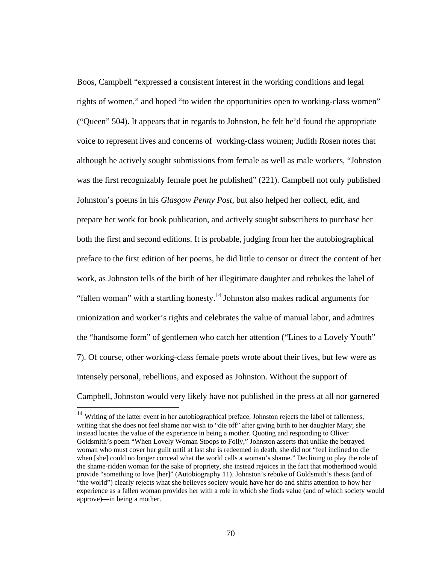Boos, Campbell "expressed a consistent interest in the working conditions and legal rights of women," and hoped "to widen the opportunities open to working-class women" ("Queen" 504). It appears that in regards to Johnston, he felt he'd found the appropriate voice to represent lives and concerns of working-class women; Judith Rosen notes that although he actively sought submissions from female as well as male workers, "Johnston was the first recognizably female poet he published" (221). Campbell not only published Johnston's poems in his *Glasgow Penny Post*, but also helped her collect, edit, and prepare her work for book publication, and actively sought subscribers to purchase her both the first and second editions. It is probable, judging from her the autobiographical preface to the first edition of her poems, he did little to censor or direct the content of her work, as Johnston tells of the birth of her illegitimate daughter and rebukes the label of "fallen woman" with a startling honesty.<sup>14</sup> Johnston also makes radical arguments for unionization and worker's rights and celebrates the value of manual labor, and admires the "handsome form" of gentlemen who catch her attention ("Lines to a Lovely Youth" 7). Of course, other working-class female poets wrote about their lives, but few were as intensely personal, rebellious, and exposed as Johnston. Without the support of Campbell, Johnston would very likely have not published in the press at all nor garnered

 $14$  Writing of the latter event in her autobiographical preface, Johnston rejects the label of fallenness, writing that she does not feel shame nor wish to "die off" after giving birth to her daughter Mary; she instead locates the value of the experience in being a mother. Quoting and responding to Oliver Goldsmith's poem "When Lovely Woman Stoops to Folly," Johnston asserts that unlike the betrayed woman who must cover her guilt until at last she is redeemed in death, she did not "feel inclined to die when [she] could no longer conceal what the world calls a woman's shame." Declining to play the role of the shame-ridden woman for the sake of propriety, she instead rejoices in the fact that motherhood would provide "something to love [her]" (Autobiography 11). Johnston's rebuke of Goldsmith's thesis (and of "the world") clearly rejects what she believes society would have her do and shifts attention to how her experience as a fallen woman provides her with a role in which she finds value (and of which society would approve)—in being a mother.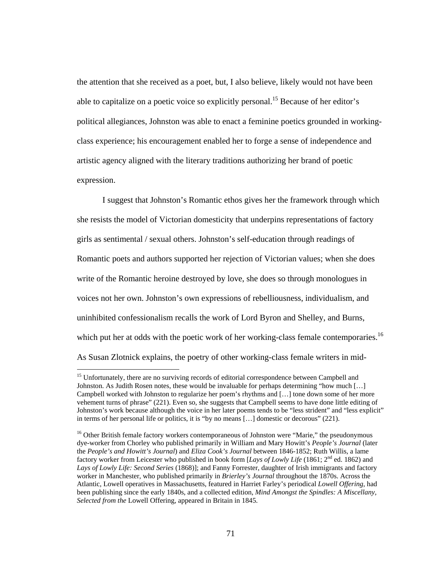the attention that she received as a poet, but, I also believe, likely would not have been able to capitalize on a poetic voice so explicitly personal.<sup>15</sup> Because of her editor's political allegiances, Johnston was able to enact a feminine poetics grounded in workingclass experience; his encouragement enabled her to forge a sense of independence and artistic agency aligned with the literary traditions authorizing her brand of poetic expression.

I suggest that Johnston's Romantic ethos gives her the framework through which she resists the model of Victorian domesticity that underpins representations of factory girls as sentimental / sexual others. Johnston's self-education through readings of Romantic poets and authors supported her rejection of Victorian values; when she does write of the Romantic heroine destroyed by love, she does so through monologues in voices not her own. Johnston's own expressions of rebelliousness, individualism, and uninhibited confessionalism recalls the work of Lord Byron and Shelley, and Burns, which put her at odds with the poetic work of her working-class female contemporaries.<sup>16</sup> As Susan Zlotnick explains, the poetry of other working-class female writers in mid-

<sup>&</sup>lt;sup>15</sup> Unfortunately, there are no surviving records of editorial correspondence between Campbell and Johnston. As Judith Rosen notes, these would be invaluable for perhaps determining "how much […] Campbell worked with Johnston to regularize her poem's rhythms and […] tone down some of her more vehement turns of phrase" (221). Even so, she suggests that Campbell seems to have done little editing of Johnston's work because although the voice in her later poems tends to be "less strident" and "less explicit" in terms of her personal life or politics, it is "by no means […] domestic or decorous" (221).

<sup>&</sup>lt;sup>16</sup> Other British female factory workers contemporaneous of Johnston were "Marie," the pseudonymous dye-worker from Chorley who published primarily in William and Mary Howitt's *People's Journal* (later the *People's and Howitt's Journal*) and *Eliza Cook's Journal* between 1846-1852; Ruth Willis, a lame factory worker from Leicester who published in book form [*Lays of Lowly Life* (1861; 2<sup>nd</sup> ed. 1862) and *Lays of Lowly Life: Second Series* (1868)]; and Fanny Forrester, daughter of Irish immigrants and factory worker in Manchester, who published primarily in *Brierley's Journal* throughout the 1870s. Across the Atlantic, Lowell operatives in Massachusetts, featured in Harriet Farley's periodical *Lowell Offering*, had been publishing since the early 1840s, and a collected edition, *Mind Amongst the Spindles: A Miscellany, Selected from the* Lowell Offering, appeared in Britain in 1845.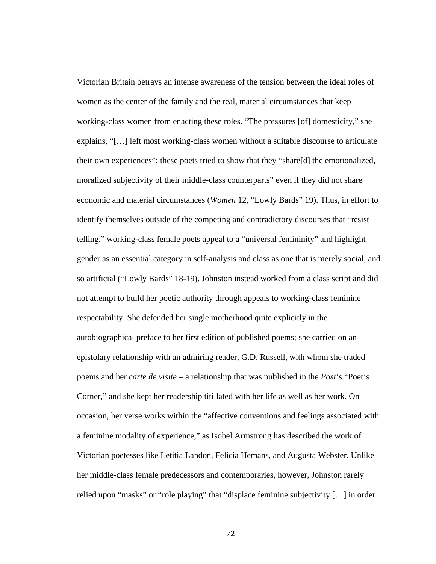Victorian Britain betrays an intense awareness of the tension between the ideal roles of women as the center of the family and the real, material circumstances that keep working-class women from enacting these roles. "The pressures [of] domesticity," she explains, "[…] left most working-class women without a suitable discourse to articulate their own experiences"; these poets tried to show that they "share[d] the emotionalized, moralized subjectivity of their middle-class counterparts" even if they did not share economic and material circumstances (*Women* 12, "Lowly Bards" 19). Thus, in effort to identify themselves outside of the competing and contradictory discourses that "resist telling," working-class female poets appeal to a "universal femininity" and highlight gender as an essential category in self-analysis and class as one that is merely social, and so artificial ("Lowly Bards" 18-19). Johnston instead worked from a class script and did not attempt to build her poetic authority through appeals to working-class feminine respectability. She defended her single motherhood quite explicitly in the autobiographical preface to her first edition of published poems; she carried on an epistolary relationship with an admiring reader, G.D. Russell, with whom she traded poems and her *carte de visite* – a relationship that was published in the *Post*'s "Poet's Corner," and she kept her readership titillated with her life as well as her work. On occasion, her verse works within the "affective conventions and feelings associated with a feminine modality of experience," as Isobel Armstrong has described the work of Victorian poetesses like Letitia Landon, Felicia Hemans, and Augusta Webster. Unlike her middle-class female predecessors and contemporaries, however, Johnston rarely relied upon "masks" or "role playing" that "displace feminine subjectivity […] in order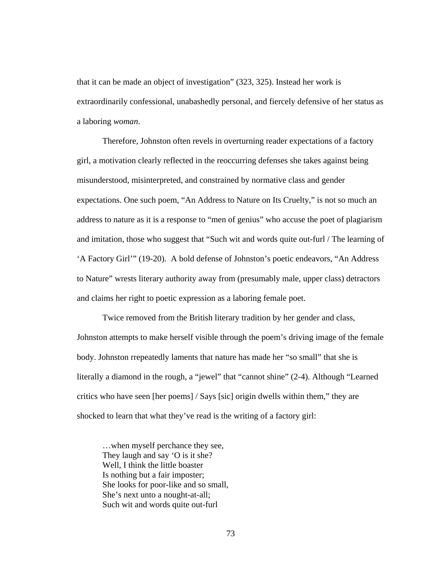that it can be made an object of investigation" (323, 325). Instead her work is extraordinarily confessional, unabashedly personal, and fiercely defensive of her status as a laboring *woman*.

Therefore, Johnston often revels in overturning reader expectations of a factory girl, a motivation clearly reflected in the reoccurring defenses she takes against being misunderstood, misinterpreted, and constrained by normative class and gender expectations. One such poem, "An Address to Nature on Its Cruelty," is not so much an address to nature as it is a response to "men of genius" who accuse the poet of plagiarism and imitation, those who suggest that "Such wit and words quite out-furl / The learning of 'A Factory Girl'" (19-20). A bold defense of Johnston's poetic endeavors, "An Address to Nature" wrests literary authority away from (presumably male, upper class) detractors and claims her right to poetic expression as a laboring female poet.

Twice removed from the British literary tradition by her gender and class, Johnston attempts to make herself visible through the poem's driving image of the female body. Johnston rrepeatedly laments that nature has made her "so small" that she is literally a diamond in the rough, a "jewel" that "cannot shine" (2-4). Although "Learned critics who have seen [her poems] / Says [sic] origin dwells within them," they are shocked to learn that what they've read is the writing of a factory girl:

…when myself perchance they see, They laugh and say 'O is it she? Well, I think the little boaster Is nothing but a fair imposter; She looks for poor-like and so small, She's next unto a nought-at-all; Such wit and words quite out-furl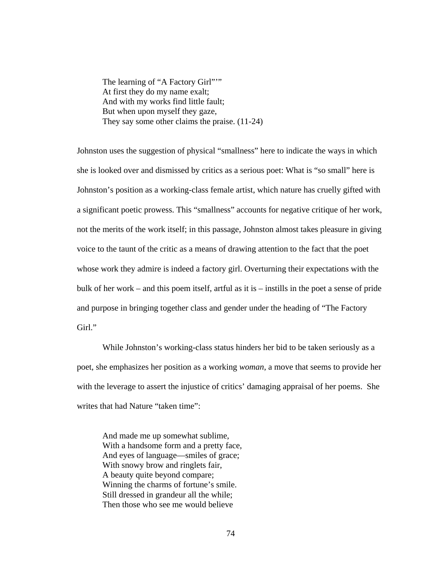The learning of "A Factory Girl""" At first they do my name exalt; And with my works find little fault; But when upon myself they gaze, They say some other claims the praise. (11-24)

Johnston uses the suggestion of physical "smallness" here to indicate the ways in which she is looked over and dismissed by critics as a serious poet: What is "so small" here is Johnston's position as a working-class female artist, which nature has cruelly gifted with a significant poetic prowess. This "smallness" accounts for negative critique of her work, not the merits of the work itself; in this passage, Johnston almost takes pleasure in giving voice to the taunt of the critic as a means of drawing attention to the fact that the poet whose work they admire is indeed a factory girl. Overturning their expectations with the bulk of her work – and this poem itself, artful as it is – instills in the poet a sense of pride and purpose in bringing together class and gender under the heading of "The Factory Girl."

While Johnston's working-class status hinders her bid to be taken seriously as a poet, she emphasizes her position as a working *woman*, a move that seems to provide her with the leverage to assert the injustice of critics' damaging appraisal of her poems. She writes that had Nature "taken time":

And made me up somewhat sublime, With a handsome form and a pretty face, And eyes of language—smiles of grace; With snowy brow and ringlets fair, A beauty quite beyond compare; Winning the charms of fortune's smile. Still dressed in grandeur all the while; Then those who see me would believe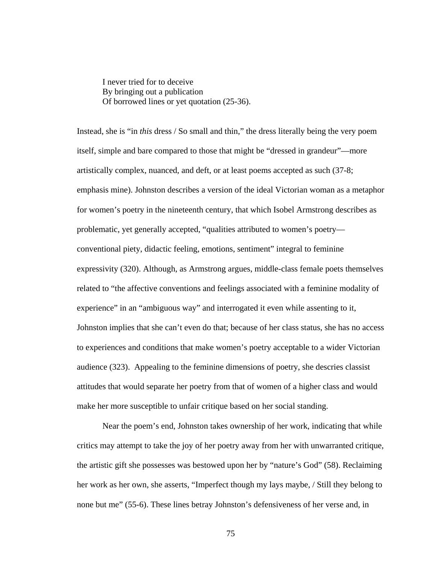I never tried for to deceive By bringing out a publication Of borrowed lines or yet quotation (25-36).

Instead, she is "in *this* dress / So small and thin," the dress literally being the very poem itself, simple and bare compared to those that might be "dressed in grandeur"—more artistically complex, nuanced, and deft, or at least poems accepted as such (37-8; emphasis mine). Johnston describes a version of the ideal Victorian woman as a metaphor for women's poetry in the nineteenth century, that which Isobel Armstrong describes as problematic, yet generally accepted, "qualities attributed to women's poetry conventional piety, didactic feeling, emotions, sentiment" integral to feminine expressivity (320). Although, as Armstrong argues, middle-class female poets themselves related to "the affective conventions and feelings associated with a feminine modality of experience" in an "ambiguous way" and interrogated it even while assenting to it, Johnston implies that she can't even do that; because of her class status, she has no access to experiences and conditions that make women's poetry acceptable to a wider Victorian audience (323). Appealing to the feminine dimensions of poetry, she descries classist attitudes that would separate her poetry from that of women of a higher class and would make her more susceptible to unfair critique based on her social standing.

 Near the poem's end, Johnston takes ownership of her work, indicating that while critics may attempt to take the joy of her poetry away from her with unwarranted critique, the artistic gift she possesses was bestowed upon her by "nature's God" (58). Reclaiming her work as her own, she asserts, "Imperfect though my lays maybe, / Still they belong to none but me" (55-6). These lines betray Johnston's defensiveness of her verse and, in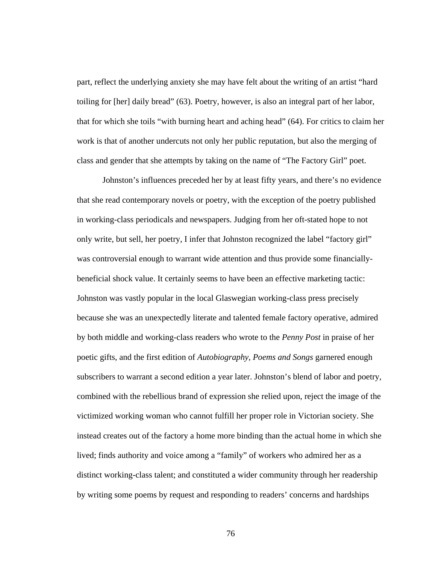part, reflect the underlying anxiety she may have felt about the writing of an artist "hard toiling for [her] daily bread" (63). Poetry, however, is also an integral part of her labor, that for which she toils "with burning heart and aching head" (64). For critics to claim her work is that of another undercuts not only her public reputation, but also the merging of class and gender that she attempts by taking on the name of "The Factory Girl" poet.

Johnston's influences preceded her by at least fifty years, and there's no evidence that she read contemporary novels or poetry, with the exception of the poetry published in working-class periodicals and newspapers. Judging from her oft-stated hope to not only write, but sell, her poetry, I infer that Johnston recognized the label "factory girl" was controversial enough to warrant wide attention and thus provide some financiallybeneficial shock value. It certainly seems to have been an effective marketing tactic: Johnston was vastly popular in the local Glaswegian working-class press precisely because she was an unexpectedly literate and talented female factory operative, admired by both middle and working-class readers who wrote to the *Penny Post* in praise of her poetic gifts, and the first edition of *Autobiography, Poems and Songs* garnered enough subscribers to warrant a second edition a year later. Johnston's blend of labor and poetry, combined with the rebellious brand of expression she relied upon, reject the image of the victimized working woman who cannot fulfill her proper role in Victorian society. She instead creates out of the factory a home more binding than the actual home in which she lived; finds authority and voice among a "family" of workers who admired her as a distinct working-class talent; and constituted a wider community through her readership by writing some poems by request and responding to readers' concerns and hardships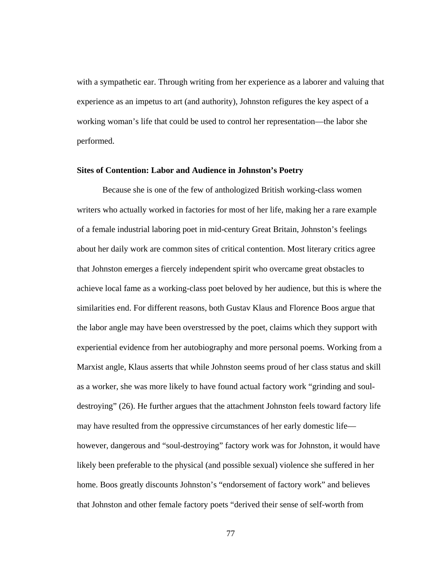with a sympathetic ear. Through writing from her experience as a laborer and valuing that experience as an impetus to art (and authority), Johnston refigures the key aspect of a working woman's life that could be used to control her representation—the labor she performed.

#### **Sites of Contention: Labor and Audience in Johnston's Poetry**

Because she is one of the few of anthologized British working-class women writers who actually worked in factories for most of her life, making her a rare example of a female industrial laboring poet in mid-century Great Britain, Johnston's feelings about her daily work are common sites of critical contention. Most literary critics agree that Johnston emerges a fiercely independent spirit who overcame great obstacles to achieve local fame as a working-class poet beloved by her audience, but this is where the similarities end. For different reasons, both Gustav Klaus and Florence Boos argue that the labor angle may have been overstressed by the poet, claims which they support with experiential evidence from her autobiography and more personal poems. Working from a Marxist angle, Klaus asserts that while Johnston seems proud of her class status and skill as a worker, she was more likely to have found actual factory work "grinding and souldestroying" (26). He further argues that the attachment Johnston feels toward factory life may have resulted from the oppressive circumstances of her early domestic life however, dangerous and "soul-destroying" factory work was for Johnston, it would have likely been preferable to the physical (and possible sexual) violence she suffered in her home. Boos greatly discounts Johnston's "endorsement of factory work" and believes that Johnston and other female factory poets "derived their sense of self-worth from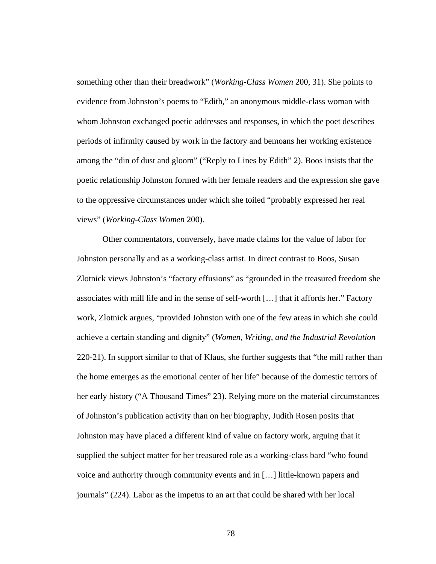something other than their breadwork" (*Working-Class Women* 200, 31). She points to evidence from Johnston's poems to "Edith," an anonymous middle-class woman with whom Johnston exchanged poetic addresses and responses, in which the poet describes periods of infirmity caused by work in the factory and bemoans her working existence among the "din of dust and gloom" ("Reply to Lines by Edith" 2). Boos insists that the poetic relationship Johnston formed with her female readers and the expression she gave to the oppressive circumstances under which she toiled "probably expressed her real views" (*Working-Class Women* 200).

Other commentators, conversely, have made claims for the value of labor for Johnston personally and as a working-class artist. In direct contrast to Boos, Susan Zlotnick views Johnston's "factory effusions" as "grounded in the treasured freedom she associates with mill life and in the sense of self-worth […] that it affords her." Factory work, Zlotnick argues, "provided Johnston with one of the few areas in which she could achieve a certain standing and dignity" (*Women, Writing, and the Industrial Revolution* 220-21). In support similar to that of Klaus, she further suggests that "the mill rather than the home emerges as the emotional center of her life" because of the domestic terrors of her early history ("A Thousand Times" 23). Relying more on the material circumstances of Johnston's publication activity than on her biography, Judith Rosen posits that Johnston may have placed a different kind of value on factory work, arguing that it supplied the subject matter for her treasured role as a working-class bard "who found voice and authority through community events and in […] little-known papers and journals" (224). Labor as the impetus to an art that could be shared with her local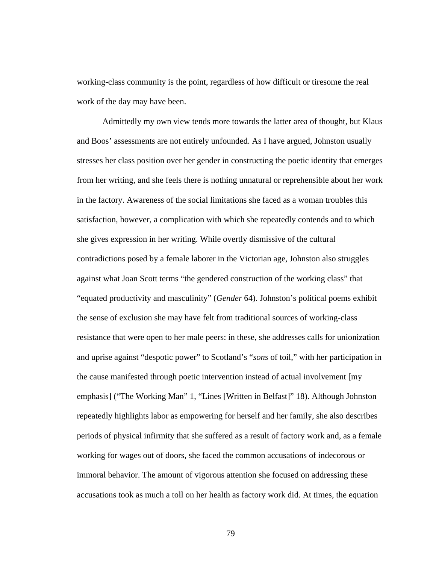working-class community is the point, regardless of how difficult or tiresome the real work of the day may have been.

Admittedly my own view tends more towards the latter area of thought, but Klaus and Boos' assessments are not entirely unfounded. As I have argued, Johnston usually stresses her class position over her gender in constructing the poetic identity that emerges from her writing, and she feels there is nothing unnatural or reprehensible about her work in the factory. Awareness of the social limitations she faced as a woman troubles this satisfaction, however, a complication with which she repeatedly contends and to which she gives expression in her writing. While overtly dismissive of the cultural contradictions posed by a female laborer in the Victorian age, Johnston also struggles against what Joan Scott terms "the gendered construction of the working class" that "equated productivity and masculinity" (*Gender* 64). Johnston's political poems exhibit the sense of exclusion she may have felt from traditional sources of working-class resistance that were open to her male peers: in these, she addresses calls for unionization and uprise against "despotic power" to Scotland's "*sons* of toil," with her participation in the cause manifested through poetic intervention instead of actual involvement [my emphasis] ("The Working Man" 1, "Lines [Written in Belfast]" 18). Although Johnston repeatedly highlights labor as empowering for herself and her family, she also describes periods of physical infirmity that she suffered as a result of factory work and, as a female working for wages out of doors, she faced the common accusations of indecorous or immoral behavior. The amount of vigorous attention she focused on addressing these accusations took as much a toll on her health as factory work did. At times, the equation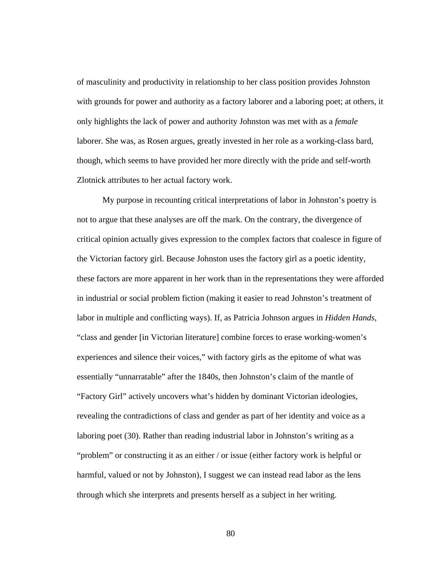of masculinity and productivity in relationship to her class position provides Johnston with grounds for power and authority as a factory laborer and a laboring poet; at others, it only highlights the lack of power and authority Johnston was met with as a *female* laborer. She was, as Rosen argues, greatly invested in her role as a working-class bard, though, which seems to have provided her more directly with the pride and self-worth Zlotnick attributes to her actual factory work.

My purpose in recounting critical interpretations of labor in Johnston's poetry is not to argue that these analyses are off the mark. On the contrary, the divergence of critical opinion actually gives expression to the complex factors that coalesce in figure of the Victorian factory girl. Because Johnston uses the factory girl as a poetic identity, these factors are more apparent in her work than in the representations they were afforded in industrial or social problem fiction (making it easier to read Johnston's treatment of labor in multiple and conflicting ways). If, as Patricia Johnson argues in *Hidden Hands*, "class and gender [in Victorian literature] combine forces to erase working-women's experiences and silence their voices," with factory girls as the epitome of what was essentially "unnarratable" after the 1840s, then Johnston's claim of the mantle of "Factory Girl" actively uncovers what's hidden by dominant Victorian ideologies, revealing the contradictions of class and gender as part of her identity and voice as a laboring poet (30). Rather than reading industrial labor in Johnston's writing as a "problem" or constructing it as an either / or issue (either factory work is helpful or harmful, valued or not by Johnston), I suggest we can instead read labor as the lens through which she interprets and presents herself as a subject in her writing.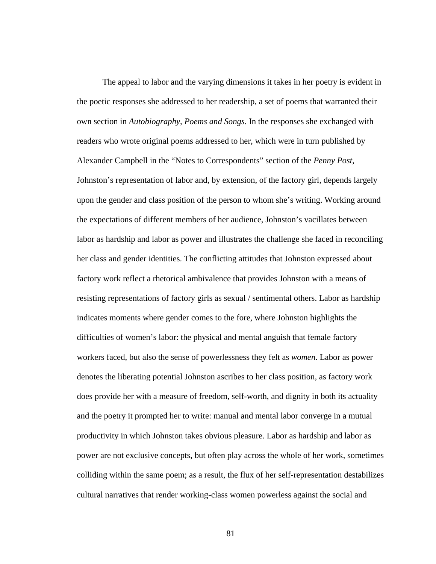The appeal to labor and the varying dimensions it takes in her poetry is evident in the poetic responses she addressed to her readership, a set of poems that warranted their own section in *Autobiography, Poems and Songs*. In the responses she exchanged with readers who wrote original poems addressed to her, which were in turn published by Alexander Campbell in the "Notes to Correspondents" section of the *Penny Post*, Johnston's representation of labor and, by extension, of the factory girl, depends largely upon the gender and class position of the person to whom she's writing. Working around the expectations of different members of her audience, Johnston's vacillates between labor as hardship and labor as power and illustrates the challenge she faced in reconciling her class and gender identities. The conflicting attitudes that Johnston expressed about factory work reflect a rhetorical ambivalence that provides Johnston with a means of resisting representations of factory girls as sexual / sentimental others. Labor as hardship indicates moments where gender comes to the fore, where Johnston highlights the difficulties of women's labor: the physical and mental anguish that female factory workers faced, but also the sense of powerlessness they felt as *women*. Labor as power denotes the liberating potential Johnston ascribes to her class position, as factory work does provide her with a measure of freedom, self-worth, and dignity in both its actuality and the poetry it prompted her to write: manual and mental labor converge in a mutual productivity in which Johnston takes obvious pleasure. Labor as hardship and labor as power are not exclusive concepts, but often play across the whole of her work, sometimes colliding within the same poem; as a result, the flux of her self-representation destabilizes cultural narratives that render working-class women powerless against the social and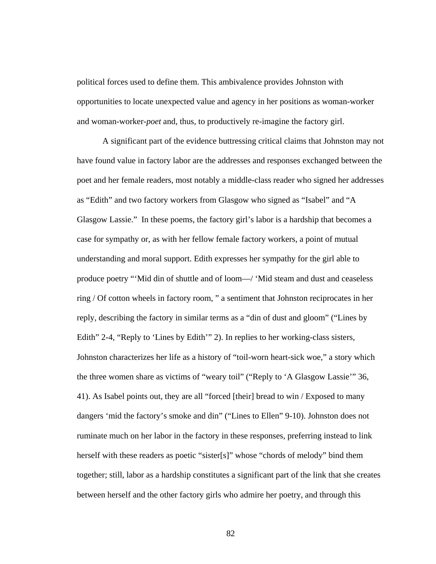political forces used to define them. This ambivalence provides Johnston with opportunities to locate unexpected value and agency in her positions as woman-worker and woman-worker-*poet* and, thus, to productively re-imagine the factory girl.

A significant part of the evidence buttressing critical claims that Johnston may not have found value in factory labor are the addresses and responses exchanged between the poet and her female readers, most notably a middle-class reader who signed her addresses as "Edith" and two factory workers from Glasgow who signed as "Isabel" and "A Glasgow Lassie." In these poems, the factory girl's labor is a hardship that becomes a case for sympathy or, as with her fellow female factory workers, a point of mutual understanding and moral support. Edith expresses her sympathy for the girl able to produce poetry "'Mid din of shuttle and of loom—/ 'Mid steam and dust and ceaseless ring / Of cotton wheels in factory room, " a sentiment that Johnston reciprocates in her reply, describing the factory in similar terms as a "din of dust and gloom" ("Lines by Edith" 2-4, "Reply to 'Lines by Edith'" 2). In replies to her working-class sisters, Johnston characterizes her life as a history of "toil-worn heart-sick woe," a story which the three women share as victims of "weary toil" ("Reply to 'A Glasgow Lassie'" 36, 41). As Isabel points out, they are all "forced [their] bread to win / Exposed to many dangers 'mid the factory's smoke and din" ("Lines to Ellen" 9-10). Johnston does not ruminate much on her labor in the factory in these responses, preferring instead to link herself with these readers as poetic "sister[s]" whose "chords of melody" bind them together; still, labor as a hardship constitutes a significant part of the link that she creates between herself and the other factory girls who admire her poetry, and through this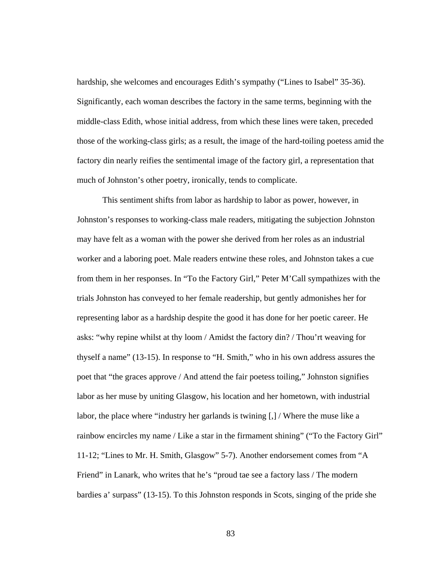hardship, she welcomes and encourages Edith's sympathy ("Lines to Isabel" 35-36). Significantly, each woman describes the factory in the same terms, beginning with the middle-class Edith, whose initial address, from which these lines were taken, preceded those of the working-class girls; as a result, the image of the hard-toiling poetess amid the factory din nearly reifies the sentimental image of the factory girl, a representation that much of Johnston's other poetry, ironically, tends to complicate.

This sentiment shifts from labor as hardship to labor as power, however, in Johnston's responses to working-class male readers, mitigating the subjection Johnston may have felt as a woman with the power she derived from her roles as an industrial worker and a laboring poet. Male readers entwine these roles, and Johnston takes a cue from them in her responses. In "To the Factory Girl," Peter M'Call sympathizes with the trials Johnston has conveyed to her female readership, but gently admonishes her for representing labor as a hardship despite the good it has done for her poetic career. He asks: "why repine whilst at thy loom / Amidst the factory din? / Thou'rt weaving for thyself a name" (13-15). In response to "H. Smith," who in his own address assures the poet that "the graces approve / And attend the fair poetess toiling," Johnston signifies labor as her muse by uniting Glasgow, his location and her hometown, with industrial labor, the place where "industry her garlands is twining [,] / Where the muse like a rainbow encircles my name / Like a star in the firmament shining" ("To the Factory Girl" 11-12; "Lines to Mr. H. Smith, Glasgow" 5-7). Another endorsement comes from "A Friend" in Lanark, who writes that he's "proud tae see a factory lass / The modern bardies a' surpass" (13-15). To this Johnston responds in Scots, singing of the pride she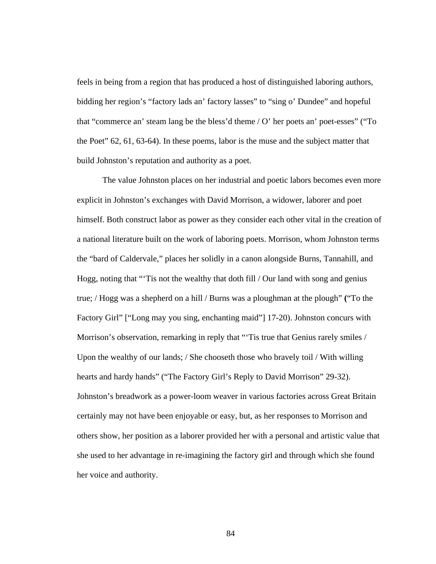feels in being from a region that has produced a host of distinguished laboring authors, bidding her region's "factory lads an' factory lasses" to "sing o' Dundee" and hopeful that "commerce an' steam lang be the bless'd theme / O' her poets an' poet-esses" ("To the Poet" 62, 61, 63-64). In these poems, labor is the muse and the subject matter that build Johnston's reputation and authority as a poet.

The value Johnston places on her industrial and poetic labors becomes even more explicit in Johnston's exchanges with David Morrison, a widower, laborer and poet himself. Both construct labor as power as they consider each other vital in the creation of a national literature built on the work of laboring poets. Morrison, whom Johnston terms the "bard of Caldervale," places her solidly in a canon alongside Burns, Tannahill, and Hogg, noting that "'Tis not the wealthy that doth fill / Our land with song and genius true; / Hogg was a shepherd on a hill / Burns was a ploughman at the plough" **(**"To the Factory Girl" ["Long may you sing, enchanting maid"] 17-20). Johnston concurs with Morrison's observation, remarking in reply that "Tis true that Genius rarely smiles / Upon the wealthy of our lands; / She chooseth those who bravely toil / With willing hearts and hardy hands" ("The Factory Girl's Reply to David Morrison" 29-32). Johnston's breadwork as a power-loom weaver in various factories across Great Britain certainly may not have been enjoyable or easy, but, as her responses to Morrison and others show, her position as a laborer provided her with a personal and artistic value that she used to her advantage in re-imagining the factory girl and through which she found her voice and authority.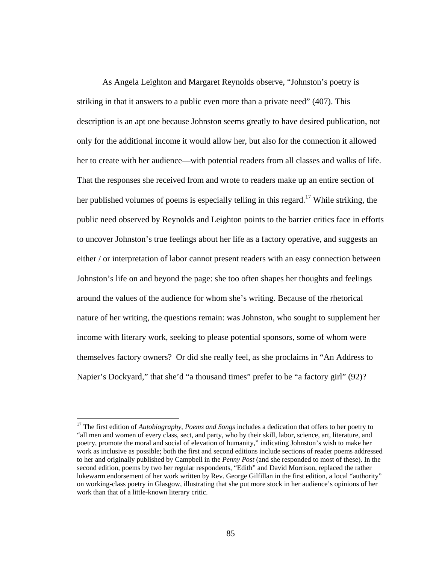As Angela Leighton and Margaret Reynolds observe, "Johnston's poetry is striking in that it answers to a public even more than a private need" (407). This description is an apt one because Johnston seems greatly to have desired publication, not only for the additional income it would allow her, but also for the connection it allowed her to create with her audience—with potential readers from all classes and walks of life. That the responses she received from and wrote to readers make up an entire section of her published volumes of poems is especially telling in this regard.<sup>17</sup> While striking, the public need observed by Reynolds and Leighton points to the barrier critics face in efforts to uncover Johnston's true feelings about her life as a factory operative, and suggests an either / or interpretation of labor cannot present readers with an easy connection between Johnston's life on and beyond the page: she too often shapes her thoughts and feelings around the values of the audience for whom she's writing. Because of the rhetorical nature of her writing, the questions remain: was Johnston, who sought to supplement her income with literary work, seeking to please potential sponsors, some of whom were themselves factory owners? Or did she really feel, as she proclaims in "An Address to Napier's Dockyard," that she'd "a thousand times" prefer to be "a factory girl" (92)?

<sup>17</sup> The first edition of *Autobiography, Poems and Songs* includes a dedication that offers to her poetry to "all men and women of every class, sect, and party, who by their skill, labor, science, art, literature, and poetry, promote the moral and social of elevation of humanity," indicating Johnston's wish to make her work as inclusive as possible; both the first and second editions include sections of reader poems addressed to her and originally published by Campbell in the *Penny Post* (and she responded to most of these). In the second edition, poems by two her regular respondents, "Edith" and David Morrison, replaced the rather lukewarm endorsement of her work written by Rev. George Gilfillan in the first edition, a local "authority" on working-class poetry in Glasgow, illustrating that she put more stock in her audience's opinions of her work than that of a little-known literary critic.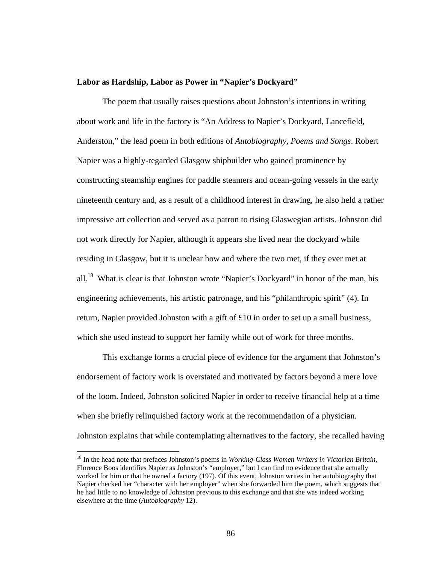## **Labor as Hardship, Labor as Power in "Napier's Dockyard"**

The poem that usually raises questions about Johnston's intentions in writing about work and life in the factory is "An Address to Napier's Dockyard, Lancefield, Anderston," the lead poem in both editions of *Autobiography, Poems and Songs*. Robert Napier was a highly-regarded Glasgow shipbuilder who gained prominence by constructing steamship engines for paddle steamers and ocean-going vessels in the early nineteenth century and, as a result of a childhood interest in drawing, he also held a rather impressive art collection and served as a patron to rising Glaswegian artists. Johnston did not work directly for Napier, although it appears she lived near the dockyard while residing in Glasgow, but it is unclear how and where the two met, if they ever met at all.<sup>18</sup> What is clear is that Johnston wrote "Napier's Dockyard" in honor of the man, his engineering achievements, his artistic patronage, and his "philanthropic spirit" (4). In return, Napier provided Johnston with a gift of £10 in order to set up a small business, which she used instead to support her family while out of work for three months.

 This exchange forms a crucial piece of evidence for the argument that Johnston's endorsement of factory work is overstated and motivated by factors beyond a mere love of the loom. Indeed, Johnston solicited Napier in order to receive financial help at a time when she briefly relinquished factory work at the recommendation of a physician. Johnston explains that while contemplating alternatives to the factory, she recalled having

<sup>18</sup> In the head note that prefaces Johnston's poems in *Working-Class Women Writers in Victorian Britain*, Florence Boos identifies Napier as Johnston's "employer," but I can find no evidence that she actually worked for him or that he owned a factory (197). Of this event, Johnston writes in her autobiography that Napier checked her "character with her employer" when she forwarded him the poem, which suggests that he had little to no knowledge of Johnston previous to this exchange and that she was indeed working elsewhere at the time (*Autobiography* 12).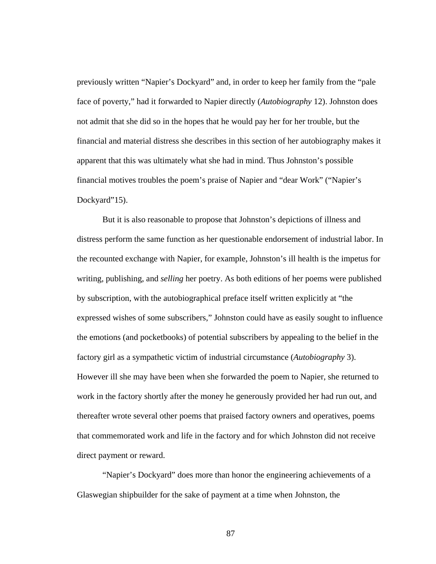previously written "Napier's Dockyard" and, in order to keep her family from the "pale face of poverty," had it forwarded to Napier directly (*Autobiography* 12). Johnston does not admit that she did so in the hopes that he would pay her for her trouble, but the financial and material distress she describes in this section of her autobiography makes it apparent that this was ultimately what she had in mind. Thus Johnston's possible financial motives troubles the poem's praise of Napier and "dear Work" ("Napier's Dockyard"15).

But it is also reasonable to propose that Johnston's depictions of illness and distress perform the same function as her questionable endorsement of industrial labor. In the recounted exchange with Napier, for example, Johnston's ill health is the impetus for writing, publishing, and *selling* her poetry. As both editions of her poems were published by subscription, with the autobiographical preface itself written explicitly at "the expressed wishes of some subscribers," Johnston could have as easily sought to influence the emotions (and pocketbooks) of potential subscribers by appealing to the belief in the factory girl as a sympathetic victim of industrial circumstance (*Autobiography* 3). However ill she may have been when she forwarded the poem to Napier, she returned to work in the factory shortly after the money he generously provided her had run out, and thereafter wrote several other poems that praised factory owners and operatives, poems that commemorated work and life in the factory and for which Johnston did not receive direct payment or reward.

"Napier's Dockyard" does more than honor the engineering achievements of a Glaswegian shipbuilder for the sake of payment at a time when Johnston, the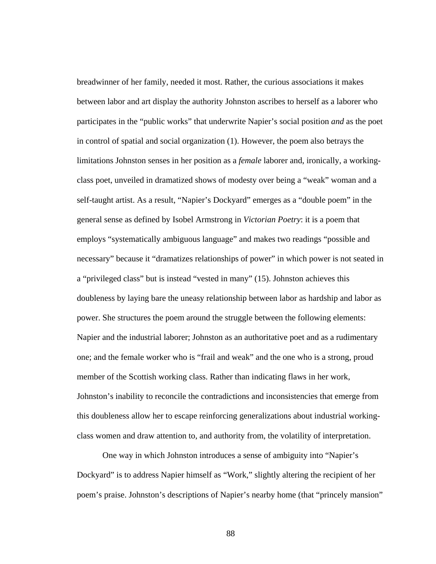breadwinner of her family, needed it most. Rather, the curious associations it makes between labor and art display the authority Johnston ascribes to herself as a laborer who participates in the "public works" that underwrite Napier's social position *and* as the poet in control of spatial and social organization (1). However, the poem also betrays the limitations Johnston senses in her position as a *female* laborer and, ironically, a workingclass poet, unveiled in dramatized shows of modesty over being a "weak" woman and a self-taught artist. As a result, "Napier's Dockyard" emerges as a "double poem" in the general sense as defined by Isobel Armstrong in *Victorian Poetry*: it is a poem that employs "systematically ambiguous language" and makes two readings "possible and necessary" because it "dramatizes relationships of power" in which power is not seated in a "privileged class" but is instead "vested in many" (15). Johnston achieves this doubleness by laying bare the uneasy relationship between labor as hardship and labor as power. She structures the poem around the struggle between the following elements: Napier and the industrial laborer; Johnston as an authoritative poet and as a rudimentary one; and the female worker who is "frail and weak" and the one who is a strong, proud member of the Scottish working class. Rather than indicating flaws in her work, Johnston's inability to reconcile the contradictions and inconsistencies that emerge from this doubleness allow her to escape reinforcing generalizations about industrial workingclass women and draw attention to, and authority from, the volatility of interpretation.

One way in which Johnston introduces a sense of ambiguity into "Napier's Dockyard" is to address Napier himself as "Work," slightly altering the recipient of her poem's praise. Johnston's descriptions of Napier's nearby home (that "princely mansion"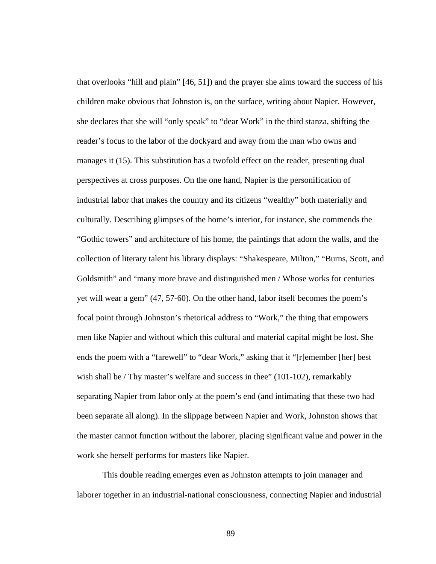that overlooks "hill and plain" [46, 51]) and the prayer she aims toward the success of his children make obvious that Johnston is, on the surface, writing about Napier. However, she declares that she will "only speak" to "dear Work" in the third stanza, shifting the reader's focus to the labor of the dockyard and away from the man who owns and manages it (15). This substitution has a twofold effect on the reader, presenting dual perspectives at cross purposes. On the one hand, Napier is the personification of industrial labor that makes the country and its citizens "wealthy" both materially and culturally. Describing glimpses of the home's interior, for instance, she commends the "Gothic towers" and architecture of his home, the paintings that adorn the walls, and the collection of literary talent his library displays: "Shakespeare, Milton," "Burns, Scott, and Goldsmith" and "many more brave and distinguished men / Whose works for centuries yet will wear a gem" (47, 57-60). On the other hand, labor itself becomes the poem's focal point through Johnston's rhetorical address to "Work," the thing that empowers men like Napier and without which this cultural and material capital might be lost. She ends the poem with a "farewell" to "dear Work," asking that it "[r]emember [her] best wish shall be / Thy master's welfare and success in thee" (101-102), remarkably separating Napier from labor only at the poem's end (and intimating that these two had been separate all along). In the slippage between Napier and Work, Johnston shows that the master cannot function without the laborer, placing significant value and power in the work she herself performs for masters like Napier.

This double reading emerges even as Johnston attempts to join manager and laborer together in an industrial-national consciousness, connecting Napier and industrial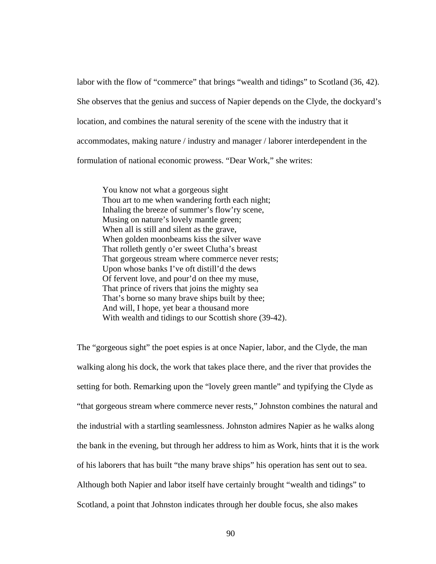labor with the flow of "commerce" that brings "wealth and tidings" to Scotland (36, 42). She observes that the genius and success of Napier depends on the Clyde, the dockyard's location, and combines the natural serenity of the scene with the industry that it accommodates, making nature / industry and manager / laborer interdependent in the formulation of national economic prowess. "Dear Work," she writes:

You know not what a gorgeous sight Thou art to me when wandering forth each night; Inhaling the breeze of summer's flow'ry scene, Musing on nature's lovely mantle green; When all is still and silent as the grave, When golden moonbeams kiss the silver wave That rolleth gently o'er sweet Clutha's breast That gorgeous stream where commerce never rests; Upon whose banks I've oft distill'd the dews Of fervent love, and pour'd on thee my muse, That prince of rivers that joins the mighty sea That's borne so many brave ships built by thee; And will, I hope, yet bear a thousand more With wealth and tidings to our Scottish shore (39-42).

The "gorgeous sight" the poet espies is at once Napier, labor, and the Clyde, the man walking along his dock, the work that takes place there, and the river that provides the setting for both. Remarking upon the "lovely green mantle" and typifying the Clyde as "that gorgeous stream where commerce never rests," Johnston combines the natural and the industrial with a startling seamlessness. Johnston admires Napier as he walks along the bank in the evening, but through her address to him as Work, hints that it is the work of his laborers that has built "the many brave ships" his operation has sent out to sea. Although both Napier and labor itself have certainly brought "wealth and tidings" to Scotland, a point that Johnston indicates through her double focus, she also makes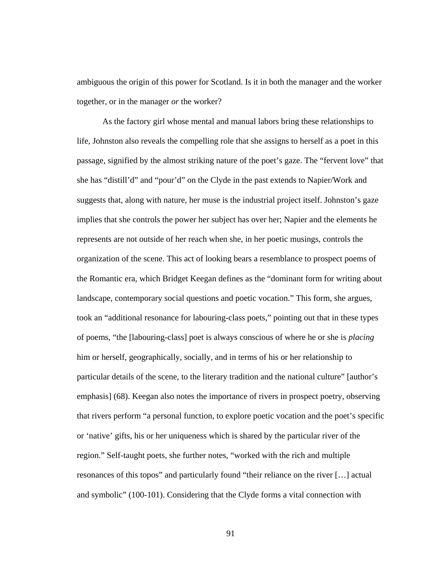ambiguous the origin of this power for Scotland. Is it in both the manager and the worker together, or in the manager *or* the worker?

As the factory girl whose mental and manual labors bring these relationships to life, Johnston also reveals the compelling role that she assigns to herself as a poet in this passage, signified by the almost striking nature of the poet's gaze. The "fervent love" that she has "distill'd" and "pour'd" on the Clyde in the past extends to Napier/Work and suggests that, along with nature, her muse is the industrial project itself. Johnston's gaze implies that she controls the power her subject has over her; Napier and the elements he represents are not outside of her reach when she, in her poetic musings, controls the organization of the scene. This act of looking bears a resemblance to prospect poems of the Romantic era, which Bridget Keegan defines as the "dominant form for writing about landscape, contemporary social questions and poetic vocation." This form, she argues, took an "additional resonance for labouring-class poets," pointing out that in these types of poems, "the [labouring-class] poet is always conscious of where he or she is *placing* him or herself, geographically, socially, and in terms of his or her relationship to particular details of the scene, to the literary tradition and the national culture" [author's emphasis] (68). Keegan also notes the importance of rivers in prospect poetry, observing that rivers perform "a personal function, to explore poetic vocation and the poet's specific or 'native' gifts, his or her uniqueness which is shared by the particular river of the region." Self-taught poets, she further notes, "worked with the rich and multiple resonances of this topos" and particularly found "their reliance on the river […] actual and symbolic" (100-101). Considering that the Clyde forms a vital connection with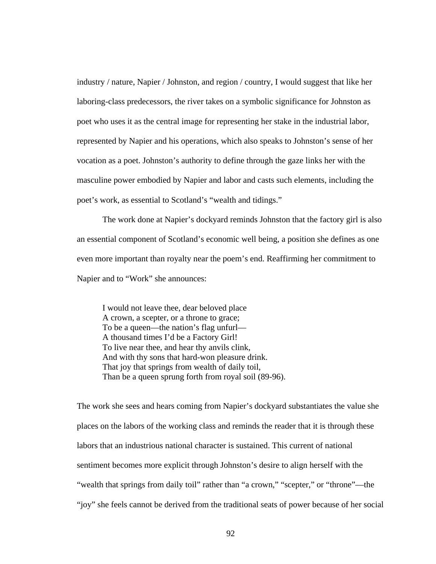industry / nature, Napier / Johnston, and region / country, I would suggest that like her laboring-class predecessors, the river takes on a symbolic significance for Johnston as poet who uses it as the central image for representing her stake in the industrial labor, represented by Napier and his operations, which also speaks to Johnston's sense of her vocation as a poet. Johnston's authority to define through the gaze links her with the masculine power embodied by Napier and labor and casts such elements, including the poet's work, as essential to Scotland's "wealth and tidings."

The work done at Napier's dockyard reminds Johnston that the factory girl is also an essential component of Scotland's economic well being, a position she defines as one even more important than royalty near the poem's end. Reaffirming her commitment to Napier and to "Work" she announces:

 I would not leave thee, dear beloved place A crown, a scepter, or a throne to grace; To be a queen—the nation's flag unfurl— A thousand times I'd be a Factory Girl! To live near thee, and hear thy anvils clink, And with thy sons that hard-won pleasure drink. That joy that springs from wealth of daily toil, Than be a queen sprung forth from royal soil (89-96).

The work she sees and hears coming from Napier's dockyard substantiates the value she places on the labors of the working class and reminds the reader that it is through these labors that an industrious national character is sustained. This current of national sentiment becomes more explicit through Johnston's desire to align herself with the "wealth that springs from daily toil" rather than "a crown," "scepter," or "throne"—the "joy" she feels cannot be derived from the traditional seats of power because of her social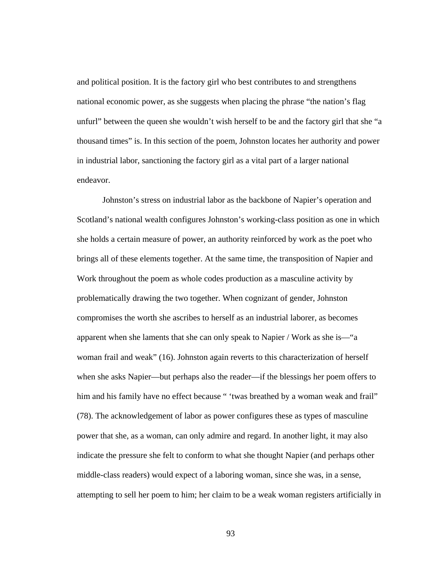and political position. It is the factory girl who best contributes to and strengthens national economic power, as she suggests when placing the phrase "the nation's flag unfurl" between the queen she wouldn't wish herself to be and the factory girl that she "a thousand times" is. In this section of the poem, Johnston locates her authority and power in industrial labor, sanctioning the factory girl as a vital part of a larger national endeavor.

Johnston's stress on industrial labor as the backbone of Napier's operation and Scotland's national wealth configures Johnston's working-class position as one in which she holds a certain measure of power, an authority reinforced by work as the poet who brings all of these elements together. At the same time, the transposition of Napier and Work throughout the poem as whole codes production as a masculine activity by problematically drawing the two together. When cognizant of gender, Johnston compromises the worth she ascribes to herself as an industrial laborer, as becomes apparent when she laments that she can only speak to Napier / Work as she is—"a woman frail and weak" (16). Johnston again reverts to this characterization of herself when she asks Napier—but perhaps also the reader—if the blessings her poem offers to him and his family have no effect because " 'twas breathed by a woman weak and frail" (78). The acknowledgement of labor as power configures these as types of masculine power that she, as a woman, can only admire and regard. In another light, it may also indicate the pressure she felt to conform to what she thought Napier (and perhaps other middle-class readers) would expect of a laboring woman, since she was, in a sense, attempting to sell her poem to him; her claim to be a weak woman registers artificially in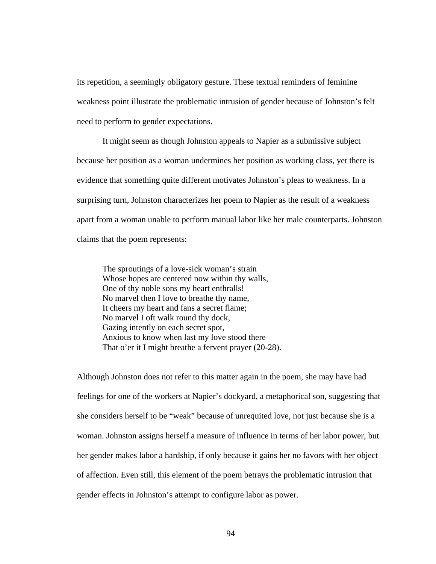its repetition, a seemingly obligatory gesture. These textual reminders of feminine weakness point illustrate the problematic intrusion of gender because of Johnston's felt need to perform to gender expectations.

It might seem as though Johnston appeals to Napier as a submissive subject because her position as a woman undermines her position as working class, yet there is evidence that something quite different motivates Johnston's pleas to weakness. In a surprising turn, Johnston characterizes her poem to Napier as the result of a weakness apart from a woman unable to perform manual labor like her male counterparts. Johnston claims that the poem represents:

The sproutings of a love-sick woman's strain Whose hopes are centered now within thy walls, One of thy noble sons my heart enthralls! No marvel then I love to breathe thy name, It cheers my heart and fans a secret flame; No marvel I oft walk round thy dock, Gazing intently on each secret spot, Anxious to know when last my love stood there That o'er it I might breathe a fervent prayer (20-28).

Although Johnston does not refer to this matter again in the poem, she may have had feelings for one of the workers at Napier's dockyard, a metaphorical son, suggesting that she considers herself to be "weak" because of unrequited love, not just because she is a woman. Johnston assigns herself a measure of influence in terms of her labor power, but her gender makes labor a hardship, if only because it gains her no favors with her object of affection. Even still, this element of the poem betrays the problematic intrusion that gender effects in Johnston's attempt to configure labor as power.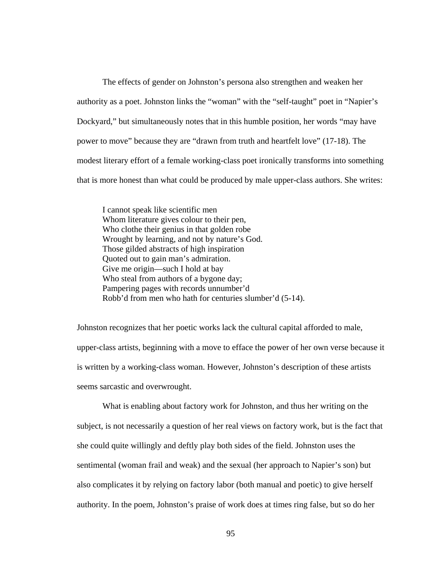The effects of gender on Johnston's persona also strengthen and weaken her authority as a poet. Johnston links the "woman" with the "self-taught" poet in "Napier's Dockyard," but simultaneously notes that in this humble position, her words "may have power to move" because they are "drawn from truth and heartfelt love" (17-18). The modest literary effort of a female working-class poet ironically transforms into something that is more honest than what could be produced by male upper-class authors. She writes:

 I cannot speak like scientific men Whom literature gives colour to their pen, Who clothe their genius in that golden robe Wrought by learning, and not by nature's God. Those gilded abstracts of high inspiration Quoted out to gain man's admiration. Give me origin—such I hold at bay Who steal from authors of a bygone day; Pampering pages with records unnumber'd Robb'd from men who hath for centuries slumber'd (5-14).

Johnston recognizes that her poetic works lack the cultural capital afforded to male, upper-class artists, beginning with a move to efface the power of her own verse because it is written by a working-class woman. However, Johnston's description of these artists seems sarcastic and overwrought.

What is enabling about factory work for Johnston, and thus her writing on the subject, is not necessarily a question of her real views on factory work, but is the fact that she could quite willingly and deftly play both sides of the field. Johnston uses the sentimental (woman frail and weak) and the sexual (her approach to Napier's son) but also complicates it by relying on factory labor (both manual and poetic) to give herself authority. In the poem, Johnston's praise of work does at times ring false, but so do her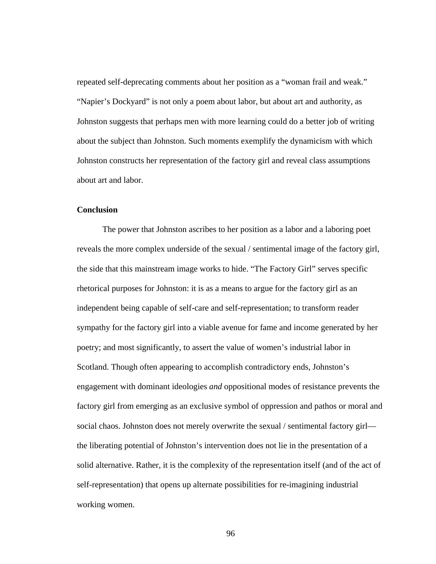repeated self-deprecating comments about her position as a "woman frail and weak." "Napier's Dockyard" is not only a poem about labor, but about art and authority, as Johnston suggests that perhaps men with more learning could do a better job of writing about the subject than Johnston. Such moments exemplify the dynamicism with which Johnston constructs her representation of the factory girl and reveal class assumptions about art and labor.

## **Conclusion**

The power that Johnston ascribes to her position as a labor and a laboring poet reveals the more complex underside of the sexual / sentimental image of the factory girl, the side that this mainstream image works to hide. "The Factory Girl" serves specific rhetorical purposes for Johnston: it is as a means to argue for the factory girl as an independent being capable of self-care and self-representation; to transform reader sympathy for the factory girl into a viable avenue for fame and income generated by her poetry; and most significantly, to assert the value of women's industrial labor in Scotland. Though often appearing to accomplish contradictory ends, Johnston's engagement with dominant ideologies *and* oppositional modes of resistance prevents the factory girl from emerging as an exclusive symbol of oppression and pathos or moral and social chaos. Johnston does not merely overwrite the sexual / sentimental factory girl the liberating potential of Johnston's intervention does not lie in the presentation of a solid alternative. Rather, it is the complexity of the representation itself (and of the act of self-representation) that opens up alternate possibilities for re-imagining industrial working women.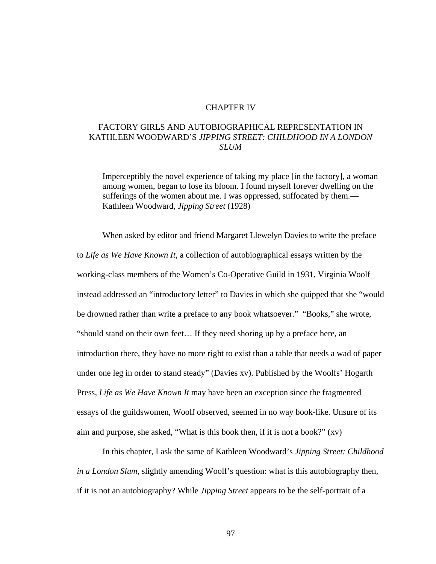#### CHAPTER IV

# FACTORY GIRLS AND AUTOBIOGRAPHICAL REPRESENTATION IN KATHLEEN WOODWARD'S *JIPPING STREET: CHILDHOOD IN A LONDON SLUM*

 Imperceptibly the novel experience of taking my place [in the factory], a woman among women, began to lose its bloom. I found myself forever dwelling on the sufferings of the women about me. I was oppressed, suffocated by them.— Kathleen Woodward, *Jipping Street* (1928)

When asked by editor and friend Margaret Llewelyn Davies to write the preface to *Life as We Have Known It,* a collection of autobiographical essays written by the working-class members of the Women's Co-Operative Guild in 1931, Virginia Woolf instead addressed an "introductory letter" to Davies in which she quipped that she "would be drowned rather than write a preface to any book whatsoever." "Books," she wrote, "should stand on their own feet… If they need shoring up by a preface here, an introduction there, they have no more right to exist than a table that needs a wad of paper under one leg in order to stand steady" (Davies xv). Published by the Woolfs' Hogarth Press, *Life as We Have Known It* may have been an exception since the fragmented essays of the guildswomen, Woolf observed, seemed in no way book-like. Unsure of its aim and purpose, she asked, "What is this book then, if it is not a book?" (xv)

In this chapter, I ask the same of Kathleen Woodward's *Jipping Street: Childhood in a London Slum*, slightly amending Woolf's question: what is this autobiography then, if it is not an autobiography? While *Jipping Street* appears to be the self-portrait of a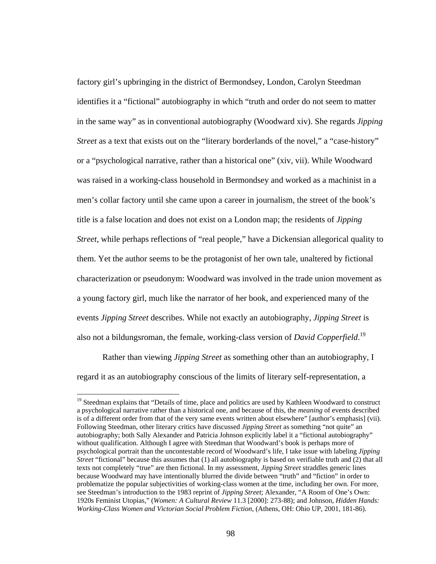factory girl's upbringing in the district of Bermondsey, London, Carolyn Steedman identifies it a "fictional" autobiography in which "truth and order do not seem to matter in the same way" as in conventional autobiography (Woodward xiv). She regards *Jipping Street* as a text that exists out on the "literary borderlands of the novel," a "case-history" or a "psychological narrative, rather than a historical one" (xiv, vii). While Woodward was raised in a working-class household in Bermondsey and worked as a machinist in a men's collar factory until she came upon a career in journalism, the street of the book's title is a false location and does not exist on a London map; the residents of *Jipping Street*, while perhaps reflections of "real people," have a Dickensian allegorical quality to them. Yet the author seems to be the protagonist of her own tale, unaltered by fictional characterization or pseudonym: Woodward was involved in the trade union movement as a young factory girl, much like the narrator of her book, and experienced many of the events *Jipping Street* describes. While not exactly an autobiography, *Jipping Street* is also not a bildungsroman, the female, working-class version of *David Copperfield*. 19

Rather than viewing *Jipping Street* as something other than an autobiography, I regard it as an autobiography conscious of the limits of literary self-representation, a

<sup>&</sup>lt;sup>19</sup> Steedman explains that "Details of time, place and politics are used by Kathleen Woodward to construct a psychological narrative rather than a historical one, and because of this, the *meaning* of events described is of a different order from that of the very same events written about elsewhere" [author's emphasis] (vii). Following Steedman, other literary critics have discussed *Jipping Street* as something "not quite" an autobiography; both Sally Alexander and Patricia Johnson explicitly label it a "fictional autobiography" without qualification. Although I agree with Steedman that Woodward's book is perhaps more of psychological portrait than the uncontestable record of Woodward's life, I take issue with labeling *Jipping Street* "fictional" because this assumes that (1) all autobiography is based on verifiable truth and (2) that all texts not completely "true" are then fictional. In my assessment, *Jipping Street* straddles generic lines because Woodward may have intentionally blurred the divide between "truth" and "fiction" in order to problematize the popular subjectivities of working-class women at the time, including her own. For more, see Steedman's introduction to the 1983 reprint of *Jipping Street*; Alexander, "A Room of One's Own: 1920s Feminist Utopias," (*Women: A Cultural Review* 11.3 [2000]: 273-88); and Johnson, *Hidden Hands: Working-Class Women and Victorian Social Problem Fiction*, (Athens, OH: Ohio UP, 2001, 181-86).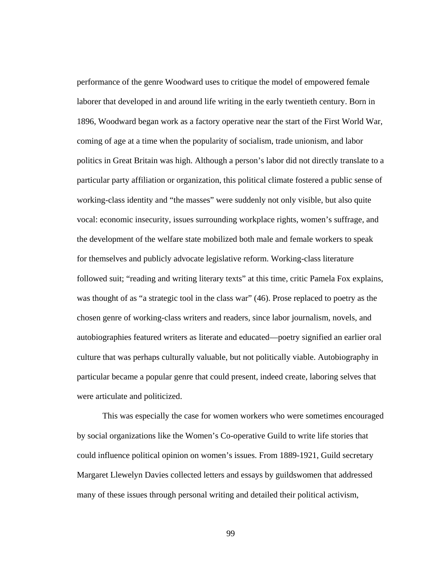performance of the genre Woodward uses to critique the model of empowered female laborer that developed in and around life writing in the early twentieth century. Born in 1896, Woodward began work as a factory operative near the start of the First World War, coming of age at a time when the popularity of socialism, trade unionism, and labor politics in Great Britain was high. Although a person's labor did not directly translate to a particular party affiliation or organization, this political climate fostered a public sense of working-class identity and "the masses" were suddenly not only visible, but also quite vocal: economic insecurity, issues surrounding workplace rights, women's suffrage, and the development of the welfare state mobilized both male and female workers to speak for themselves and publicly advocate legislative reform. Working-class literature followed suit; "reading and writing literary texts" at this time, critic Pamela Fox explains, was thought of as "a strategic tool in the class war" (46). Prose replaced to poetry as the chosen genre of working-class writers and readers, since labor journalism, novels, and autobiographies featured writers as literate and educated—poetry signified an earlier oral culture that was perhaps culturally valuable, but not politically viable. Autobiography in particular became a popular genre that could present, indeed create, laboring selves that were articulate and politicized.

This was especially the case for women workers who were sometimes encouraged by social organizations like the Women's Co-operative Guild to write life stories that could influence political opinion on women's issues. From 1889-1921, Guild secretary Margaret Llewelyn Davies collected letters and essays by guildswomen that addressed many of these issues through personal writing and detailed their political activism,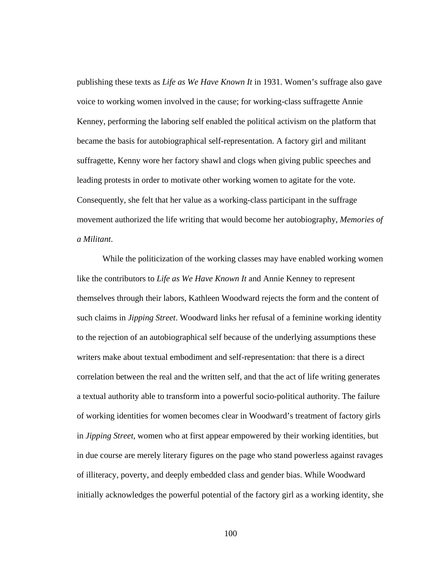publishing these texts as *Life as We Have Known It* in 1931. Women's suffrage also gave voice to working women involved in the cause; for working-class suffragette Annie Kenney, performing the laboring self enabled the political activism on the platform that became the basis for autobiographical self-representation. A factory girl and militant suffragette, Kenny wore her factory shawl and clogs when giving public speeches and leading protests in order to motivate other working women to agitate for the vote. Consequently, she felt that her value as a working-class participant in the suffrage movement authorized the life writing that would become her autobiography, *Memories of a Militant*.

While the politicization of the working classes may have enabled working women like the contributors to *Life as We Have Known It* and Annie Kenney to represent themselves through their labors, Kathleen Woodward rejects the form and the content of such claims in *Jipping Street*. Woodward links her refusal of a feminine working identity to the rejection of an autobiographical self because of the underlying assumptions these writers make about textual embodiment and self-representation: that there is a direct correlation between the real and the written self, and that the act of life writing generates a textual authority able to transform into a powerful socio-political authority. The failure of working identities for women becomes clear in Woodward's treatment of factory girls in *Jipping Street*, women who at first appear empowered by their working identities, but in due course are merely literary figures on the page who stand powerless against ravages of illiteracy, poverty, and deeply embedded class and gender bias. While Woodward initially acknowledges the powerful potential of the factory girl as a working identity, she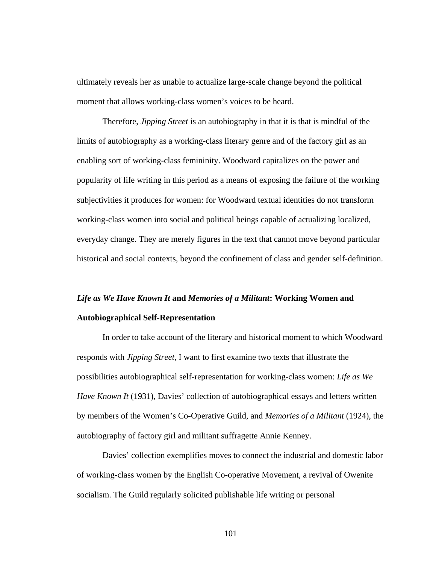ultimately reveals her as unable to actualize large-scale change beyond the political moment that allows working-class women's voices to be heard.

Therefore, *Jipping Street* is an autobiography in that it is that is mindful of the limits of autobiography as a working-class literary genre and of the factory girl as an enabling sort of working-class femininity. Woodward capitalizes on the power and popularity of life writing in this period as a means of exposing the failure of the working subjectivities it produces for women: for Woodward textual identities do not transform working-class women into social and political beings capable of actualizing localized, everyday change. They are merely figures in the text that cannot move beyond particular historical and social contexts, beyond the confinement of class and gender self-definition.

## *Life as We Have Known It* **and** *Memories of a Militant***: Working Women and Autobiographical Self-Representation**

In order to take account of the literary and historical moment to which Woodward responds with *Jipping Street*, I want to first examine two texts that illustrate the possibilities autobiographical self-representation for working-class women: *Life as We Have Known It* (1931), Davies' collection of autobiographical essays and letters written by members of the Women's Co-Operative Guild, and *Memories of a Militant* (1924), the autobiography of factory girl and militant suffragette Annie Kenney.

Davies' collection exemplifies moves to connect the industrial and domestic labor of working-class women by the English Co-operative Movement, a revival of Owenite socialism. The Guild regularly solicited publishable life writing or personal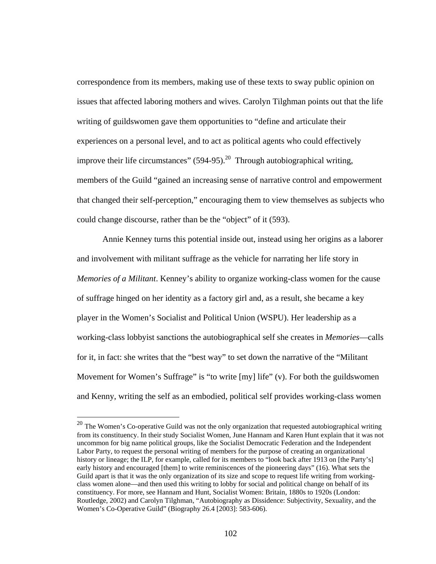correspondence from its members, making use of these texts to sway public opinion on issues that affected laboring mothers and wives. Carolyn Tilghman points out that the life writing of guildswomen gave them opportunities to "define and articulate their experiences on a personal level, and to act as political agents who could effectively improve their life circumstances"  $(594-95)$ .<sup>20</sup> Through autobiographical writing, members of the Guild "gained an increasing sense of narrative control and empowerment that changed their self-perception," encouraging them to view themselves as subjects who could change discourse, rather than be the "object" of it (593).

Annie Kenney turns this potential inside out, instead using her origins as a laborer and involvement with militant suffrage as the vehicle for narrating her life story in *Memories of a Militant*. Kenney's ability to organize working-class women for the cause of suffrage hinged on her identity as a factory girl and, as a result, she became a key player in the Women's Socialist and Political Union (WSPU). Her leadership as a working-class lobbyist sanctions the autobiographical self she creates in *Memories*—calls for it, in fact: she writes that the "best way" to set down the narrative of the "Militant Movement for Women's Suffrage" is "to write [my] life" (v). For both the guildswomen and Kenny, writing the self as an embodied, political self provides working-class women

 $\overline{a}$ 

 $^{20}$  The Women's Co-operative Guild was not the only organization that requested autobiographical writing from its constituency. In their study Socialist Women, June Hannam and Karen Hunt explain that it was not uncommon for big name political groups, like the Socialist Democratic Federation and the Independent Labor Party, to request the personal writing of members for the purpose of creating an organizational history or lineage; the ILP, for example, called for its members to "look back after 1913 on [the Party's] early history and encouraged [them] to write reminiscences of the pioneering days" (16). What sets the Guild apart is that it was the only organization of its size and scope to request life writing from workingclass women alone—and then used this writing to lobby for social and political change on behalf of its constituency. For more, see Hannam and Hunt, Socialist Women: Britain, 1880s to 1920s (London: Routledge, 2002) and Carolyn Tilghman, "Autobiography as Dissidence: Subjectivity, Sexuality, and the Women's Co-Operative Guild" (Biography 26.4 [2003]: 583-606).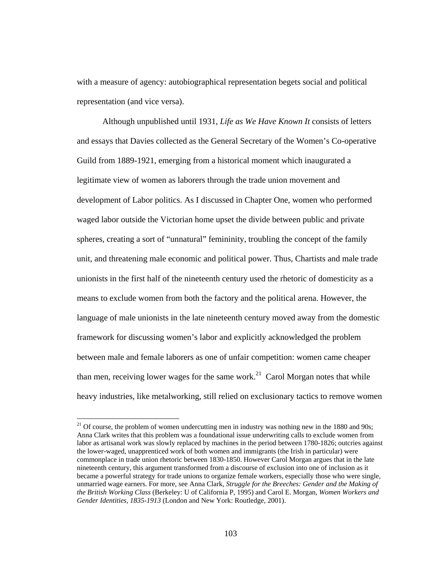with a measure of agency: autobiographical representation begets social and political representation (and vice versa).

Although unpublished until 1931, *Life as We Have Known It* consists of letters and essays that Davies collected as the General Secretary of the Women's Co-operative Guild from 1889-1921, emerging from a historical moment which inaugurated a legitimate view of women as laborers through the trade union movement and development of Labor politics. As I discussed in Chapter One, women who performed waged labor outside the Victorian home upset the divide between public and private spheres, creating a sort of "unnatural" femininity, troubling the concept of the family unit, and threatening male economic and political power. Thus, Chartists and male trade unionists in the first half of the nineteenth century used the rhetoric of domesticity as a means to exclude women from both the factory and the political arena. However, the language of male unionists in the late nineteenth century moved away from the domestic framework for discussing women's labor and explicitly acknowledged the problem between male and female laborers as one of unfair competition: women came cheaper than men, receiving lower wages for the same work.<sup>21</sup> Carol Morgan notes that while heavy industries, like metalworking, still relied on exclusionary tactics to remove women

 $21$  Of course, the problem of women undercutting men in industry was nothing new in the 1880 and 90s; Anna Clark writes that this problem was a foundational issue underwriting calls to exclude women from labor as artisanal work was slowly replaced by machines in the period between 1780-1826; outcries against the lower-waged, unapprenticed work of both women and immigrants (the Irish in particular) were commonplace in trade union rhetoric between 1830-1850. However Carol Morgan argues that in the late nineteenth century, this argument transformed from a discourse of exclusion into one of inclusion as it became a powerful strategy for trade unions to organize female workers, especially those who were single, unmarried wage earners. For more, see Anna Clark, *Struggle for the Breeches: Gender and the Making of the British Working Class* (Berkeley: U of California P, 1995) and Carol E. Morgan, *Women Workers and Gender Identities, 1835-1913* (London and New York: Routledge, 2001).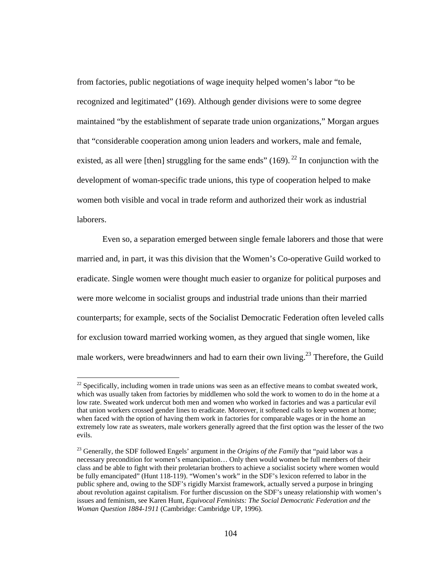from factories, public negotiations of wage inequity helped women's labor "to be recognized and legitimated" (169). Although gender divisions were to some degree maintained "by the establishment of separate trade union organizations," Morgan argues that "considerable cooperation among union leaders and workers, male and female, existed, as all were [then] struggling for the same ends" (169). <sup>22</sup> In conjunction with the development of woman-specific trade unions, this type of cooperation helped to make women both visible and vocal in trade reform and authorized their work as industrial laborers.

Even so, a separation emerged between single female laborers and those that were married and, in part, it was this division that the Women's Co-operative Guild worked to eradicate. Single women were thought much easier to organize for political purposes and were more welcome in socialist groups and industrial trade unions than their married counterparts; for example, sects of the Socialist Democratic Federation often leveled calls for exclusion toward married working women, as they argued that single women, like male workers, were breadwinners and had to earn their own living.<sup>23</sup> Therefore, the Guild

 $\overline{a}$ 

 $^{22}$  Specifically, including women in trade unions was seen as an effective means to combat sweated work, which was usually taken from factories by middlemen who sold the work to women to do in the home at a low rate. Sweated work undercut both men and women who worked in factories and was a particular evil that union workers crossed gender lines to eradicate. Moreover, it softened calls to keep women at home; when faced with the option of having them work in factories for comparable wages or in the home an extremely low rate as sweaters, male workers generally agreed that the first option was the lesser of the two evils.

<sup>&</sup>lt;sup>23</sup> Generally, the SDF followed Engels' argument in the *Origins of the Family* that "paid labor was a necessary precondition for women's emancipation… Only then would women be full members of their class and be able to fight with their proletarian brothers to achieve a socialist society where women would be fully emancipated" (Hunt 118-119). "Women's work" in the SDF's lexicon referred to labor in the public sphere and, owing to the SDF's rigidly Marxist framework, actually served a purpose in bringing about revolution against capitalism. For further discussion on the SDF's uneasy relationship with women's issues and feminism, see Karen Hunt, *Equivocal Feminists: The Social Democratic Federation and the Woman Question 1884-1911* (Cambridge: Cambridge UP, 1996).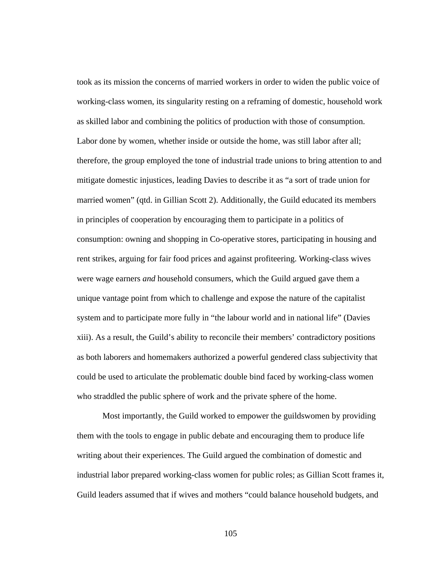took as its mission the concerns of married workers in order to widen the public voice of working-class women, its singularity resting on a reframing of domestic, household work as skilled labor and combining the politics of production with those of consumption. Labor done by women, whether inside or outside the home, was still labor after all; therefore, the group employed the tone of industrial trade unions to bring attention to and mitigate domestic injustices, leading Davies to describe it as "a sort of trade union for married women" (qtd. in Gillian Scott 2). Additionally, the Guild educated its members in principles of cooperation by encouraging them to participate in a politics of consumption: owning and shopping in Co-operative stores, participating in housing and rent strikes, arguing for fair food prices and against profiteering. Working-class wives were wage earners *and* household consumers, which the Guild argued gave them a unique vantage point from which to challenge and expose the nature of the capitalist system and to participate more fully in "the labour world and in national life" (Davies xiii). As a result, the Guild's ability to reconcile their members' contradictory positions as both laborers and homemakers authorized a powerful gendered class subjectivity that could be used to articulate the problematic double bind faced by working-class women who straddled the public sphere of work and the private sphere of the home.

Most importantly, the Guild worked to empower the guildswomen by providing them with the tools to engage in public debate and encouraging them to produce life writing about their experiences. The Guild argued the combination of domestic and industrial labor prepared working-class women for public roles; as Gillian Scott frames it, Guild leaders assumed that if wives and mothers "could balance household budgets, and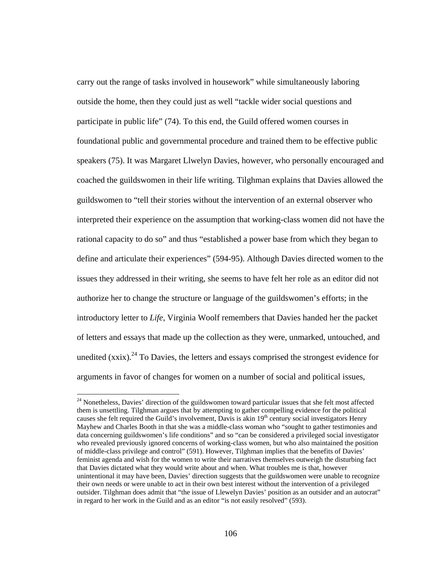carry out the range of tasks involved in housework" while simultaneously laboring outside the home, then they could just as well "tackle wider social questions and participate in public life" (74). To this end, the Guild offered women courses in foundational public and governmental procedure and trained them to be effective public speakers (75). It was Margaret Llwelyn Davies, however, who personally encouraged and coached the guildswomen in their life writing. Tilghman explains that Davies allowed the guildswomen to "tell their stories without the intervention of an external observer who interpreted their experience on the assumption that working-class women did not have the rational capacity to do so" and thus "established a power base from which they began to define and articulate their experiences" (594-95). Although Davies directed women to the issues they addressed in their writing, she seems to have felt her role as an editor did not authorize her to change the structure or language of the guildswomen's efforts; in the introductory letter to *Life*, Virginia Woolf remembers that Davies handed her the packet of letters and essays that made up the collection as they were, unmarked, untouched, and unedited  $(xxix)$ <sup>24</sup> To Davies, the letters and essays comprised the strongest evidence for arguments in favor of changes for women on a number of social and political issues,

 $\overline{a}$ 

 $24$  Nonetheless, Davies' direction of the guildswomen toward particular issues that she felt most affected them is unsettling. Tilghman argues that by attempting to gather compelling evidence for the political causes she felt required the Guild's involvement, Davis is akin 19<sup>th</sup> century social investigators Henry Mayhew and Charles Booth in that she was a middle-class woman who "sought to gather testimonies and data concerning guildswomen's life conditions" and so "can be considered a privileged social investigator who revealed previously ignored concerns of working-class women, but who also maintained the position of middle-class privilege and control" (591). However, Tilghman implies that the benefits of Davies' feminist agenda and wish for the women to write their narratives themselves outweigh the disturbing fact that Davies dictated what they would write about and when. What troubles me is that, however unintentional it may have been, Davies' direction suggests that the guildswomen were unable to recognize their own needs or were unable to act in their own best interest without the intervention of a privileged outsider. Tilghman does admit that "the issue of Llewelyn Davies' position as an outsider and an autocrat" in regard to her work in the Guild and as an editor "is not easily resolved" (593).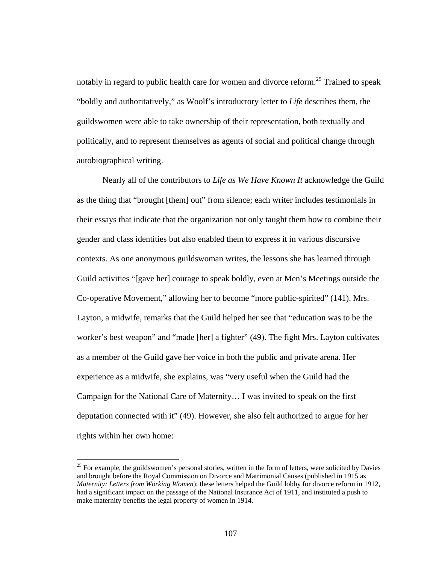notably in regard to public health care for women and divorce reform.<sup>25</sup> Trained to speak "boldly and authoritatively," as Woolf's introductory letter to *Life* describes them, the guildswomen were able to take ownership of their representation, both textually and politically, and to represent themselves as agents of social and political change through autobiographical writing.

Nearly all of the contributors to *Life as We Have Known It* acknowledge the Guild as the thing that "brought [them] out" from silence; each writer includes testimonials in their essays that indicate that the organization not only taught them how to combine their gender and class identities but also enabled them to express it in various discursive contexts. As one anonymous guildswoman writes, the lessons she has learned through Guild activities "[gave her] courage to speak boldly, even at Men's Meetings outside the Co-operative Movement," allowing her to become "more public-spirited" (141). Mrs. Layton, a midwife, remarks that the Guild helped her see that "education was to be the worker's best weapon" and "made [her] a fighter" (49). The fight Mrs. Layton cultivates as a member of the Guild gave her voice in both the public and private arena. Her experience as a midwife, she explains, was "very useful when the Guild had the Campaign for the National Care of Maternity… I was invited to speak on the first deputation connected with it" (49). However, she also felt authorized to argue for her rights within her own home:

 $\overline{a}$ 

<sup>&</sup>lt;sup>25</sup> For example, the guildswomen's personal stories, written in the form of letters, were solicited by Davies and brought before the Royal Commission on Divorce and Matrimonial Causes (published in 1915 as *Maternity: Letters from Working Women*); these letters helped the Guild lobby for divorce reform in 1912, had a significant impact on the passage of the National Insurance Act of 1911, and instituted a push to make maternity benefits the legal property of women in 1914.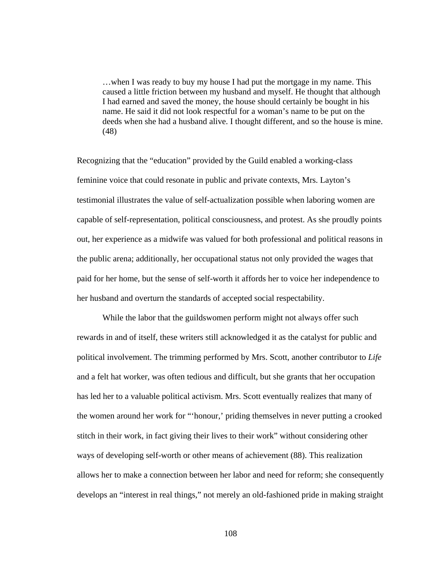…when I was ready to buy my house I had put the mortgage in my name. This caused a little friction between my husband and myself. He thought that although I had earned and saved the money, the house should certainly be bought in his name. He said it did not look respectful for a woman's name to be put on the deeds when she had a husband alive. I thought different, and so the house is mine. (48)

Recognizing that the "education" provided by the Guild enabled a working-class feminine voice that could resonate in public and private contexts, Mrs. Layton's testimonial illustrates the value of self-actualization possible when laboring women are capable of self-representation, political consciousness, and protest. As she proudly points out, her experience as a midwife was valued for both professional and political reasons in the public arena; additionally, her occupational status not only provided the wages that paid for her home, but the sense of self-worth it affords her to voice her independence to her husband and overturn the standards of accepted social respectability.

 While the labor that the guildswomen perform might not always offer such rewards in and of itself, these writers still acknowledged it as the catalyst for public and political involvement. The trimming performed by Mrs. Scott, another contributor to *Life* and a felt hat worker, was often tedious and difficult, but she grants that her occupation has led her to a valuable political activism. Mrs. Scott eventually realizes that many of the women around her work for "'honour,' priding themselves in never putting a crooked stitch in their work, in fact giving their lives to their work" without considering other ways of developing self-worth or other means of achievement (88). This realization allows her to make a connection between her labor and need for reform; she consequently develops an "interest in real things," not merely an old-fashioned pride in making straight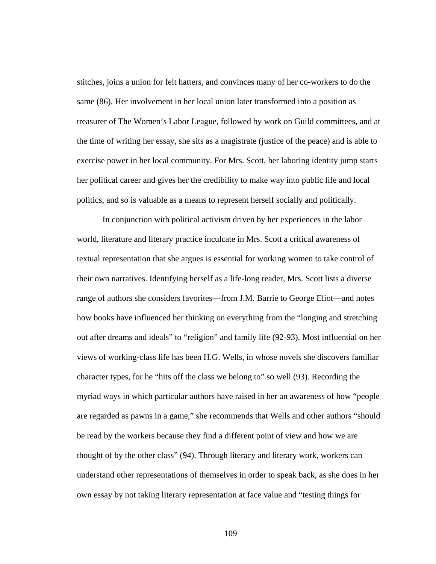stitches, joins a union for felt hatters, and convinces many of her co-workers to do the same (86). Her involvement in her local union later transformed into a position as treasurer of The Women's Labor League, followed by work on Guild committees, and at the time of writing her essay, she sits as a magistrate (justice of the peace) and is able to exercise power in her local community. For Mrs. Scott, her laboring identity jump starts her political career and gives her the credibility to make way into public life and local politics, and so is valuable as a means to represent herself socially and politically.

In conjunction with political activism driven by her experiences in the labor world, literature and literary practice inculcate in Mrs. Scott a critical awareness of textual representation that she argues is essential for working women to take control of their own narratives. Identifying herself as a life-long reader, Mrs. Scott lists a diverse range of authors she considers favorites—from J.M. Barrie to George Eliot—and notes how books have influenced her thinking on everything from the "longing and stretching out after dreams and ideals" to "religion" and family life (92-93). Most influential on her views of working-class life has been H.G. Wells, in whose novels she discovers familiar character types, for he "hits off the class we belong to" so well (93). Recording the myriad ways in which particular authors have raised in her an awareness of how "people are regarded as pawns in a game," she recommends that Wells and other authors "should be read by the workers because they find a different point of view and how we are thought of by the other class" (94). Through literacy and literary work, workers can understand other representations of themselves in order to speak back, as she does in her own essay by not taking literary representation at face value and "testing things for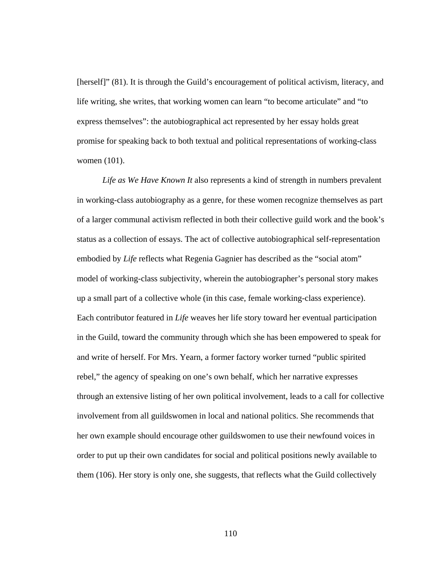[herself]" (81). It is through the Guild's encouragement of political activism, literacy, and life writing, she writes, that working women can learn "to become articulate" and "to express themselves": the autobiographical act represented by her essay holds great promise for speaking back to both textual and political representations of working-class women (101).

 *Life as We Have Known It* also represents a kind of strength in numbers prevalent in working-class autobiography as a genre, for these women recognize themselves as part of a larger communal activism reflected in both their collective guild work and the book's status as a collection of essays. The act of collective autobiographical self-representation embodied by *Life* reflects what Regenia Gagnier has described as the "social atom" model of working-class subjectivity, wherein the autobiographer's personal story makes up a small part of a collective whole (in this case, female working-class experience). Each contributor featured in *Life* weaves her life story toward her eventual participation in the Guild, toward the community through which she has been empowered to speak for and write of herself. For Mrs. Yearn, a former factory worker turned "public spirited rebel," the agency of speaking on one's own behalf, which her narrative expresses through an extensive listing of her own political involvement, leads to a call for collective involvement from all guildswomen in local and national politics. She recommends that her own example should encourage other guildswomen to use their newfound voices in order to put up their own candidates for social and political positions newly available to them (106). Her story is only one, she suggests, that reflects what the Guild collectively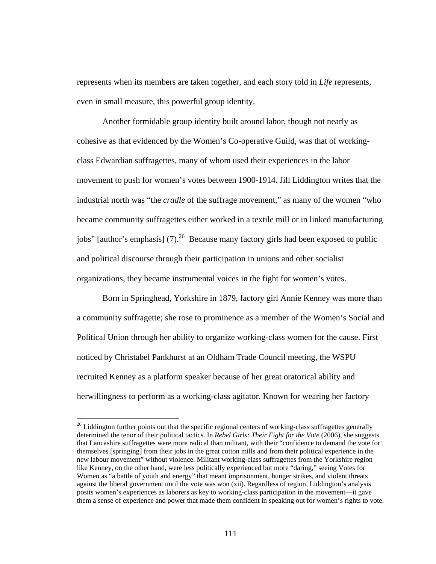represents when its members are taken together, and each story told in *Life* represents, even in small measure, this powerful group identity.

Another formidable group identity built around labor, though not nearly as cohesive as that evidenced by the Women's Co-operative Guild, was that of workingclass Edwardian suffragettes, many of whom used their experiences in the labor movement to push for women's votes between 1900-1914. Jill Liddington writes that the industrial north was "the *cradle* of the suffrage movement," as many of the women "who became community suffragettes either worked in a textile mill or in linked manufacturing jobs" [author's emphasis] (7).<sup>26</sup> Because many factory girls had been exposed to public and political discourse through their participation in unions and other socialist organizations, they became instrumental voices in the fight for women's votes.

Born in Springhead, Yorkshire in 1879, factory girl Annie Kenney was more than a community suffragette; she rose to prominence as a member of the Women's Social and Political Union through her ability to organize working-class women for the cause. First noticed by Christabel Pankhurst at an Oldham Trade Council meeting, the WSPU recruited Kenney as a platform speaker because of her great oratorical ability and herwillingness to perform as a working-class agitator. Known for wearing her factory

 $26$  Liddington further points out that the specific regional centers of working-class suffragettes generally determined the tenor of their political tactics. In *Rebel Girls: Their Fight for the Vote* (2006), she suggests that Lancashire suffragettes were more radical than militant, with their "confidence to demand the vote for themselves [springing] from their jobs in the great cotton mills and from their political experience in the new labour movement" without violence. Militant working-class suffragettes from the Yorkshire region like Kenney, on the other hand, were less politically experienced but more "daring," seeing Votes for Women as "a battle of youth and energy" that meant imprisonment, hunger strikes, and violent threats against the liberal government until the vote was won (xii). Regardless of region, Liddington's analysis posits women's experiences as laborers as key to working-class participation in the movement—it gave them a sense of experience and power that made them confident in speaking out for women's rights to vote.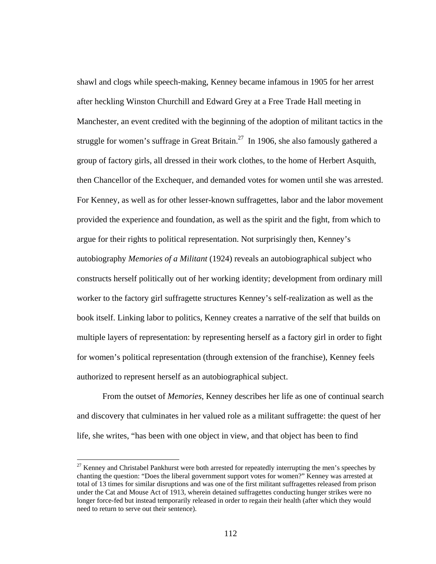shawl and clogs while speech-making, Kenney became infamous in 1905 for her arrest after heckling Winston Churchill and Edward Grey at a Free Trade Hall meeting in Manchester, an event credited with the beginning of the adoption of militant tactics in the struggle for women's suffrage in Great Britain.<sup>27</sup> In 1906, she also famously gathered a group of factory girls, all dressed in their work clothes, to the home of Herbert Asquith, then Chancellor of the Exchequer, and demanded votes for women until she was arrested. For Kenney, as well as for other lesser-known suffragettes, labor and the labor movement provided the experience and foundation, as well as the spirit and the fight, from which to argue for their rights to political representation. Not surprisingly then, Kenney's autobiography *Memories of a Militant* (1924) reveals an autobiographical subject who constructs herself politically out of her working identity; development from ordinary mill worker to the factory girl suffragette structures Kenney's self-realization as well as the book itself. Linking labor to politics, Kenney creates a narrative of the self that builds on multiple layers of representation: by representing herself as a factory girl in order to fight for women's political representation (through extension of the franchise), Kenney feels authorized to represent herself as an autobiographical subject.

From the outset of *Memories*, Kenney describes her life as one of continual search and discovery that culminates in her valued role as a militant suffragette: the quest of her life, she writes, "has been with one object in view, and that object has been to find

 $\overline{a}$ 

 $27$  Kenney and Christabel Pankhurst were both arrested for repeatedly interrupting the men's speeches by chanting the question: "Does the liberal government support votes for women?" Kenney was arrested at total of 13 times for similar disruptions and was one of the first militant suffragettes released from prison under the Cat and Mouse Act of 1913, wherein detained suffragettes conducting hunger strikes were no longer force-fed but instead temporarily released in order to regain their health (after which they would need to return to serve out their sentence).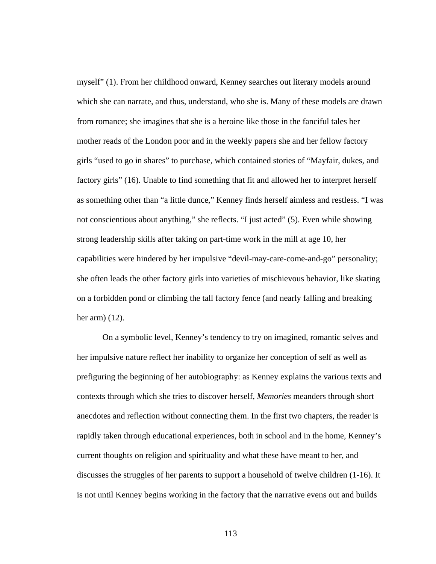myself" (1). From her childhood onward, Kenney searches out literary models around which she can narrate, and thus, understand, who she is. Many of these models are drawn from romance; she imagines that she is a heroine like those in the fanciful tales her mother reads of the London poor and in the weekly papers she and her fellow factory girls "used to go in shares" to purchase, which contained stories of "Mayfair, dukes, and factory girls" (16). Unable to find something that fit and allowed her to interpret herself as something other than "a little dunce," Kenney finds herself aimless and restless. "I was not conscientious about anything," she reflects. "I just acted" (5). Even while showing strong leadership skills after taking on part-time work in the mill at age 10, her capabilities were hindered by her impulsive "devil-may-care-come-and-go" personality; she often leads the other factory girls into varieties of mischievous behavior, like skating on a forbidden pond or climbing the tall factory fence (and nearly falling and breaking her arm) (12).

On a symbolic level, Kenney's tendency to try on imagined, romantic selves and her impulsive nature reflect her inability to organize her conception of self as well as prefiguring the beginning of her autobiography: as Kenney explains the various texts and contexts through which she tries to discover herself, *Memories* meanders through short anecdotes and reflection without connecting them. In the first two chapters, the reader is rapidly taken through educational experiences, both in school and in the home, Kenney's current thoughts on religion and spirituality and what these have meant to her, and discusses the struggles of her parents to support a household of twelve children (1-16). It is not until Kenney begins working in the factory that the narrative evens out and builds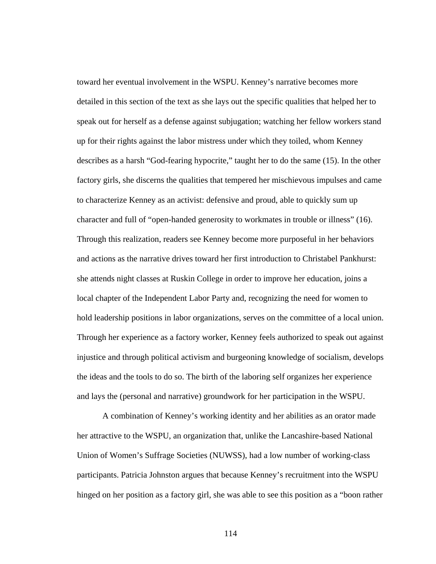toward her eventual involvement in the WSPU. Kenney's narrative becomes more detailed in this section of the text as she lays out the specific qualities that helped her to speak out for herself as a defense against subjugation; watching her fellow workers stand up for their rights against the labor mistress under which they toiled, whom Kenney describes as a harsh "God-fearing hypocrite," taught her to do the same (15). In the other factory girls, she discerns the qualities that tempered her mischievous impulses and came to characterize Kenney as an activist: defensive and proud, able to quickly sum up character and full of "open-handed generosity to workmates in trouble or illness" (16). Through this realization, readers see Kenney become more purposeful in her behaviors and actions as the narrative drives toward her first introduction to Christabel Pankhurst: she attends night classes at Ruskin College in order to improve her education, joins a local chapter of the Independent Labor Party and, recognizing the need for women to hold leadership positions in labor organizations, serves on the committee of a local union. Through her experience as a factory worker, Kenney feels authorized to speak out against injustice and through political activism and burgeoning knowledge of socialism, develops the ideas and the tools to do so. The birth of the laboring self organizes her experience and lays the (personal and narrative) groundwork for her participation in the WSPU.

A combination of Kenney's working identity and her abilities as an orator made her attractive to the WSPU, an organization that, unlike the Lancashire-based National Union of Women's Suffrage Societies (NUWSS), had a low number of working-class participants. Patricia Johnston argues that because Kenney's recruitment into the WSPU hinged on her position as a factory girl, she was able to see this position as a "boon rather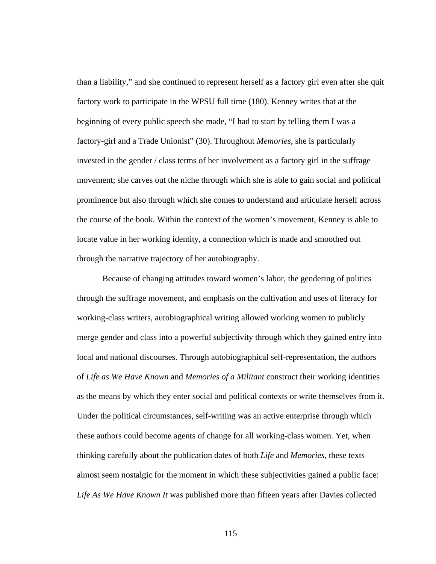than a liability," and she continued to represent herself as a factory girl even after she quit factory work to participate in the WPSU full time (180). Kenney writes that at the beginning of every public speech she made, "I had to start by telling them I was a factory-girl and a Trade Unionist" (30). Throughout *Memories*, she is particularly invested in the gender / class terms of her involvement as a factory girl in the suffrage movement; she carves out the niche through which she is able to gain social and political prominence but also through which she comes to understand and articulate herself across the course of the book. Within the context of the women's movement, Kenney is able to locate value in her working identity, a connection which is made and smoothed out through the narrative trajectory of her autobiography.

Because of changing attitudes toward women's labor, the gendering of politics through the suffrage movement, and emphasis on the cultivation and uses of literacy for working-class writers, autobiographical writing allowed working women to publicly merge gender and class into a powerful subjectivity through which they gained entry into local and national discourses. Through autobiographical self-representation, the authors of *Life as We Have Known* and *Memories of a Militant* construct their working identities as the means by which they enter social and political contexts or write themselves from it. Under the political circumstances, self-writing was an active enterprise through which these authors could become agents of change for all working-class women. Yet, when thinking carefully about the publication dates of both *Life* and *Memories*, these texts almost seem nostalgic for the moment in which these subjectivities gained a public face: *Life As We Have Known It* was published more than fifteen years after Davies collected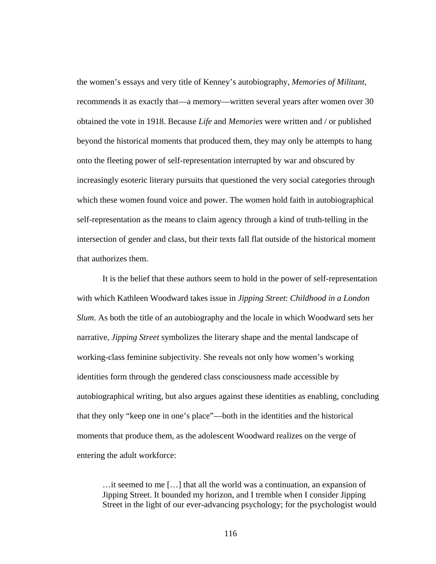the women's essays and very title of Kenney's autobiography, *Memories of Militant*, recommends it as exactly that—a memory—written several years after women over 30 obtained the vote in 1918. Because *Life* and *Memories* were written and / or published beyond the historical moments that produced them, they may only be attempts to hang onto the fleeting power of self-representation interrupted by war and obscured by increasingly esoteric literary pursuits that questioned the very social categories through which these women found voice and power. The women hold faith in autobiographical self-representation as the means to claim agency through a kind of truth-telling in the intersection of gender and class, but their texts fall flat outside of the historical moment that authorizes them.

It is the belief that these authors seem to hold in the power of self-representation with which Kathleen Woodward takes issue in *Jipping Street*: *Childhood in a London Slum*. As both the title of an autobiography and the locale in which Woodward sets her narrative, *Jipping Street* symbolizes the literary shape and the mental landscape of working-class feminine subjectivity. She reveals not only how women's working identities form through the gendered class consciousness made accessible by autobiographical writing, but also argues against these identities as enabling, concluding that they only "keep one in one's place"—both in the identities and the historical moments that produce them, as the adolescent Woodward realizes on the verge of entering the adult workforce:

…it seemed to me […] that all the world was a continuation, an expansion of Jipping Street. It bounded my horizon, and I tremble when I consider Jipping Street in the light of our ever-advancing psychology; for the psychologist would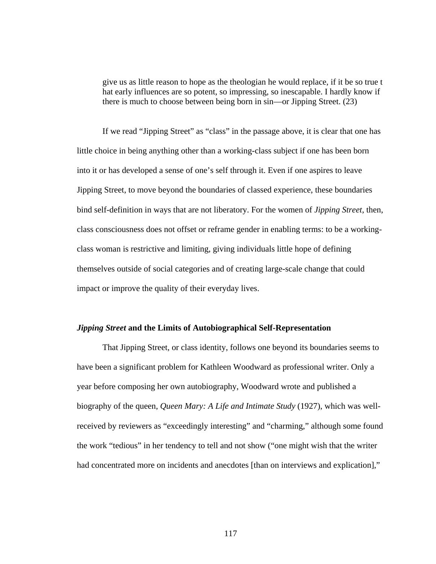give us as little reason to hope as the theologian he would replace, if it be so true t hat early influences are so potent, so impressing, so inescapable. I hardly know if there is much to choose between being born in sin—or Jipping Street. (23)

If we read "Jipping Street" as "class" in the passage above, it is clear that one has little choice in being anything other than a working-class subject if one has been born into it or has developed a sense of one's self through it. Even if one aspires to leave Jipping Street, to move beyond the boundaries of classed experience, these boundaries bind self-definition in ways that are not liberatory. For the women of *Jipping Street*, then, class consciousness does not offset or reframe gender in enabling terms: to be a workingclass woman is restrictive and limiting, giving individuals little hope of defining themselves outside of social categories and of creating large-scale change that could impact or improve the quality of their everyday lives.

## *Jipping Street* **and the Limits of Autobiographical Self-Representation**

That Jipping Street, or class identity, follows one beyond its boundaries seems to have been a significant problem for Kathleen Woodward as professional writer. Only a year before composing her own autobiography, Woodward wrote and published a biography of the queen, *Queen Mary: A Life and Intimate Study* (1927), which was wellreceived by reviewers as "exceedingly interesting" and "charming," although some found the work "tedious" in her tendency to tell and not show ("one might wish that the writer had concentrated more on incidents and anecdotes [than on interviews and explication],"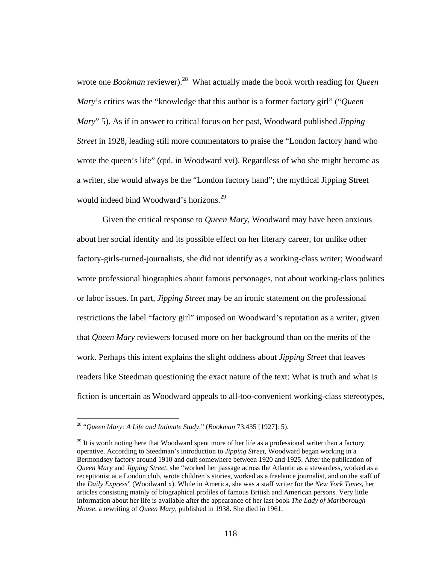wrote one *Bookman* reviewer).<sup>28</sup> What actually made the book worth reading for *Queen Mary*'s critics was the "knowledge that this author is a former factory girl" ("*Queen Mary*" 5). As if in answer to critical focus on her past, Woodward published *Jipping Street* in 1928, leading still more commentators to praise the "London factory hand who wrote the queen's life" (qtd. in Woodward xvi). Regardless of who she might become as a writer, she would always be the "London factory hand"; the mythical Jipping Street would indeed bind Woodward's horizons.<sup>29</sup>

Given the critical response to *Queen Mary*, Woodward may have been anxious about her social identity and its possible effect on her literary career, for unlike other factory-girls-turned-journalists, she did not identify as a working-class writer; Woodward wrote professional biographies about famous personages, not about working-class politics or labor issues. In part, *Jipping Street* may be an ironic statement on the professional restrictions the label "factory girl" imposed on Woodward's reputation as a writer, given that *Queen Mary* reviewers focused more on her background than on the merits of the work. Perhaps this intent explains the slight oddness about *Jipping Street* that leaves readers like Steedman questioning the exact nature of the text: What is truth and what is fiction is uncertain as Woodward appeals to all-too-convenient working-class stereotypes,

 $\overline{a}$ 

<sup>28 &</sup>quot;*Queen Mary: A Life and Intimate Study*," (*Bookman* 73.435 [1927]: 5).

 $^{29}$  It is worth noting here that Woodward spent more of her life as a professional writer than a factory operative. According to Steedman's introduction to *Jipping Street*, Woodward began working in a Bermondsey factory around 1910 and quit somewhere between 1920 and 1925. After the publication of *Queen Mary* and *Jipping Street*, she "worked her passage across the Atlantic as a stewardess, worked as a receptionist at a London club, wrote children's stories, worked as a freelance journalist, and on the staff of the *Daily Express*" (Woodward x). While in America, she was a staff writer for the *New York Times*, her articles consisting mainly of biographical profiles of famous British and American persons. Very little information about her life is available after the appearance of her last book *The Lady of Marlborough House*, a rewriting of *Queen Mary*, published in 1938. She died in 1961.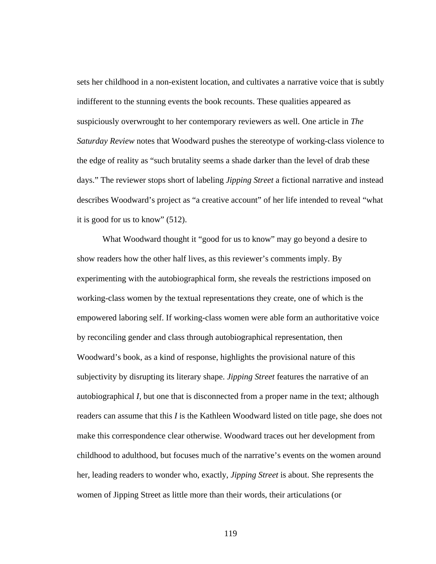sets her childhood in a non-existent location, and cultivates a narrative voice that is subtly indifferent to the stunning events the book recounts. These qualities appeared as suspiciously overwrought to her contemporary reviewers as well. One article in *The Saturday Review* notes that Woodward pushes the stereotype of working-class violence to the edge of reality as "such brutality seems a shade darker than the level of drab these days." The reviewer stops short of labeling *Jipping Street* a fictional narrative and instead describes Woodward's project as "a creative account" of her life intended to reveal "what it is good for us to know" (512).

What Woodward thought it "good for us to know" may go beyond a desire to show readers how the other half lives, as this reviewer's comments imply. By experimenting with the autobiographical form, she reveals the restrictions imposed on working-class women by the textual representations they create, one of which is the empowered laboring self. If working-class women were able form an authoritative voice by reconciling gender and class through autobiographical representation, then Woodward's book, as a kind of response, highlights the provisional nature of this subjectivity by disrupting its literary shape. *Jipping Street* features the narrative of an autobiographical *I*, but one that is disconnected from a proper name in the text; although readers can assume that this *I* is the Kathleen Woodward listed on title page, she does not make this correspondence clear otherwise. Woodward traces out her development from childhood to adulthood, but focuses much of the narrative's events on the women around her, leading readers to wonder who, exactly, *Jipping Street* is about. She represents the women of Jipping Street as little more than their words, their articulations (or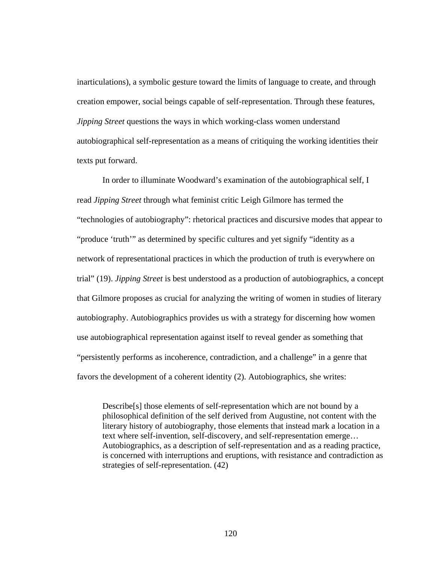inarticulations), a symbolic gesture toward the limits of language to create, and through creation empower, social beings capable of self-representation. Through these features, *Jipping Street* questions the ways in which working-class women understand autobiographical self-representation as a means of critiquing the working identities their texts put forward.

In order to illuminate Woodward's examination of the autobiographical self, I read *Jipping Street* through what feminist critic Leigh Gilmore has termed the "technologies of autobiography": rhetorical practices and discursive modes that appear to "produce 'truth'" as determined by specific cultures and yet signify "identity as a network of representational practices in which the production of truth is everywhere on trial" (19). *Jipping Street* is best understood as a production of autobiographics, a concept that Gilmore proposes as crucial for analyzing the writing of women in studies of literary autobiography. Autobiographics provides us with a strategy for discerning how women use autobiographical representation against itself to reveal gender as something that "persistently performs as incoherence, contradiction, and a challenge" in a genre that favors the development of a coherent identity (2). Autobiographics, she writes:

Describe[s] those elements of self-representation which are not bound by a philosophical definition of the self derived from Augustine, not content with the literary history of autobiography, those elements that instead mark a location in a text where self-invention, self-discovery, and self-representation emerge… Autobiographics, as a description of self-representation and as a reading practice, is concerned with interruptions and eruptions, with resistance and contradiction as strategies of self-representation. (42)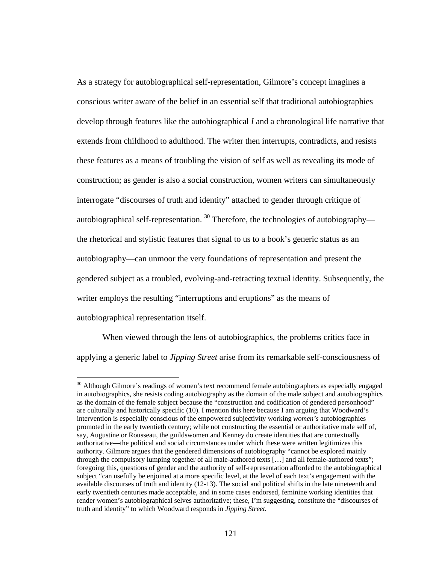As a strategy for autobiographical self-representation, Gilmore's concept imagines a conscious writer aware of the belief in an essential self that traditional autobiographies develop through features like the autobiographical *I* and a chronological life narrative that extends from childhood to adulthood. The writer then interrupts, contradicts, and resists these features as a means of troubling the vision of self as well as revealing its mode of construction; as gender is also a social construction, women writers can simultaneously interrogate "discourses of truth and identity" attached to gender through critique of autobiographical self-representation.  $30$  Therefore, the technologies of autobiography the rhetorical and stylistic features that signal to us to a book's generic status as an autobiography—can unmoor the very foundations of representation and present the gendered subject as a troubled, evolving-and-retracting textual identity. Subsequently, the writer employs the resulting "interruptions and eruptions" as the means of autobiographical representation itself.

When viewed through the lens of autobiographics, the problems critics face in applying a generic label to *Jipping Street* arise from its remarkable self-consciousness of

 $30$  Although Gilmore's readings of women's text recommend female autobiographers as especially engaged in autobiographics, she resists coding autobiography as the domain of the male subject and autobiographics as the domain of the female subject because the "construction and codification of gendered personhood" are culturally and historically specific (10). I mention this here because I am arguing that Woodward's intervention is especially conscious of the empowered subjectivity working *women's* autobiographies promoted in the early twentieth century; while not constructing the essential or authoritative male self of, say, Augustine or Rousseau, the guildswomen and Kenney do create identities that are contextually authoritative—the political and social circumstances under which these were written legitimizes this authority. Gilmore argues that the gendered dimensions of autobiography "cannot be explored mainly through the compulsory lumping together of all male-authored texts […] and all female-authored texts"; foregoing this, questions of gender and the authority of self-representation afforded to the autobiographical subject "can usefully be enjoined at a more specific level, at the level of each text's engagement with the available discourses of truth and identity (12-13). The social and political shifts in the late nineteenth and early twentieth centuries made acceptable, and in some cases endorsed, feminine working identities that render women's autobiographical selves authoritative; these, I'm suggesting, constitute the "discourses of truth and identity" to which Woodward responds in *Jipping Street.*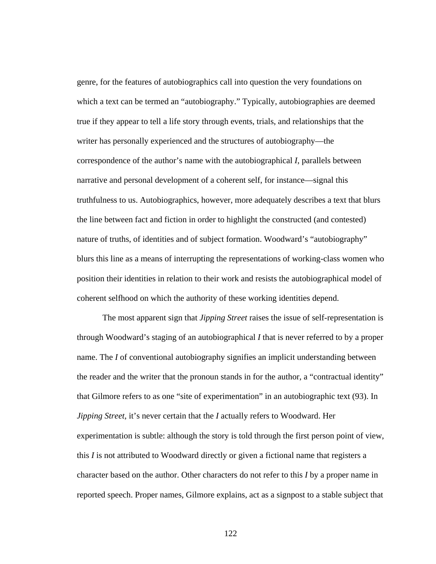genre, for the features of autobiographics call into question the very foundations on which a text can be termed an "autobiography." Typically, autobiographies are deemed true if they appear to tell a life story through events, trials, and relationships that the writer has personally experienced and the structures of autobiography—the correspondence of the author's name with the autobiographical *I*, parallels between narrative and personal development of a coherent self, for instance—signal this truthfulness to us. Autobiographics, however, more adequately describes a text that blurs the line between fact and fiction in order to highlight the constructed (and contested) nature of truths, of identities and of subject formation. Woodward's "autobiography" blurs this line as a means of interrupting the representations of working-class women who position their identities in relation to their work and resists the autobiographical model of coherent selfhood on which the authority of these working identities depend.

The most apparent sign that *Jipping Street* raises the issue of self-representation is through Woodward's staging of an autobiographical *I* that is never referred to by a proper name. The *I* of conventional autobiography signifies an implicit understanding between the reader and the writer that the pronoun stands in for the author, a "contractual identity" that Gilmore refers to as one "site of experimentation" in an autobiographic text (93). In *Jipping Street*, it's never certain that the *I* actually refers to Woodward. Her experimentation is subtle: although the story is told through the first person point of view, this *I* is not attributed to Woodward directly or given a fictional name that registers a character based on the author. Other characters do not refer to this *I* by a proper name in reported speech. Proper names, Gilmore explains, act as a signpost to a stable subject that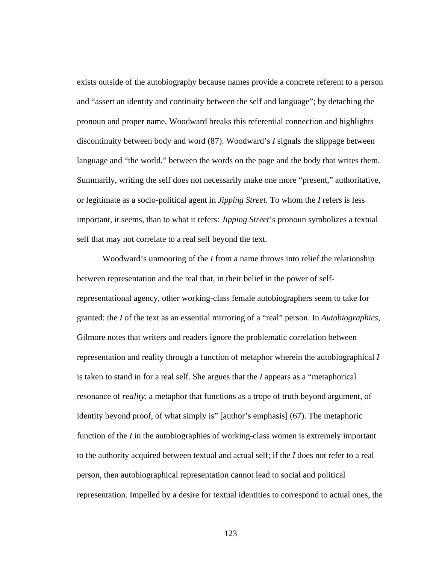exists outside of the autobiography because names provide a concrete referent to a person and "assert an identity and continuity between the self and language"; by detaching the pronoun and proper name, Woodward breaks this referential connection and highlights discontinuity between body and word (87). Woodward's *I* signals the slippage between language and "the world," between the words on the page and the body that writes them. Summarily, writing the self does not necessarily make one more "present," authoritative, or legitimate as a socio-political agent in *Jipping Street*. To whom the *I* refers is less important, it seems, than to what it refers: *Jipping Street*'s pronoun symbolizes a textual self that may not correlate to a real self beyond the text.

Woodward's unmooring of the *I* from a name throws into relief the relationship between representation and the real that, in their belief in the power of selfrepresentational agency, other working-class female autobiographers seem to take for granted: the *I* of the text as an essential mirroring of a "real" person. In *Autobiographics*, Gilmore notes that writers and readers ignore the problematic correlation between representation and reality through a function of metaphor wherein the autobiographical *I* is taken to stand in for a real self. She argues that the *I* appears as a "metaphorical resonance of *reality*, a metaphor that functions as a trope of truth beyond argument, of identity beyond proof, of what simply is" [author's emphasis] (67). The metaphoric function of the *I* in the autobiographies of working-class women is extremely important to the authority acquired between textual and actual self; if the *I* does not refer to a real person, then autobiographical representation cannot lead to social and political representation. Impelled by a desire for textual identities to correspond to actual ones, the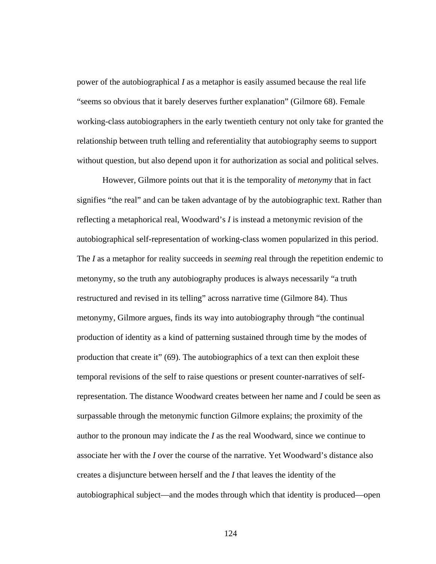power of the autobiographical *I* as a metaphor is easily assumed because the real life "seems so obvious that it barely deserves further explanation" (Gilmore 68). Female working-class autobiographers in the early twentieth century not only take for granted the relationship between truth telling and referentiality that autobiography seems to support without question, but also depend upon it for authorization as social and political selves.

However, Gilmore points out that it is the temporality of *metonymy* that in fact signifies "the real" and can be taken advantage of by the autobiographic text. Rather than reflecting a metaphorical real, Woodward's *I* is instead a metonymic revision of the autobiographical self-representation of working-class women popularized in this period. The *I* as a metaphor for reality succeeds in *seeming* real through the repetition endemic to metonymy, so the truth any autobiography produces is always necessarily "a truth restructured and revised in its telling" across narrative time (Gilmore 84). Thus metonymy, Gilmore argues, finds its way into autobiography through "the continual production of identity as a kind of patterning sustained through time by the modes of production that create it" (69). The autobiographics of a text can then exploit these temporal revisions of the self to raise questions or present counter-narratives of selfrepresentation. The distance Woodward creates between her name and *I* could be seen as surpassable through the metonymic function Gilmore explains; the proximity of the author to the pronoun may indicate the *I* as the real Woodward, since we continue to associate her with the *I* over the course of the narrative. Yet Woodward's distance also creates a disjuncture between herself and the *I* that leaves the identity of the autobiographical subject—and the modes through which that identity is produced—open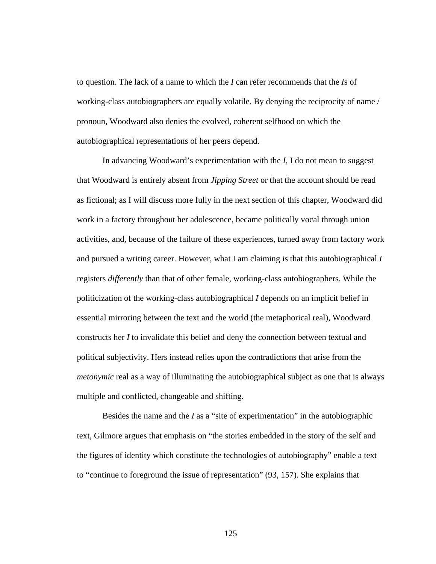to question. The lack of a name to which the *I* can refer recommends that the *I*s of working-class autobiographers are equally volatile. By denying the reciprocity of name / pronoun, Woodward also denies the evolved, coherent selfhood on which the autobiographical representations of her peers depend.

In advancing Woodward's experimentation with the *I*, I do not mean to suggest that Woodward is entirely absent from *Jipping Street* or that the account should be read as fictional; as I will discuss more fully in the next section of this chapter, Woodward did work in a factory throughout her adolescence, became politically vocal through union activities, and, because of the failure of these experiences, turned away from factory work and pursued a writing career. However, what I am claiming is that this autobiographical *I* registers *differently* than that of other female, working-class autobiographers. While the politicization of the working-class autobiographical *I* depends on an implicit belief in essential mirroring between the text and the world (the metaphorical real), Woodward constructs her *I* to invalidate this belief and deny the connection between textual and political subjectivity. Hers instead relies upon the contradictions that arise from the *metonymic* real as a way of illuminating the autobiographical subject as one that is always multiple and conflicted, changeable and shifting.

Besides the name and the *I* as a "site of experimentation" in the autobiographic text, Gilmore argues that emphasis on "the stories embedded in the story of the self and the figures of identity which constitute the technologies of autobiography" enable a text to "continue to foreground the issue of representation" (93, 157). She explains that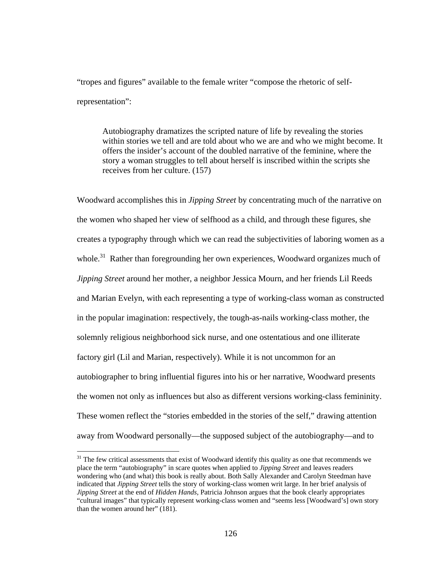"tropes and figures" available to the female writer "compose the rhetoric of selfrepresentation":

Autobiography dramatizes the scripted nature of life by revealing the stories within stories we tell and are told about who we are and who we might become. It offers the insider's account of the doubled narrative of the feminine, where the story a woman struggles to tell about herself is inscribed within the scripts she receives from her culture. (157)

Woodward accomplishes this in *Jipping Street* by concentrating much of the narrative on the women who shaped her view of selfhood as a child, and through these figures, she creates a typography through which we can read the subjectivities of laboring women as a whole.<sup>31</sup> Rather than foregrounding her own experiences, Woodward organizes much of *Jipping Street* around her mother, a neighbor Jessica Mourn, and her friends Lil Reeds and Marian Evelyn, with each representing a type of working-class woman as constructed in the popular imagination: respectively, the tough-as-nails working-class mother, the solemnly religious neighborhood sick nurse, and one ostentatious and one illiterate factory girl (Lil and Marian, respectively). While it is not uncommon for an autobiographer to bring influential figures into his or her narrative, Woodward presents the women not only as influences but also as different versions working-class femininity. These women reflect the "stories embedded in the stories of the self," drawing attention away from Woodward personally—the supposed subject of the autobiography—and to

 $\overline{a}$ 

 $31$  The few critical assessments that exist of Woodward identify this quality as one that recommends we place the term "autobiography" in scare quotes when applied to *Jipping Street* and leaves readers wondering who (and what) this book is really about. Both Sally Alexander and Carolyn Steedman have indicated that *Jipping Street* tells the story of working-class women writ large. In her brief analysis of *Jipping Street* at the end of *Hidden Hands*, Patricia Johnson argues that the book clearly appropriates "cultural images" that typically represent working-class women and "seems less [Woodward's] own story than the women around her" (181).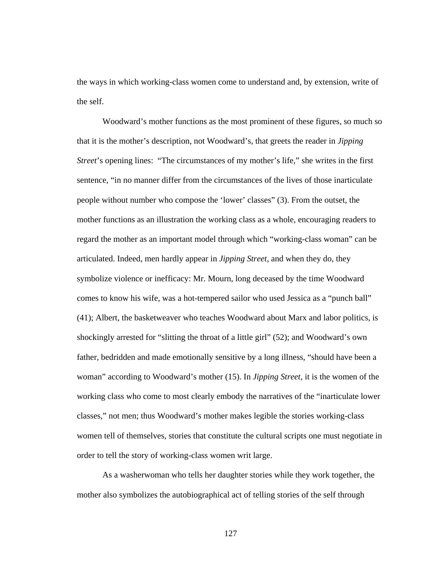the ways in which working-class women come to understand and, by extension, write of the self.

Woodward's mother functions as the most prominent of these figures, so much so that it is the mother's description, not Woodward's, that greets the reader in *Jipping Street*'s opening lines: "The circumstances of my mother's life," she writes in the first sentence, "in no manner differ from the circumstances of the lives of those inarticulate people without number who compose the 'lower' classes" (3). From the outset, the mother functions as an illustration the working class as a whole, encouraging readers to regard the mother as an important model through which "working-class woman" can be articulated. Indeed, men hardly appear in *Jipping Street*, and when they do, they symbolize violence or inefficacy: Mr. Mourn, long deceased by the time Woodward comes to know his wife, was a hot-tempered sailor who used Jessica as a "punch ball" (41); Albert, the basketweaver who teaches Woodward about Marx and labor politics, is shockingly arrested for "slitting the throat of a little girl" (52); and Woodward's own father, bedridden and made emotionally sensitive by a long illness, "should have been a woman" according to Woodward's mother (15). In *Jipping Street*, it is the women of the working class who come to most clearly embody the narratives of the "inarticulate lower classes," not men; thus Woodward's mother makes legible the stories working-class women tell of themselves, stories that constitute the cultural scripts one must negotiate in order to tell the story of working-class women writ large.

As a washerwoman who tells her daughter stories while they work together, the mother also symbolizes the autobiographical act of telling stories of the self through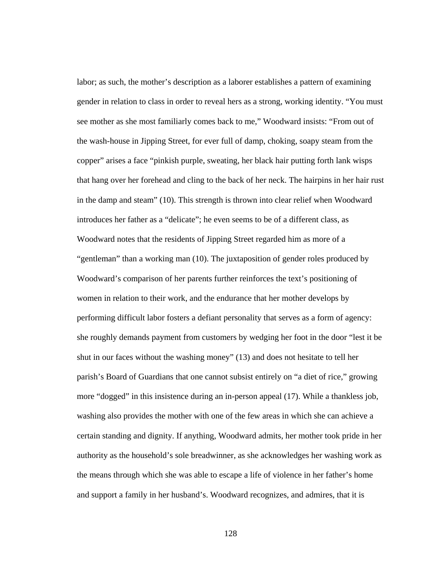labor; as such, the mother's description as a laborer establishes a pattern of examining gender in relation to class in order to reveal hers as a strong, working identity. "You must see mother as she most familiarly comes back to me," Woodward insists: "From out of the wash-house in Jipping Street, for ever full of damp, choking, soapy steam from the copper" arises a face "pinkish purple, sweating, her black hair putting forth lank wisps that hang over her forehead and cling to the back of her neck. The hairpins in her hair rust in the damp and steam" (10). This strength is thrown into clear relief when Woodward introduces her father as a "delicate"; he even seems to be of a different class, as Woodward notes that the residents of Jipping Street regarded him as more of a "gentleman" than a working man (10). The juxtaposition of gender roles produced by Woodward's comparison of her parents further reinforces the text's positioning of women in relation to their work, and the endurance that her mother develops by performing difficult labor fosters a defiant personality that serves as a form of agency: she roughly demands payment from customers by wedging her foot in the door "lest it be shut in our faces without the washing money" (13) and does not hesitate to tell her parish's Board of Guardians that one cannot subsist entirely on "a diet of rice," growing more "dogged" in this insistence during an in-person appeal (17). While a thankless job, washing also provides the mother with one of the few areas in which she can achieve a certain standing and dignity. If anything, Woodward admits, her mother took pride in her authority as the household's sole breadwinner, as she acknowledges her washing work as the means through which she was able to escape a life of violence in her father's home and support a family in her husband's. Woodward recognizes, and admires, that it is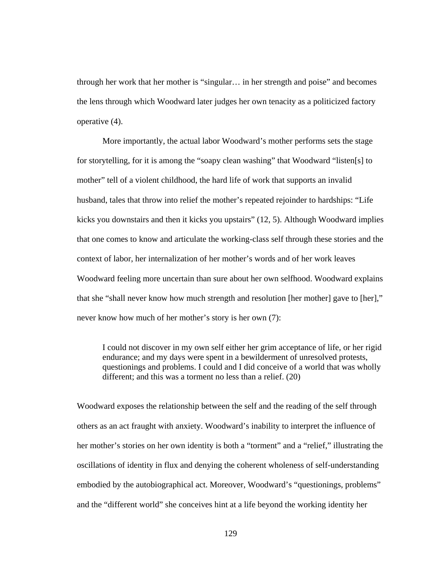through her work that her mother is "singular… in her strength and poise" and becomes the lens through which Woodward later judges her own tenacity as a politicized factory operative (4).

More importantly, the actual labor Woodward's mother performs sets the stage for storytelling, for it is among the "soapy clean washing" that Woodward "listen[s] to mother" tell of a violent childhood, the hard life of work that supports an invalid husband, tales that throw into relief the mother's repeated rejoinder to hardships: "Life kicks you downstairs and then it kicks you upstairs" (12, 5). Although Woodward implies that one comes to know and articulate the working-class self through these stories and the context of labor, her internalization of her mother's words and of her work leaves Woodward feeling more uncertain than sure about her own selfhood. Woodward explains that she "shall never know how much strength and resolution [her mother] gave to [her]," never know how much of her mother's story is her own (7):

I could not discover in my own self either her grim acceptance of life, or her rigid endurance; and my days were spent in a bewilderment of unresolved protests, questionings and problems. I could and I did conceive of a world that was wholly different; and this was a torment no less than a relief. (20)

Woodward exposes the relationship between the self and the reading of the self through others as an act fraught with anxiety. Woodward's inability to interpret the influence of her mother's stories on her own identity is both a "torment" and a "relief," illustrating the oscillations of identity in flux and denying the coherent wholeness of self-understanding embodied by the autobiographical act. Moreover, Woodward's "questionings, problems" and the "different world" she conceives hint at a life beyond the working identity her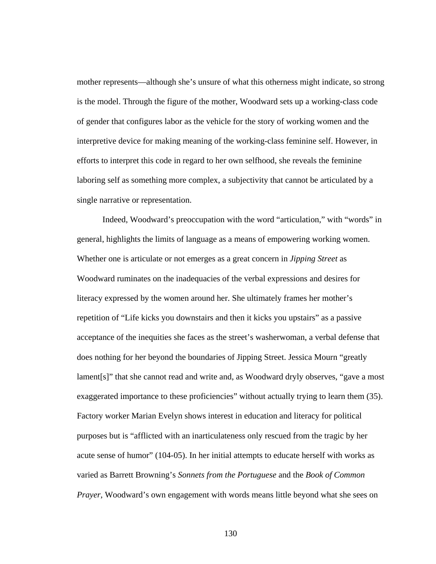mother represents—although she's unsure of what this otherness might indicate, so strong is the model. Through the figure of the mother, Woodward sets up a working-class code of gender that configures labor as the vehicle for the story of working women and the interpretive device for making meaning of the working-class feminine self. However, in efforts to interpret this code in regard to her own selfhood, she reveals the feminine laboring self as something more complex, a subjectivity that cannot be articulated by a single narrative or representation.

Indeed, Woodward's preoccupation with the word "articulation," with "words" in general, highlights the limits of language as a means of empowering working women. Whether one is articulate or not emerges as a great concern in *Jipping Street* as Woodward ruminates on the inadequacies of the verbal expressions and desires for literacy expressed by the women around her. She ultimately frames her mother's repetition of "Life kicks you downstairs and then it kicks you upstairs" as a passive acceptance of the inequities she faces as the street's washerwoman, a verbal defense that does nothing for her beyond the boundaries of Jipping Street. Jessica Mourn "greatly lament[s]" that she cannot read and write and, as Woodward dryly observes, "gave a most exaggerated importance to these proficiencies" without actually trying to learn them (35). Factory worker Marian Evelyn shows interest in education and literacy for political purposes but is "afflicted with an inarticulateness only rescued from the tragic by her acute sense of humor" (104-05). In her initial attempts to educate herself with works as varied as Barrett Browning's *Sonnets from the Portuguese* and the *Book of Common Prayer*, Woodward's own engagement with words means little beyond what she sees on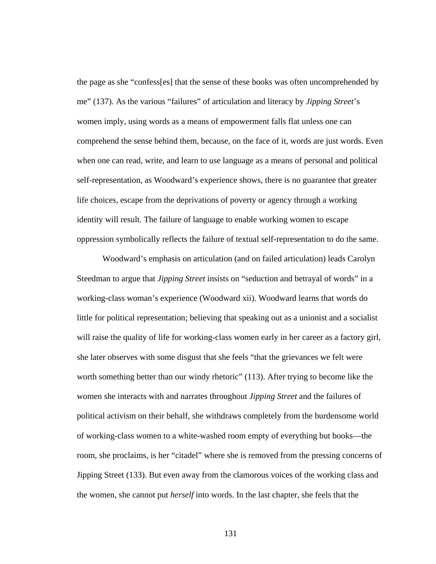the page as she "confess[es] that the sense of these books was often uncomprehended by me" (137). As the various "failures" of articulation and literacy by *Jipping Street*'s women imply, using words as a means of empowerment falls flat unless one can comprehend the sense behind them, because, on the face of it, words are just words. Even when one can read, write, and learn to use language as a means of personal and political self-representation, as Woodward's experience shows, there is no guarantee that greater life choices, escape from the deprivations of poverty or agency through a working identity will result. The failure of language to enable working women to escape oppression symbolically reflects the failure of textual self-representation to do the same.

Woodward's emphasis on articulation (and on failed articulation) leads Carolyn Steedman to argue that *Jipping Street* insists on "seduction and betrayal of words" in a working-class woman's experience (Woodward xii). Woodward learns that words do little for political representation; believing that speaking out as a unionist and a socialist will raise the quality of life for working-class women early in her career as a factory girl, she later observes with some disgust that she feels "that the grievances we felt were worth something better than our windy rhetoric" (113). After trying to become like the women she interacts with and narrates throughout *Jipping Street* and the failures of political activism on their behalf, she withdraws completely from the burdensome world of working-class women to a white-washed room empty of everything but books—the room, she proclaims, is her "citadel" where she is removed from the pressing concerns of Jipping Street (133). But even away from the clamorous voices of the working class and the women, she cannot put *herself* into words. In the last chapter, she feels that the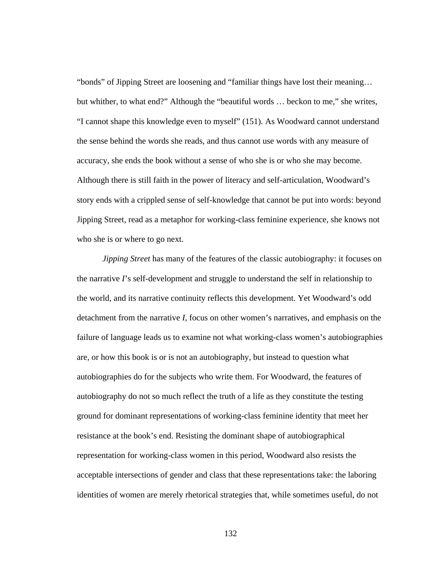"bonds" of Jipping Street are loosening and "familiar things have lost their meaning… but whither, to what end?" Although the "beautiful words … beckon to me," she writes, "I cannot shape this knowledge even to myself" (151). As Woodward cannot understand the sense behind the words she reads, and thus cannot use words with any measure of accuracy, she ends the book without a sense of who she is or who she may become. Although there is still faith in the power of literacy and self-articulation, Woodward's story ends with a crippled sense of self-knowledge that cannot be put into words: beyond Jipping Street, read as a metaphor for working-class feminine experience, she knows not who she is or where to go next.

*Jipping Street* has many of the features of the classic autobiography: it focuses on the narrative *I*'s self-development and struggle to understand the self in relationship to the world, and its narrative continuity reflects this development. Yet Woodward's odd detachment from the narrative *I*, focus on other women's narratives, and emphasis on the failure of language leads us to examine not what working-class women's autobiographies are, or how this book is or is not an autobiography, but instead to question what autobiographies do for the subjects who write them. For Woodward, the features of autobiography do not so much reflect the truth of a life as they constitute the testing ground for dominant representations of working-class feminine identity that meet her resistance at the book's end. Resisting the dominant shape of autobiographical representation for working-class women in this period, Woodward also resists the acceptable intersections of gender and class that these representations take: the laboring identities of women are merely rhetorical strategies that, while sometimes useful, do not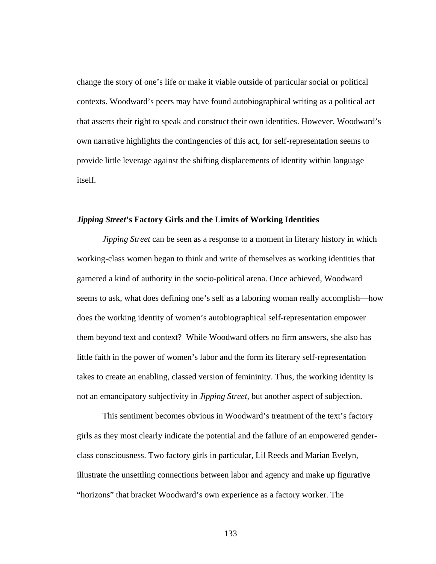change the story of one's life or make it viable outside of particular social or political contexts. Woodward's peers may have found autobiographical writing as a political act that asserts their right to speak and construct their own identities. However, Woodward's own narrative highlights the contingencies of this act, for self-representation seems to provide little leverage against the shifting displacements of identity within language itself.

## *Jipping Street***'s Factory Girls and the Limits of Working Identities**

*Jipping Street* can be seen as a response to a moment in literary history in which working-class women began to think and write of themselves as working identities that garnered a kind of authority in the socio-political arena. Once achieved, Woodward seems to ask, what does defining one's self as a laboring woman really accomplish—how does the working identity of women's autobiographical self-representation empower them beyond text and context? While Woodward offers no firm answers, she also has little faith in the power of women's labor and the form its literary self-representation takes to create an enabling, classed version of femininity. Thus, the working identity is not an emancipatory subjectivity in *Jipping Street*, but another aspect of subjection.

This sentiment becomes obvious in Woodward's treatment of the text's factory girls as they most clearly indicate the potential and the failure of an empowered genderclass consciousness. Two factory girls in particular, Lil Reeds and Marian Evelyn, illustrate the unsettling connections between labor and agency and make up figurative "horizons" that bracket Woodward's own experience as a factory worker. The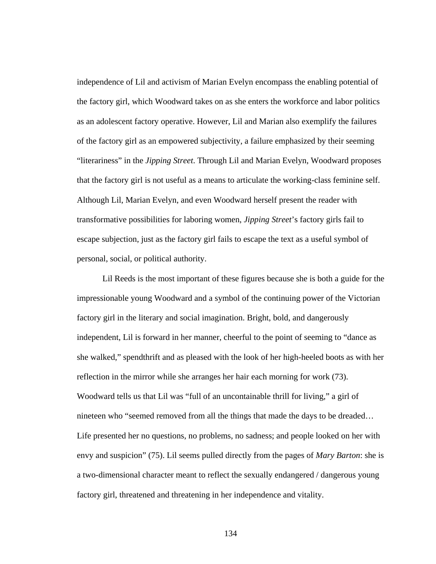independence of Lil and activism of Marian Evelyn encompass the enabling potential of the factory girl, which Woodward takes on as she enters the workforce and labor politics as an adolescent factory operative. However, Lil and Marian also exemplify the failures of the factory girl as an empowered subjectivity, a failure emphasized by their seeming "literariness" in the *Jipping Street*. Through Lil and Marian Evelyn, Woodward proposes that the factory girl is not useful as a means to articulate the working-class feminine self. Although Lil, Marian Evelyn, and even Woodward herself present the reader with transformative possibilities for laboring women, *Jipping Street*'s factory girls fail to escape subjection, just as the factory girl fails to escape the text as a useful symbol of personal, social, or political authority.

 Lil Reeds is the most important of these figures because she is both a guide for the impressionable young Woodward and a symbol of the continuing power of the Victorian factory girl in the literary and social imagination. Bright, bold, and dangerously independent, Lil is forward in her manner, cheerful to the point of seeming to "dance as she walked," spendthrift and as pleased with the look of her high-heeled boots as with her reflection in the mirror while she arranges her hair each morning for work (73). Woodward tells us that Lil was "full of an uncontainable thrill for living," a girl of nineteen who "seemed removed from all the things that made the days to be dreaded… Life presented her no questions, no problems, no sadness; and people looked on her with envy and suspicion" (75). Lil seems pulled directly from the pages of *Mary Barton*: she is a two-dimensional character meant to reflect the sexually endangered / dangerous young factory girl, threatened and threatening in her independence and vitality.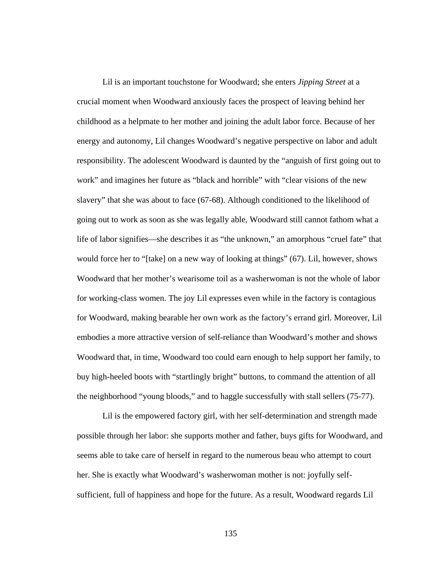Lil is an important touchstone for Woodward; she enters *Jipping Street* at a crucial moment when Woodward anxiously faces the prospect of leaving behind her childhood as a helpmate to her mother and joining the adult labor force. Because of her energy and autonomy, Lil changes Woodward's negative perspective on labor and adult responsibility. The adolescent Woodward is daunted by the "anguish of first going out to work" and imagines her future as "black and horrible" with "clear visions of the new slavery" that she was about to face (67-68). Although conditioned to the likelihood of going out to work as soon as she was legally able, Woodward still cannot fathom what a life of labor signifies—she describes it as "the unknown," an amorphous "cruel fate" that would force her to "[take] on a new way of looking at things" (67). Lil, however, shows Woodward that her mother's wearisome toil as a washerwoman is not the whole of labor for working-class women. The joy Lil expresses even while in the factory is contagious for Woodward, making bearable her own work as the factory's errand girl. Moreover, Lil embodies a more attractive version of self-reliance than Woodward's mother and shows Woodward that, in time, Woodward too could earn enough to help support her family, to buy high-heeled boots with "startlingly bright" buttons, to command the attention of all the neighborhood "young bloods," and to haggle successfully with stall sellers (75-77).

Lil is the empowered factory girl, with her self-determination and strength made possible through her labor: she supports mother and father, buys gifts for Woodward, and seems able to take care of herself in regard to the numerous beau who attempt to court her. She is exactly what Woodward's washerwoman mother is not: joyfully selfsufficient, full of happiness and hope for the future. As a result, Woodward regards Lil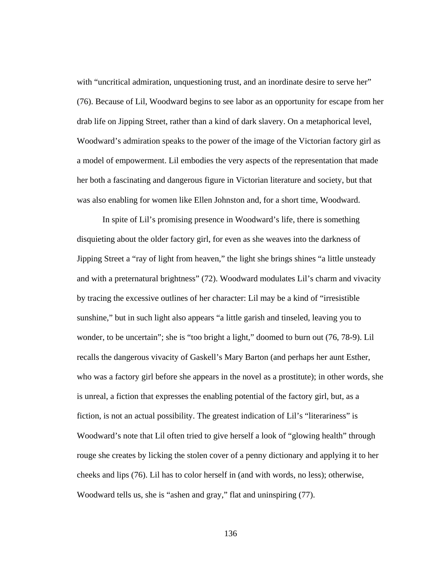with "uncritical admiration, unquestioning trust, and an inordinate desire to serve her" (76). Because of Lil, Woodward begins to see labor as an opportunity for escape from her drab life on Jipping Street, rather than a kind of dark slavery. On a metaphorical level, Woodward's admiration speaks to the power of the image of the Victorian factory girl as a model of empowerment. Lil embodies the very aspects of the representation that made her both a fascinating and dangerous figure in Victorian literature and society, but that was also enabling for women like Ellen Johnston and, for a short time, Woodward.

In spite of Lil's promising presence in Woodward's life, there is something disquieting about the older factory girl, for even as she weaves into the darkness of Jipping Street a "ray of light from heaven," the light she brings shines "a little unsteady and with a preternatural brightness" (72). Woodward modulates Lil's charm and vivacity by tracing the excessive outlines of her character: Lil may be a kind of "irresistible sunshine," but in such light also appears "a little garish and tinseled, leaving you to wonder, to be uncertain"; she is "too bright a light," doomed to burn out (76, 78-9). Lil recalls the dangerous vivacity of Gaskell's Mary Barton (and perhaps her aunt Esther, who was a factory girl before she appears in the novel as a prostitute); in other words, she is unreal, a fiction that expresses the enabling potential of the factory girl, but, as a fiction, is not an actual possibility. The greatest indication of Lil's "literariness" is Woodward's note that Lil often tried to give herself a look of "glowing health" through rouge she creates by licking the stolen cover of a penny dictionary and applying it to her cheeks and lips (76). Lil has to color herself in (and with words, no less); otherwise, Woodward tells us, she is "ashen and gray," flat and uninspiring (77).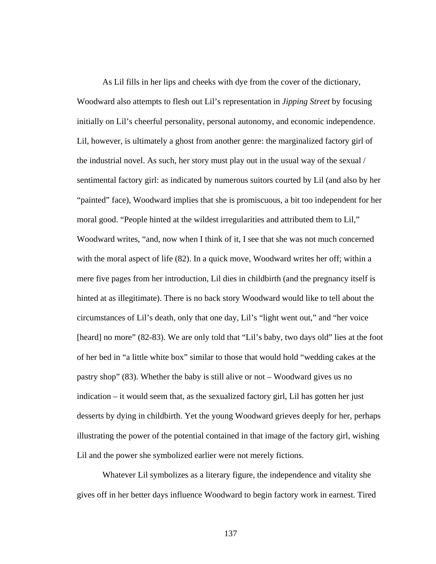As Lil fills in her lips and cheeks with dye from the cover of the dictionary, Woodward also attempts to flesh out Lil's representation in *Jipping Street* by focusing initially on Lil's cheerful personality, personal autonomy, and economic independence. Lil, however, is ultimately a ghost from another genre: the marginalized factory girl of the industrial novel. As such, her story must play out in the usual way of the sexual / sentimental factory girl: as indicated by numerous suitors courted by Lil (and also by her "painted" face), Woodward implies that she is promiscuous, a bit too independent for her moral good. "People hinted at the wildest irregularities and attributed them to Lil," Woodward writes, "and, now when I think of it, I see that she was not much concerned with the moral aspect of life (82). In a quick move, Woodward writes her off; within a mere five pages from her introduction, Lil dies in childbirth (and the pregnancy itself is hinted at as illegitimate). There is no back story Woodward would like to tell about the circumstances of Lil's death, only that one day, Lil's "light went out," and "her voice [heard] no more" (82-83). We are only told that "Lil's baby, two days old" lies at the foot of her bed in "a little white box" similar to those that would hold "wedding cakes at the pastry shop" (83). Whether the baby is still alive or not – Woodward gives us no indication – it would seem that, as the sexualized factory girl, Lil has gotten her just desserts by dying in childbirth. Yet the young Woodward grieves deeply for her, perhaps illustrating the power of the potential contained in that image of the factory girl, wishing Lil and the power she symbolized earlier were not merely fictions.

Whatever Lil symbolizes as a literary figure, the independence and vitality she gives off in her better days influence Woodward to begin factory work in earnest. Tired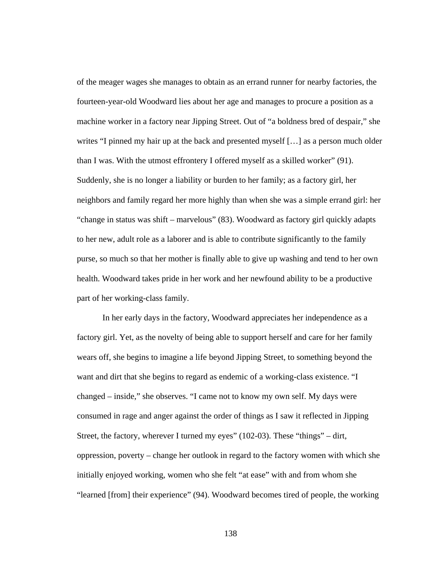of the meager wages she manages to obtain as an errand runner for nearby factories, the fourteen-year-old Woodward lies about her age and manages to procure a position as a machine worker in a factory near Jipping Street. Out of "a boldness bred of despair," she writes "I pinned my hair up at the back and presented myself [...] as a person much older than I was. With the utmost effrontery I offered myself as a skilled worker" (91). Suddenly, she is no longer a liability or burden to her family; as a factory girl, her neighbors and family regard her more highly than when she was a simple errand girl: her "change in status was shift – marvelous" (83). Woodward as factory girl quickly adapts to her new, adult role as a laborer and is able to contribute significantly to the family purse, so much so that her mother is finally able to give up washing and tend to her own health. Woodward takes pride in her work and her newfound ability to be a productive part of her working-class family.

In her early days in the factory, Woodward appreciates her independence as a factory girl. Yet, as the novelty of being able to support herself and care for her family wears off, she begins to imagine a life beyond Jipping Street, to something beyond the want and dirt that she begins to regard as endemic of a working-class existence. "I changed – inside," she observes. "I came not to know my own self. My days were consumed in rage and anger against the order of things as I saw it reflected in Jipping Street, the factory, wherever I turned my eyes" (102-03). These "things" – dirt, oppression, poverty – change her outlook in regard to the factory women with which she initially enjoyed working, women who she felt "at ease" with and from whom she "learned [from] their experience" (94). Woodward becomes tired of people, the working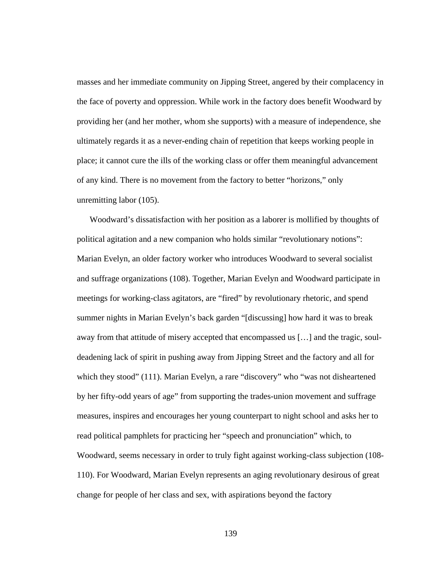masses and her immediate community on Jipping Street, angered by their complacency in the face of poverty and oppression. While work in the factory does benefit Woodward by providing her (and her mother, whom she supports) with a measure of independence, she ultimately regards it as a never-ending chain of repetition that keeps working people in place; it cannot cure the ills of the working class or offer them meaningful advancement of any kind. There is no movement from the factory to better "horizons," only unremitting labor (105).

Woodward's dissatisfaction with her position as a laborer is mollified by thoughts of political agitation and a new companion who holds similar "revolutionary notions": Marian Evelyn, an older factory worker who introduces Woodward to several socialist and suffrage organizations (108). Together, Marian Evelyn and Woodward participate in meetings for working-class agitators, are "fired" by revolutionary rhetoric, and spend summer nights in Marian Evelyn's back garden "[discussing] how hard it was to break away from that attitude of misery accepted that encompassed us […] and the tragic, souldeadening lack of spirit in pushing away from Jipping Street and the factory and all for which they stood" (111). Marian Evelyn, a rare "discovery" who "was not disheartened by her fifty-odd years of age" from supporting the trades-union movement and suffrage measures, inspires and encourages her young counterpart to night school and asks her to read political pamphlets for practicing her "speech and pronunciation" which, to Woodward, seems necessary in order to truly fight against working-class subjection (108- 110). For Woodward, Marian Evelyn represents an aging revolutionary desirous of great change for people of her class and sex, with aspirations beyond the factory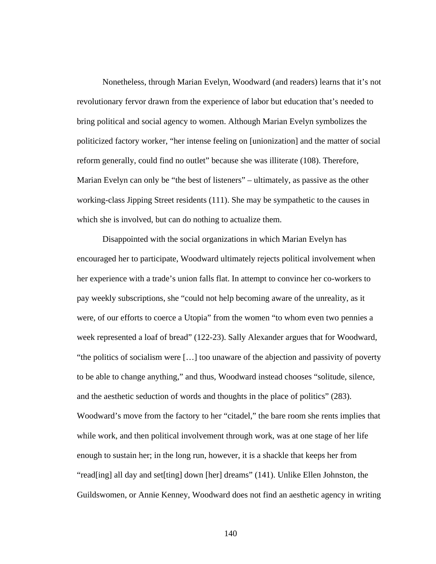Nonetheless, through Marian Evelyn, Woodward (and readers) learns that it's not revolutionary fervor drawn from the experience of labor but education that's needed to bring political and social agency to women. Although Marian Evelyn symbolizes the politicized factory worker, "her intense feeling on [unionization] and the matter of social reform generally, could find no outlet" because she was illiterate (108). Therefore, Marian Evelyn can only be "the best of listeners" – ultimately, as passive as the other working-class Jipping Street residents (111). She may be sympathetic to the causes in which she is involved, but can do nothing to actualize them.

Disappointed with the social organizations in which Marian Evelyn has encouraged her to participate, Woodward ultimately rejects political involvement when her experience with a trade's union falls flat. In attempt to convince her co-workers to pay weekly subscriptions, she "could not help becoming aware of the unreality, as it were, of our efforts to coerce a Utopia" from the women "to whom even two pennies a week represented a loaf of bread" (122-23). Sally Alexander argues that for Woodward, "the politics of socialism were […] too unaware of the abjection and passivity of poverty to be able to change anything," and thus, Woodward instead chooses "solitude, silence, and the aesthetic seduction of words and thoughts in the place of politics" (283). Woodward's move from the factory to her "citadel," the bare room she rents implies that while work, and then political involvement through work, was at one stage of her life enough to sustain her; in the long run, however, it is a shackle that keeps her from "read[ing] all day and set[ting] down [her] dreams" (141). Unlike Ellen Johnston, the Guildswomen, or Annie Kenney, Woodward does not find an aesthetic agency in writing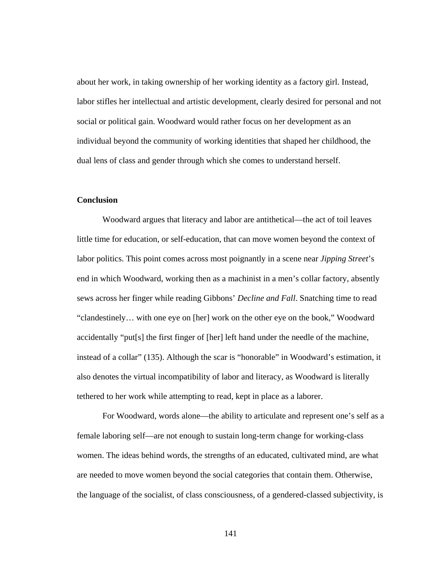about her work, in taking ownership of her working identity as a factory girl. Instead, labor stifles her intellectual and artistic development, clearly desired for personal and not social or political gain. Woodward would rather focus on her development as an individual beyond the community of working identities that shaped her childhood, the dual lens of class and gender through which she comes to understand herself.

# **Conclusion**

Woodward argues that literacy and labor are antithetical—the act of toil leaves little time for education, or self-education, that can move women beyond the context of labor politics. This point comes across most poignantly in a scene near *Jipping Street*'s end in which Woodward, working then as a machinist in a men's collar factory, absently sews across her finger while reading Gibbons' *Decline and Fall*. Snatching time to read "clandestinely… with one eye on [her] work on the other eye on the book," Woodward accidentally "put[s] the first finger of [her] left hand under the needle of the machine, instead of a collar" (135). Although the scar is "honorable" in Woodward's estimation, it also denotes the virtual incompatibility of labor and literacy, as Woodward is literally tethered to her work while attempting to read, kept in place as a laborer.

For Woodward, words alone—the ability to articulate and represent one's self as a female laboring self—are not enough to sustain long-term change for working-class women. The ideas behind words, the strengths of an educated, cultivated mind, are what are needed to move women beyond the social categories that contain them. Otherwise, the language of the socialist, of class consciousness, of a gendered-classed subjectivity, is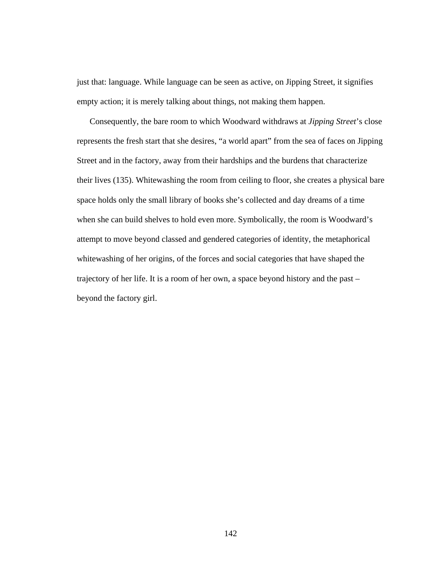just that: language. While language can be seen as active, on Jipping Street, it signifies empty action; it is merely talking about things, not making them happen.

Consequently, the bare room to which Woodward withdraws at *Jipping Street*'s close represents the fresh start that she desires, "a world apart" from the sea of faces on Jipping Street and in the factory, away from their hardships and the burdens that characterize their lives (135). Whitewashing the room from ceiling to floor, she creates a physical bare space holds only the small library of books she's collected and day dreams of a time when she can build shelves to hold even more. Symbolically, the room is Woodward's attempt to move beyond classed and gendered categories of identity, the metaphorical whitewashing of her origins, of the forces and social categories that have shaped the trajectory of her life. It is a room of her own, a space beyond history and the past – beyond the factory girl.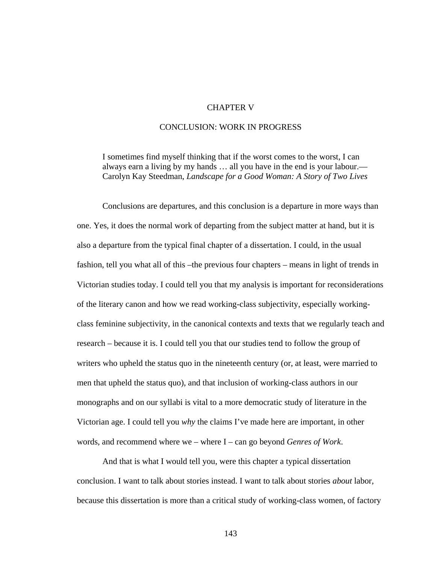# CHAPTER V

# CONCLUSION: WORK IN PROGRESS

 I sometimes find myself thinking that if the worst comes to the worst, I can always earn a living by my hands … all you have in the end is your labour.— Carolyn Kay Steedman, *Landscape for a Good Woman: A Story of Two Lives* 

Conclusions are departures, and this conclusion is a departure in more ways than one. Yes, it does the normal work of departing from the subject matter at hand, but it is also a departure from the typical final chapter of a dissertation. I could, in the usual fashion, tell you what all of this –the previous four chapters – means in light of trends in Victorian studies today. I could tell you that my analysis is important for reconsiderations of the literary canon and how we read working-class subjectivity, especially workingclass feminine subjectivity, in the canonical contexts and texts that we regularly teach and research – because it is. I could tell you that our studies tend to follow the group of writers who upheld the status quo in the nineteenth century (or, at least, were married to men that upheld the status quo), and that inclusion of working-class authors in our monographs and on our syllabi is vital to a more democratic study of literature in the Victorian age. I could tell you *why* the claims I've made here are important, in other words, and recommend where we – where I – can go beyond *Genres of Work*.

And that is what I would tell you, were this chapter a typical dissertation conclusion. I want to talk about stories instead. I want to talk about stories *about* labor, because this dissertation is more than a critical study of working-class women, of factory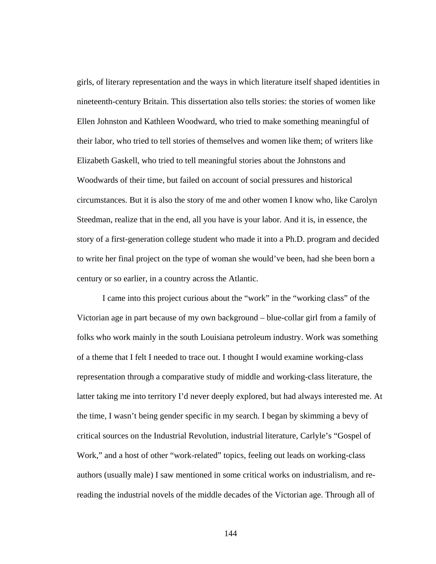girls, of literary representation and the ways in which literature itself shaped identities in nineteenth-century Britain. This dissertation also tells stories: the stories of women like Ellen Johnston and Kathleen Woodward, who tried to make something meaningful of their labor, who tried to tell stories of themselves and women like them; of writers like Elizabeth Gaskell, who tried to tell meaningful stories about the Johnstons and Woodwards of their time, but failed on account of social pressures and historical circumstances. But it is also the story of me and other women I know who, like Carolyn Steedman, realize that in the end, all you have is your labor. And it is, in essence, the story of a first-generation college student who made it into a Ph.D. program and decided to write her final project on the type of woman she would've been, had she been born a century or so earlier, in a country across the Atlantic.

I came into this project curious about the "work" in the "working class" of the Victorian age in part because of my own background – blue-collar girl from a family of folks who work mainly in the south Louisiana petroleum industry. Work was something of a theme that I felt I needed to trace out. I thought I would examine working-class representation through a comparative study of middle and working-class literature, the latter taking me into territory I'd never deeply explored, but had always interested me. At the time, I wasn't being gender specific in my search. I began by skimming a bevy of critical sources on the Industrial Revolution, industrial literature, Carlyle's "Gospel of Work," and a host of other "work-related" topics, feeling out leads on working-class authors (usually male) I saw mentioned in some critical works on industrialism, and rereading the industrial novels of the middle decades of the Victorian age. Through all of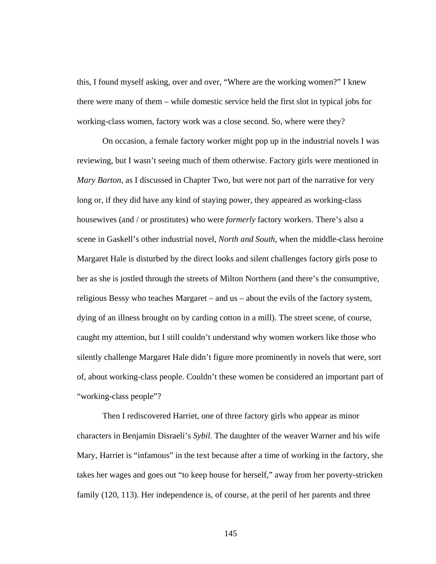this, I found myself asking, over and over, "Where are the working women?" I knew there were many of them – while domestic service held the first slot in typical jobs for working-class women, factory work was a close second. So, where were they?

On occasion, a female factory worker might pop up in the industrial novels I was reviewing, but I wasn't seeing much of them otherwise. Factory girls were mentioned in *Mary Barton*, as I discussed in Chapter Two, but were not part of the narrative for very long or, if they did have any kind of staying power, they appeared as working-class housewives (and / or prostitutes) who were *formerly* factory workers. There's also a scene in Gaskell's other industrial novel, *North and South*, when the middle-class heroine Margaret Hale is disturbed by the direct looks and silent challenges factory girls pose to her as she is jostled through the streets of Milton Northern (and there's the consumptive, religious Bessy who teaches Margaret – and us – about the evils of the factory system, dying of an illness brought on by carding cotton in a mill). The street scene, of course, caught my attention, but I still couldn't understand why women workers like those who silently challenge Margaret Hale didn't figure more prominently in novels that were, sort of, about working-class people. Couldn't these women be considered an important part of "working-class people"?

Then I rediscovered Harriet, one of three factory girls who appear as minor characters in Benjamin Disraeli's *Sybil.* The daughter of the weaver Warner and his wife Mary, Harriet is "infamous" in the text because after a time of working in the factory, she takes her wages and goes out "to keep house for herself," away from her poverty-stricken family (120, 113). Her independence is, of course, at the peril of her parents and three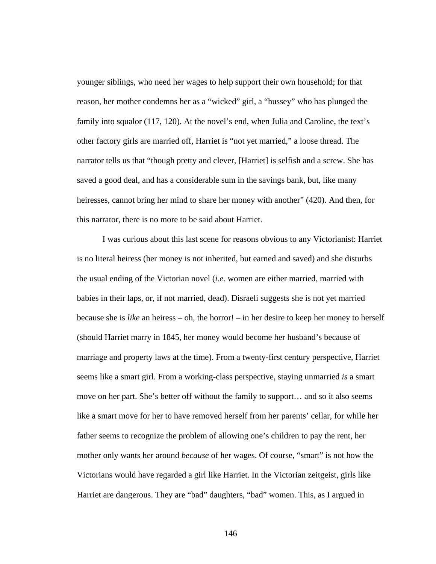younger siblings, who need her wages to help support their own household; for that reason, her mother condemns her as a "wicked" girl, a "hussey" who has plunged the family into squalor (117, 120). At the novel's end, when Julia and Caroline, the text's other factory girls are married off, Harriet is "not yet married," a loose thread. The narrator tells us that "though pretty and clever, [Harriet] is selfish and a screw. She has saved a good deal, and has a considerable sum in the savings bank, but, like many heiresses, cannot bring her mind to share her money with another" (420). And then, for this narrator, there is no more to be said about Harriet.

I was curious about this last scene for reasons obvious to any Victorianist: Harriet is no literal heiress (her money is not inherited, but earned and saved) and she disturbs the usual ending of the Victorian novel (*i.e.* women are either married, married with babies in their laps, or, if not married, dead). Disraeli suggests she is not yet married because she is *like* an heiress – oh, the horror! – in her desire to keep her money to herself (should Harriet marry in 1845, her money would become her husband's because of marriage and property laws at the time). From a twenty-first century perspective, Harriet seems like a smart girl. From a working-class perspective, staying unmarried *is* a smart move on her part. She's better off without the family to support… and so it also seems like a smart move for her to have removed herself from her parents' cellar, for while her father seems to recognize the problem of allowing one's children to pay the rent, her mother only wants her around *because* of her wages. Of course, "smart" is not how the Victorians would have regarded a girl like Harriet. In the Victorian zeitgeist, girls like Harriet are dangerous. They are "bad" daughters, "bad" women. This, as I argued in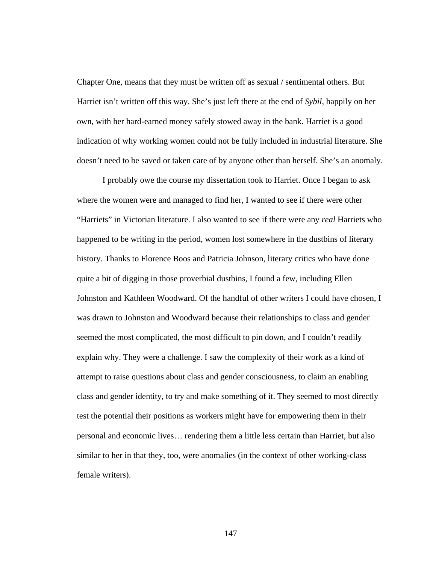Chapter One, means that they must be written off as sexual / sentimental others. But Harriet isn't written off this way. She's just left there at the end of *Sybil*, happily on her own, with her hard-earned money safely stowed away in the bank. Harriet is a good indication of why working women could not be fully included in industrial literature. She doesn't need to be saved or taken care of by anyone other than herself. She's an anomaly.

I probably owe the course my dissertation took to Harriet. Once I began to ask where the women were and managed to find her, I wanted to see if there were other "Harriets" in Victorian literature. I also wanted to see if there were any *real* Harriets who happened to be writing in the period, women lost somewhere in the dustbins of literary history. Thanks to Florence Boos and Patricia Johnson, literary critics who have done quite a bit of digging in those proverbial dustbins, I found a few, including Ellen Johnston and Kathleen Woodward. Of the handful of other writers I could have chosen, I was drawn to Johnston and Woodward because their relationships to class and gender seemed the most complicated, the most difficult to pin down, and I couldn't readily explain why. They were a challenge. I saw the complexity of their work as a kind of attempt to raise questions about class and gender consciousness, to claim an enabling class and gender identity, to try and make something of it. They seemed to most directly test the potential their positions as workers might have for empowering them in their personal and economic lives… rendering them a little less certain than Harriet, but also similar to her in that they, too, were anomalies (in the context of other working-class female writers).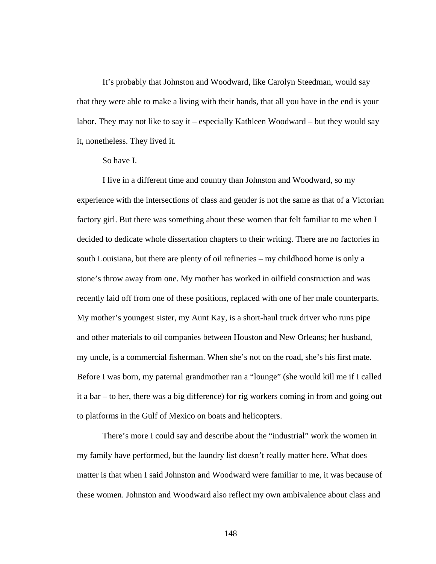It's probably that Johnston and Woodward, like Carolyn Steedman, would say that they were able to make a living with their hands, that all you have in the end is your labor. They may not like to say it – especially Kathleen Woodward – but they would say it, nonetheless. They lived it.

# So have I.

 I live in a different time and country than Johnston and Woodward, so my experience with the intersections of class and gender is not the same as that of a Victorian factory girl. But there was something about these women that felt familiar to me when I decided to dedicate whole dissertation chapters to their writing. There are no factories in south Louisiana, but there are plenty of oil refineries – my childhood home is only a stone's throw away from one. My mother has worked in oilfield construction and was recently laid off from one of these positions, replaced with one of her male counterparts. My mother's youngest sister, my Aunt Kay, is a short-haul truck driver who runs pipe and other materials to oil companies between Houston and New Orleans; her husband, my uncle, is a commercial fisherman. When she's not on the road, she's his first mate. Before I was born, my paternal grandmother ran a "lounge" (she would kill me if I called it a bar – to her, there was a big difference) for rig workers coming in from and going out to platforms in the Gulf of Mexico on boats and helicopters.

 There's more I could say and describe about the "industrial" work the women in my family have performed, but the laundry list doesn't really matter here. What does matter is that when I said Johnston and Woodward were familiar to me, it was because of these women. Johnston and Woodward also reflect my own ambivalence about class and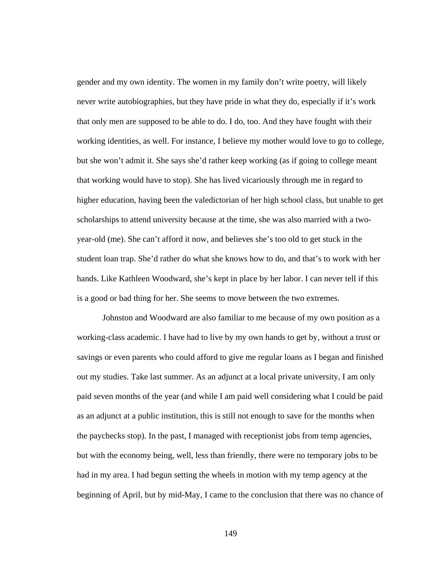gender and my own identity. The women in my family don't write poetry, will likely never write autobiographies, but they have pride in what they do, especially if it's work that only men are supposed to be able to do. I do, too. And they have fought with their working identities, as well. For instance, I believe my mother would love to go to college, but she won't admit it. She says she'd rather keep working (as if going to college meant that working would have to stop). She has lived vicariously through me in regard to higher education, having been the valedictorian of her high school class, but unable to get scholarships to attend university because at the time, she was also married with a twoyear-old (me). She can't afford it now, and believes she's too old to get stuck in the student loan trap. She'd rather do what she knows how to do, and that's to work with her hands. Like Kathleen Woodward, she's kept in place by her labor. I can never tell if this is a good or bad thing for her. She seems to move between the two extremes.

Johnston and Woodward are also familiar to me because of my own position as a working-class academic. I have had to live by my own hands to get by, without a trust or savings or even parents who could afford to give me regular loans as I began and finished out my studies. Take last summer. As an adjunct at a local private university, I am only paid seven months of the year (and while I am paid well considering what I could be paid as an adjunct at a public institution, this is still not enough to save for the months when the paychecks stop). In the past, I managed with receptionist jobs from temp agencies, but with the economy being, well, less than friendly, there were no temporary jobs to be had in my area. I had begun setting the wheels in motion with my temp agency at the beginning of April, but by mid-May, I came to the conclusion that there was no chance of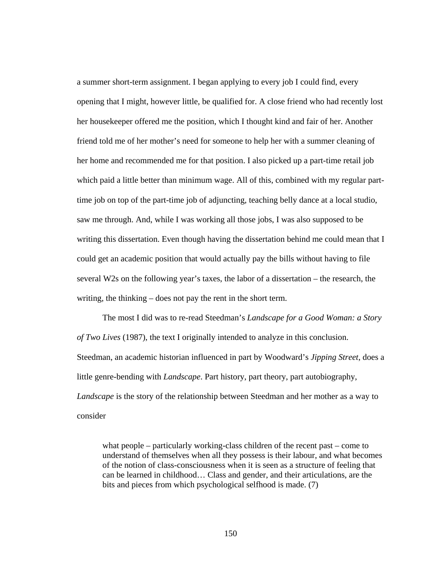a summer short-term assignment. I began applying to every job I could find, every opening that I might, however little, be qualified for. A close friend who had recently lost her housekeeper offered me the position, which I thought kind and fair of her. Another friend told me of her mother's need for someone to help her with a summer cleaning of her home and recommended me for that position. I also picked up a part-time retail job which paid a little better than minimum wage. All of this, combined with my regular parttime job on top of the part-time job of adjuncting, teaching belly dance at a local studio, saw me through. And, while I was working all those jobs, I was also supposed to be writing this dissertation. Even though having the dissertation behind me could mean that I could get an academic position that would actually pay the bills without having to file several W2s on the following year's taxes, the labor of a dissertation – the research, the writing, the thinking – does not pay the rent in the short term.

The most I did was to re-read Steedman's *Landscape for a Good Woman: a Story of Two Lives* (1987), the text I originally intended to analyze in this conclusion. Steedman, an academic historian influenced in part by Woodward's *Jipping Street*, does a little genre-bending with *Landscape*. Part history, part theory, part autobiography, *Landscape* is the story of the relationship between Steedman and her mother as a way to consider

what people – particularly working-class children of the recent past – come to understand of themselves when all they possess is their labour, and what becomes of the notion of class-consciousness when it is seen as a structure of feeling that can be learned in childhood… Class and gender, and their articulations, are the bits and pieces from which psychological selfhood is made. (7)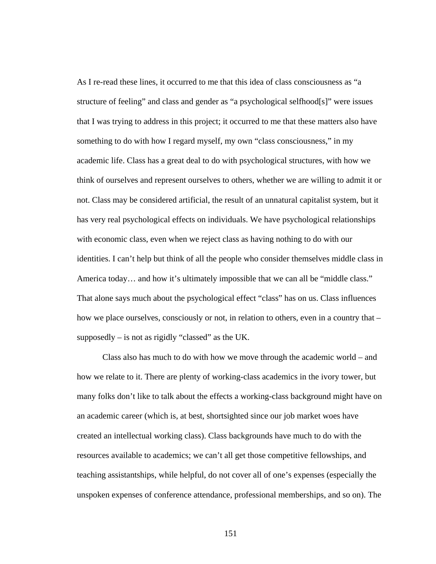As I re-read these lines, it occurred to me that this idea of class consciousness as "a structure of feeling" and class and gender as "a psychological selfhood[s]" were issues that I was trying to address in this project; it occurred to me that these matters also have something to do with how I regard myself, my own "class consciousness," in my academic life. Class has a great deal to do with psychological structures, with how we think of ourselves and represent ourselves to others, whether we are willing to admit it or not. Class may be considered artificial, the result of an unnatural capitalist system, but it has very real psychological effects on individuals. We have psychological relationships with economic class, even when we reject class as having nothing to do with our identities. I can't help but think of all the people who consider themselves middle class in America today... and how it's ultimately impossible that we can all be "middle class." That alone says much about the psychological effect "class" has on us. Class influences how we place ourselves, consciously or not, in relation to others, even in a country that – supposedly – is not as rigidly "classed" as the UK.

 Class also has much to do with how we move through the academic world – and how we relate to it. There are plenty of working-class academics in the ivory tower, but many folks don't like to talk about the effects a working-class background might have on an academic career (which is, at best, shortsighted since our job market woes have created an intellectual working class). Class backgrounds have much to do with the resources available to academics; we can't all get those competitive fellowships, and teaching assistantships, while helpful, do not cover all of one's expenses (especially the unspoken expenses of conference attendance, professional memberships, and so on). The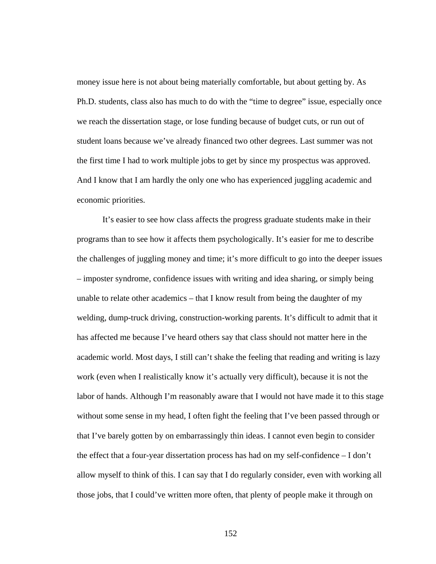money issue here is not about being materially comfortable, but about getting by. As Ph.D. students, class also has much to do with the "time to degree" issue, especially once we reach the dissertation stage, or lose funding because of budget cuts, or run out of student loans because we've already financed two other degrees. Last summer was not the first time I had to work multiple jobs to get by since my prospectus was approved. And I know that I am hardly the only one who has experienced juggling academic and economic priorities.

It's easier to see how class affects the progress graduate students make in their programs than to see how it affects them psychologically. It's easier for me to describe the challenges of juggling money and time; it's more difficult to go into the deeper issues – imposter syndrome, confidence issues with writing and idea sharing, or simply being unable to relate other academics – that I know result from being the daughter of my welding, dump-truck driving, construction-working parents. It's difficult to admit that it has affected me because I've heard others say that class should not matter here in the academic world. Most days, I still can't shake the feeling that reading and writing is lazy work (even when I realistically know it's actually very difficult), because it is not the labor of hands. Although I'm reasonably aware that I would not have made it to this stage without some sense in my head, I often fight the feeling that I've been passed through or that I've barely gotten by on embarrassingly thin ideas. I cannot even begin to consider the effect that a four-year dissertation process has had on my self-confidence – I don't allow myself to think of this. I can say that I do regularly consider, even with working all those jobs, that I could've written more often, that plenty of people make it through on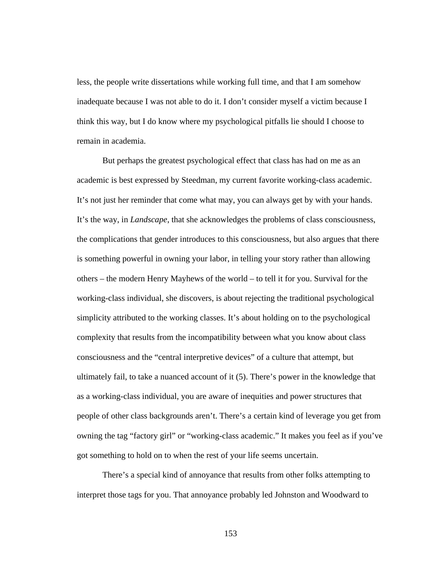less, the people write dissertations while working full time, and that I am somehow inadequate because I was not able to do it. I don't consider myself a victim because I think this way, but I do know where my psychological pitfalls lie should I choose to remain in academia.

 But perhaps the greatest psychological effect that class has had on me as an academic is best expressed by Steedman, my current favorite working-class academic. It's not just her reminder that come what may, you can always get by with your hands. It's the way, in *Landscape*, that she acknowledges the problems of class consciousness, the complications that gender introduces to this consciousness, but also argues that there is something powerful in owning your labor, in telling your story rather than allowing others – the modern Henry Mayhews of the world – to tell it for you. Survival for the working-class individual, she discovers, is about rejecting the traditional psychological simplicity attributed to the working classes. It's about holding on to the psychological complexity that results from the incompatibility between what you know about class consciousness and the "central interpretive devices" of a culture that attempt, but ultimately fail, to take a nuanced account of it (5). There's power in the knowledge that as a working-class individual, you are aware of inequities and power structures that people of other class backgrounds aren't. There's a certain kind of leverage you get from owning the tag "factory girl" or "working-class academic." It makes you feel as if you've got something to hold on to when the rest of your life seems uncertain.

There's a special kind of annoyance that results from other folks attempting to interpret those tags for you. That annoyance probably led Johnston and Woodward to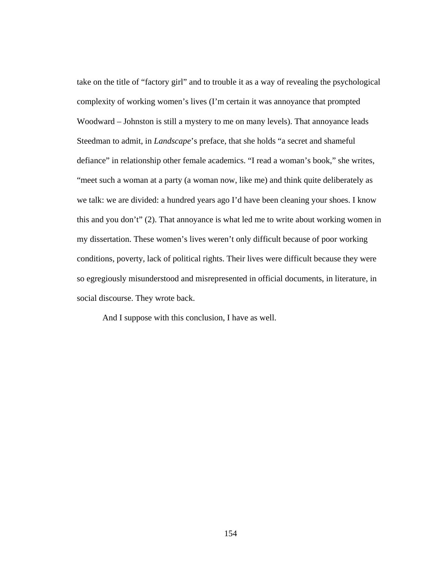take on the title of "factory girl" and to trouble it as a way of revealing the psychological complexity of working women's lives (I'm certain it was annoyance that prompted Woodward – Johnston is still a mystery to me on many levels). That annoyance leads Steedman to admit, in *Landscape*'s preface, that she holds "a secret and shameful defiance" in relationship other female academics. "I read a woman's book," she writes, "meet such a woman at a party (a woman now, like me) and think quite deliberately as we talk: we are divided: a hundred years ago I'd have been cleaning your shoes. I know this and you don't" (2). That annoyance is what led me to write about working women in my dissertation. These women's lives weren't only difficult because of poor working conditions, poverty, lack of political rights. Their lives were difficult because they were so egregiously misunderstood and misrepresented in official documents, in literature, in social discourse. They wrote back.

And I suppose with this conclusion, I have as well.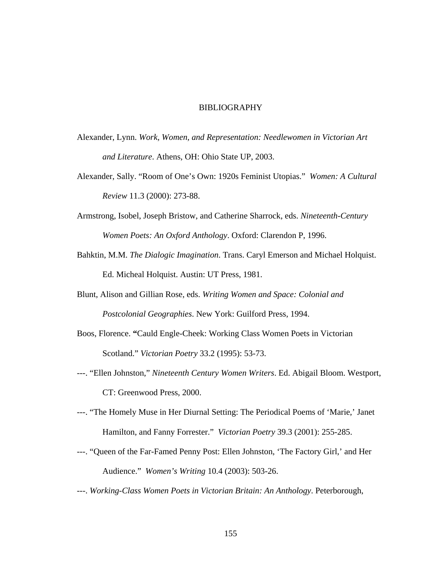#### BIBLIOGRAPHY

- Alexander, Lynn. *Work, Women, and Representation: Needlewomen in Victorian Art and Literature*. Athens, OH: Ohio State UP, 2003.
- Alexander, Sally. "Room of One's Own: 1920s Feminist Utopias." *Women: A Cultural Review* 11.3 (2000): 273-88.
- Armstrong, Isobel, Joseph Bristow, and Catherine Sharrock, eds. *Nineteenth-Century Women Poets: An Oxford Anthology*. Oxford: Clarendon P, 1996.
- Bahktin, M.M. *The Dialogic Imagination*. Trans. Caryl Emerson and Michael Holquist. Ed. Micheal Holquist. Austin: UT Press, 1981.
- Blunt, Alison and Gillian Rose, eds. *Writing Women and Space: Colonial and Postcolonial Geographies*. New York: Guilford Press, 1994.
- Boos, Florence. **"**Cauld Engle-Cheek: Working Class Women Poets in Victorian Scotland." *Victorian Poetry* 33.2 (1995): 53-73.
- ---. "Ellen Johnston," *Nineteenth Century Women Writers*. Ed. Abigail Bloom. Westport, CT: Greenwood Press, 2000.
- ---. "The Homely Muse in Her Diurnal Setting: The Periodical Poems of 'Marie,' Janet Hamilton, and Fanny Forrester." *Victorian Poetry* 39.3 (2001): 255-285.
- ---. "Queen of the Far-Famed Penny Post: Ellen Johnston, 'The Factory Girl,' and Her Audience." *Women's Writing* 10.4 (2003): 503-26.
- ---. *Working-Class Women Poets in Victorian Britain: An Anthology*. Peterborough,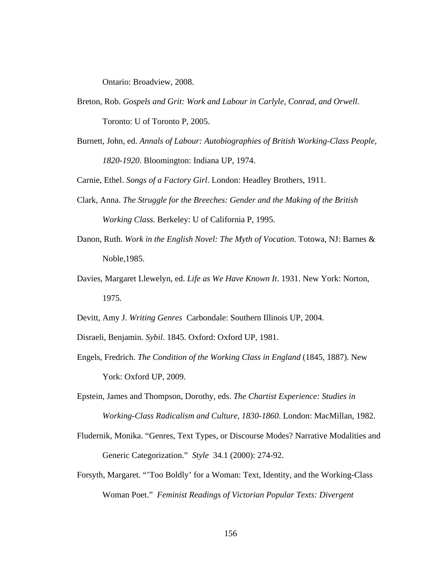Ontario: Broadview, 2008.

- Breton, Rob. *Gospels and Grit: Work and Labour in Carlyle, Conrad, and Orwell*. Toronto: U of Toronto P, 2005.
- Burnett, John, ed. *Annals of Labour: Autobiographies of British Working-Class People, 1820-1920*. Bloomington: Indiana UP, 1974.

Carnie, Ethel. *Songs of a Factory Girl*. London: Headley Brothers, 1911.

- Clark, Anna. *The Struggle for the Breeches: Gender and the Making of the British Working Class.* Berkeley: U of California P, 1995.
- Danon, Ruth. *Work in the English Novel: The Myth of Vocation*. Totowa, NJ: Barnes & Noble,1985.
- Davies, Margaret Llewelyn, ed. *Life as We Have Known It*. 1931. New York: Norton, 1975.
- Devitt, Amy J. *Writing Genres* Carbondale: Southern Illinois UP, 2004.

Disraeli, Benjamin. *Sybil*. 1845. Oxford: Oxford UP, 1981.

- Engels, Fredrich. *The Condition of the Working Class in England* (1845, 1887). New York: Oxford UP, 2009.
- Epstein, James and Thompson, Dorothy, eds. *The Chartist Experience: Studies in Working-Class Radicalism and Culture, 1830-1860*. London: MacMillan, 1982.
- Fludernik, Monika. "Genres, Text Types, or Discourse Modes? Narrative Modalities and Generic Categorization." *Style* 34.1 (2000): 274-92.
- Forsyth, Margaret. "'Too Boldly' for a Woman: Text, Identity, and the Working-Class Woman Poet." *Feminist Readings of Victorian Popular Texts: Divergent*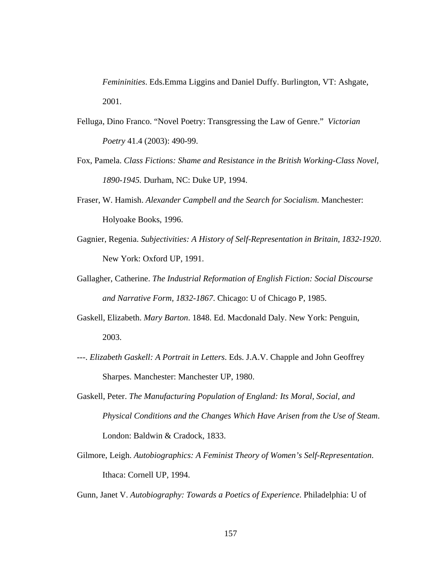*Femininities*. Eds.Emma Liggins and Daniel Duffy. Burlington, VT: Ashgate, 2001.

- Felluga, Dino Franco. "Novel Poetry: Transgressing the Law of Genre." *Victorian Poetry* 41.4 (2003): 490-99.
- Fox, Pamela. *Class Fictions: Shame and Resistance in the British Working-Class Novel, 1890-1945.* Durham, NC: Duke UP, 1994.
- Fraser, W. Hamish. *Alexander Campbell and the Search for Socialism*. Manchester: Holyoake Books, 1996.
- Gagnier, Regenia. *Subjectivities: A History of Self-Representation in Britain, 1832-1920*. New York: Oxford UP, 1991.
- Gallagher, Catherine. *The Industrial Reformation of English Fiction: Social Discourse and Narrative Form, 1832-1867*. Chicago: U of Chicago P, 1985.
- Gaskell, Elizabeth. *Mary Barton*. 1848. Ed. Macdonald Daly. New York: Penguin, 2003.
- ---. *Elizabeth Gaskell: A Portrait in Letters*. Eds. J.A.V. Chapple and John Geoffrey Sharpes. Manchester: Manchester UP, 1980.
- Gaskell, Peter. *The Manufacturing Population of England: Its Moral, Social, and Physical Conditions and the Changes Which Have Arisen from the Use of Steam*. London: Baldwin & Cradock, 1833.
- Gilmore, Leigh. *Autobiographics: A Feminist Theory of Women's Self-Representation*. Ithaca: Cornell UP, 1994.

Gunn, Janet V. *Autobiography: Towards a Poetics of Experience*. Philadelphia: U of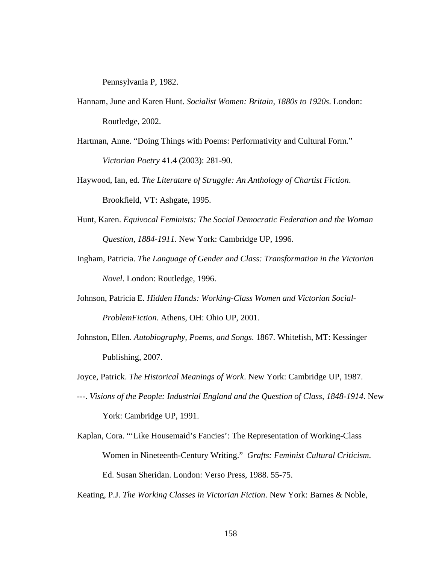Pennsylvania P, 1982.

- Hannam, June and Karen Hunt. *Socialist Women: Britain, 1880s to 1920s*. London: Routledge, 2002.
- Hartman, Anne. "Doing Things with Poems: Performativity and Cultural Form." *Victorian Poetry* 41.4 (2003): 281-90.
- Haywood, Ian, ed. *The Literature of Struggle: An Anthology of Chartist Fiction*. Brookfield, VT: Ashgate, 1995.
- Hunt, Karen. *Equivocal Feminists: The Social Democratic Federation and the Woman Question, 1884-1911*. New York: Cambridge UP, 1996.
- Ingham, Patricia. *The Language of Gender and Class: Transformation in the Victorian Novel*. London: Routledge, 1996.
- Johnson, Patricia E. *Hidden Hands: Working-Class Women and Victorian Social-ProblemFiction*. Athens, OH: Ohio UP, 2001.
- Johnston, Ellen. *Autobiography, Poems, and Songs*. 1867. Whitefish, MT: Kessinger Publishing, 2007.
- Joyce, Patrick. *The Historical Meanings of Work*. New York: Cambridge UP, 1987.
- ---. *Visions of the People: Industrial England and the Question of Class, 1848-1914*. New York: Cambridge UP, 1991.
- Kaplan, Cora. "'Like Housemaid's Fancies': The Representation of Working-Class Women in Nineteenth-Century Writing." *Grafts: Feminist Cultural Criticism*. Ed. Susan Sheridan. London: Verso Press, 1988. 55-75.

Keating, P.J. *The Working Classes in Victorian Fiction*. New York: Barnes & Noble,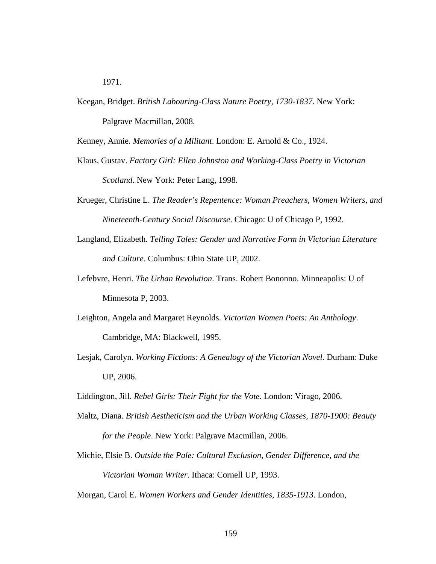Keegan, Bridget. *British Labouring-Class Nature Poetry, 1730-1837*. New York: Palgrave Macmillan, 2008.

Kenney, Annie. *Memories of a Militant*. London: E. Arnold & Co., 1924.

- Klaus, Gustav. *Factory Girl: Ellen Johnston and Working-Class Poetry in Victorian Scotland*. New York: Peter Lang, 1998.
- Krueger, Christine L. *The Reader's Repentence: Woman Preachers, Women Writers, and Nineteenth-Century Social Discourse*. Chicago: U of Chicago P, 1992.
- Langland, Elizabeth. *Telling Tales: Gender and Narrative Form in Victorian Literature and Culture.* Columbus: Ohio State UP, 2002.
- Lefebvre, Henri. *The Urban Revolution*. Trans. Robert Bononno. Minneapolis: U of Minnesota P, 2003.
- Leighton, Angela and Margaret Reynolds. *Victorian Women Poets: An Anthology*. Cambridge, MA: Blackwell, 1995.
- Lesjak, Carolyn. *Working Fictions: A Genealogy of the Victorian Novel*. Durham: Duke UP, 2006.
- Liddington, Jill. *Rebel Girls: Their Fight for the Vote*. London: Virago, 2006.
- Maltz, Diana. *British Aestheticism and the Urban Working Classes, 1870-1900: Beauty for the People*. New York: Palgrave Macmillan, 2006.
- Michie, Elsie B. *Outside the Pale: Cultural Exclusion, Gender Difference, and the Victorian Woman Writer.* Ithaca: Cornell UP, 1993.
- Morgan, Carol E. *Women Workers and Gender Identities, 1835-1913*. London,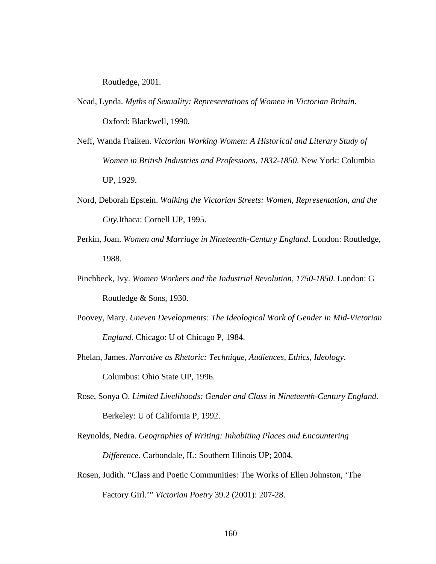Routledge, 2001.

- Nead, Lynda. *Myths of Sexuality: Representations of Women in Victorian Britain*. Oxford: Blackwell, 1990.
- Neff, Wanda Fraiken. *Victorian Working Women: A Historical and Literary Study of Women in British Industries and Professions*, *1832-1850*. New York: Columbia UP, 1929.
- Nord, Deborah Epstein. *Walking the Victorian Streets: Women, Representation, and the City.*Ithaca: Cornell UP, 1995.
- Perkin, Joan. *Women and Marriage in Nineteenth-Century England*. London: Routledge, 1988.
- Pinchbeck, Ivy. *Women Workers and the Industrial Revolution, 1750-1850*. London: G Routledge & Sons, 1930.
- Poovey, Mary. *Uneven Developments: The Ideological Work of Gender in Mid-Victorian England*. Chicago: U of Chicago P, 1984.
- Phelan, James. *Narrative as Rhetoric: Technique, Audiences, Ethics, Ideology*. Columbus: Ohio State UP, 1996.
- Rose, Sonya O. *Limited Livelihoods: Gender and Class in Nineteenth-Century England.*  Berkeley: U of California P, 1992.
- Reynolds, Nedra. *Geographies of Writing: Inhabiting Places and Encountering Difference*. Carbondale, IL: Southern Illinois UP; 2004.
- Rosen, Judith. "Class and Poetic Communities: The Works of Ellen Johnston, 'The Factory Girl.'" *Victorian Poetry* 39.2 (2001): 207-28.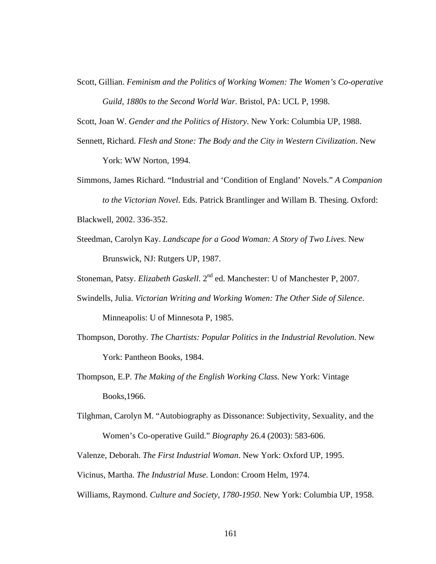Scott, Gillian. *Feminism and the Politics of Working Women: The Women's Co-operative Guild, 1880s to the Second World War*. Bristol, PA: UCL P, 1998.

Scott, Joan W. *Gender and the Politics of History*. New York: Columbia UP, 1988.

- Sennett, Richard. *Flesh and Stone: The Body and the City in Western Civilization*. New York: WW Norton, 1994.
- Simmons, James Richard. "Industrial and 'Condition of England' Novels." *A Companion to the Victorian Novel*. Eds. Patrick Brantlinger and Willam B. Thesing. Oxford: Blackwell, 2002. 336-352.
- Steedman, Carolyn Kay. *Landscape for a Good Woman: A Story of Two Lives*. New Brunswick, NJ: Rutgers UP, 1987.

Stoneman, Patsy. *Elizabeth Gaskell*. 2<sup>nd</sup> ed. Manchester: U of Manchester P, 2007.

- Swindells, Julia. *Victorian Writing and Working Women: The Other Side of Silence*. Minneapolis: U of Minnesota P, 1985.
- Thompson, Dorothy. *The Chartists: Popular Politics in the Industrial Revolution*. New York: Pantheon Books, 1984.
- Thompson, E.P. *The Making of the English Working Class.* New York: Vintage Books,1966.
- Tilghman, Carolyn M. "Autobiography as Dissonance: Subjectivity, Sexuality, and the Women's Co-operative Guild." *Biography* 26.4 (2003): 583-606.

Valenze, Deborah. *The First Industrial Woman*. New York: Oxford UP, 1995.

Vicinus, Martha. *The Industrial Muse*. London: Croom Helm, 1974.

Williams, Raymond. *Culture and Society, 1780-1950*. New York: Columbia UP, 1958.